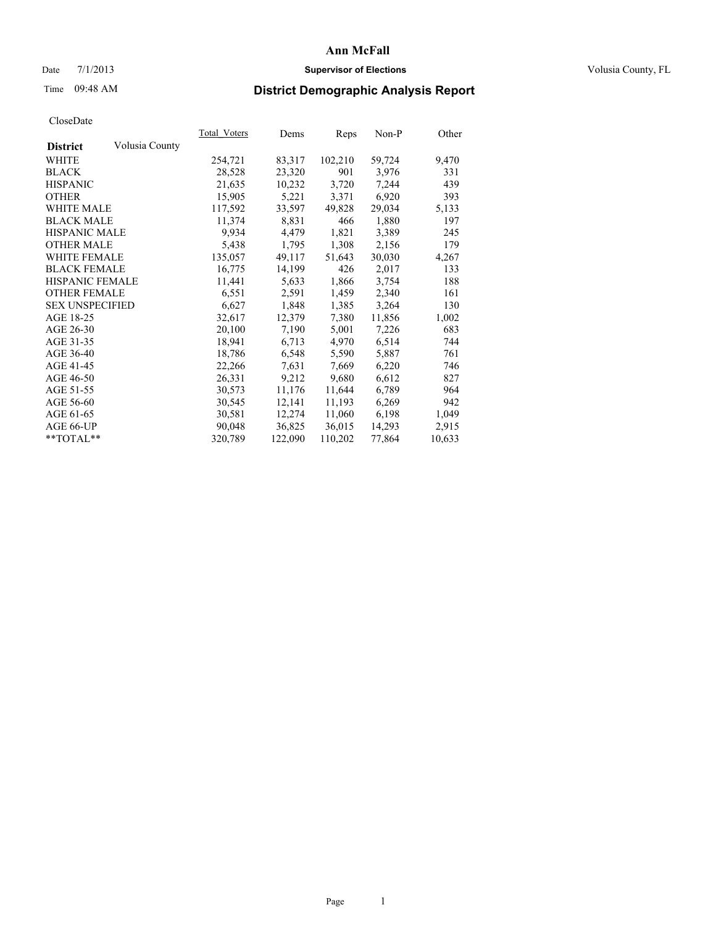# Date  $7/1/2013$  **Supervisor of Elections Supervisor of Elections** Volusia County, FL

# Time 09:48 AM **District Demographic Analysis Report**

|                        |                | Total Voters | Dems    | <b>Reps</b> | Non-P  | Other  |
|------------------------|----------------|--------------|---------|-------------|--------|--------|
| <b>District</b>        | Volusia County |              |         |             |        |        |
| WHITE                  |                | 254,721      | 83,317  | 102,210     | 59,724 | 9,470  |
| <b>BLACK</b>           |                | 28,528       | 23,320  | 901         | 3,976  | 331    |
| <b>HISPANIC</b>        |                | 21,635       | 10,232  | 3,720       | 7,244  | 439    |
| <b>OTHER</b>           |                | 15,905       | 5,221   | 3,371       | 6,920  | 393    |
| <b>WHITE MALE</b>      |                | 117,592      | 33,597  | 49,828      | 29,034 | 5,133  |
| <b>BLACK MALE</b>      |                | 11,374       | 8,831   | 466         | 1,880  | 197    |
| <b>HISPANIC MALE</b>   |                | 9.934        | 4,479   | 1,821       | 3,389  | 245    |
| <b>OTHER MALE</b>      |                | 5,438        | 1,795   | 1,308       | 2,156  | 179    |
| <b>WHITE FEMALE</b>    |                | 135,057      | 49,117  | 51,643      | 30,030 | 4,267  |
| <b>BLACK FEMALE</b>    |                | 16,775       | 14,199  | 426         | 2,017  | 133    |
| HISPANIC FEMALE        |                | 11,441       | 5,633   | 1,866       | 3,754  | 188    |
| <b>OTHER FEMALE</b>    |                | 6,551        | 2,591   | 1,459       | 2,340  | 161    |
| <b>SEX UNSPECIFIED</b> |                | 6,627        | 1,848   | 1,385       | 3,264  | 130    |
| AGE 18-25              |                | 32,617       | 12,379  | 7,380       | 11,856 | 1,002  |
| AGE 26-30              |                | 20,100       | 7,190   | 5,001       | 7,226  | 683    |
| AGE 31-35              |                | 18,941       | 6,713   | 4,970       | 6,514  | 744    |
| AGE 36-40              |                | 18,786       | 6,548   | 5,590       | 5,887  | 761    |
| AGE 41-45              |                | 22,266       | 7.631   | 7,669       | 6,220  | 746    |
| AGE 46-50              |                | 26,331       | 9,212   | 9,680       | 6,612  | 827    |
| AGE 51-55              |                | 30,573       | 11,176  | 11,644      | 6,789  | 964    |
| AGE 56-60              |                | 30,545       | 12,141  | 11,193      | 6,269  | 942    |
| AGE 61-65              |                | 30,581       | 12,274  | 11,060      | 6,198  | 1,049  |
| AGE 66-UP              |                | 90,048       | 36,825  | 36,015      | 14,293 | 2,915  |
| $*$ TOTAL $*$          |                | 320,789      | 122,090 | 110,202     | 77,864 | 10,633 |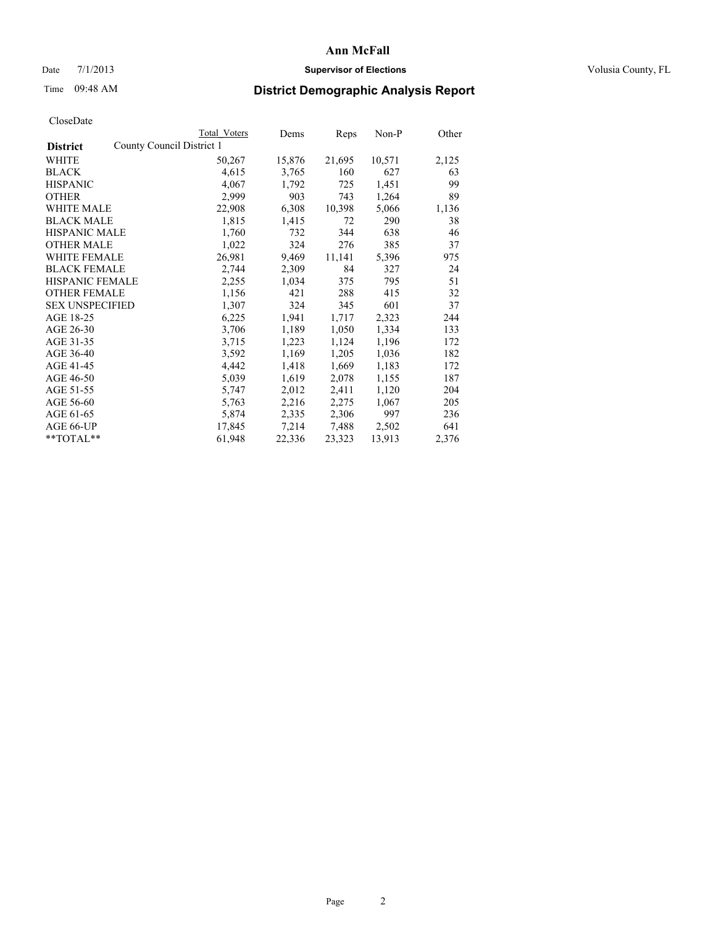# Date  $7/1/2013$  **Supervisor of Elections Supervisor of Elections** Volusia County, FL

# Time 09:48 AM **District Demographic Analysis Report**

|                        |                           | <b>Total Voters</b> | Dems   | Reps   | $Non-P$ | Other |
|------------------------|---------------------------|---------------------|--------|--------|---------|-------|
| <b>District</b>        | County Council District 1 |                     |        |        |         |       |
| WHITE                  |                           | 50,267              | 15,876 | 21,695 | 10,571  | 2,125 |
| <b>BLACK</b>           |                           | 4,615               | 3,765  | 160    | 627     | 63    |
| <b>HISPANIC</b>        |                           | 4,067               | 1,792  | 725    | 1,451   | 99    |
| <b>OTHER</b>           |                           | 2,999               | 903    | 743    | 1,264   | 89    |
| WHITE MALE             |                           | 22,908              | 6,308  | 10,398 | 5,066   | 1,136 |
| <b>BLACK MALE</b>      |                           | 1,815               | 1,415  | 72     | 290     | 38    |
| <b>HISPANIC MALE</b>   |                           | 1,760               | 732    | 344    | 638     | 46    |
| <b>OTHER MALE</b>      |                           | 1,022               | 324    | 276    | 385     | 37    |
| <b>WHITE FEMALE</b>    |                           | 26,981              | 9,469  | 11,141 | 5,396   | 975   |
| <b>BLACK FEMALE</b>    |                           | 2,744               | 2,309  | 84     | 327     | 24    |
| <b>HISPANIC FEMALE</b> |                           | 2,255               | 1,034  | 375    | 795     | 51    |
| <b>OTHER FEMALE</b>    |                           | 1,156               | 421    | 288    | 415     | 32    |
| <b>SEX UNSPECIFIED</b> |                           | 1,307               | 324    | 345    | 601     | 37    |
| AGE 18-25              |                           | 6,225               | 1,941  | 1,717  | 2,323   | 244   |
| AGE 26-30              |                           | 3,706               | 1,189  | 1,050  | 1,334   | 133   |
| AGE 31-35              |                           | 3,715               | 1,223  | 1,124  | 1,196   | 172   |
| AGE 36-40              |                           | 3,592               | 1,169  | 1,205  | 1,036   | 182   |
| AGE 41-45              |                           | 4,442               | 1,418  | 1,669  | 1,183   | 172   |
| AGE 46-50              |                           | 5,039               | 1,619  | 2,078  | 1,155   | 187   |
| AGE 51-55              |                           | 5,747               | 2,012  | 2,411  | 1,120   | 204   |
| AGE 56-60              |                           | 5,763               | 2,216  | 2,275  | 1,067   | 205   |
| AGE 61-65              |                           | 5,874               | 2,335  | 2,306  | 997     | 236   |
| AGE 66-UP              |                           | 17,845              | 7,214  | 7,488  | 2,502   | 641   |
| **TOTAL**              |                           | 61,948              | 22,336 | 23,323 | 13,913  | 2,376 |
|                        |                           |                     |        |        |         |       |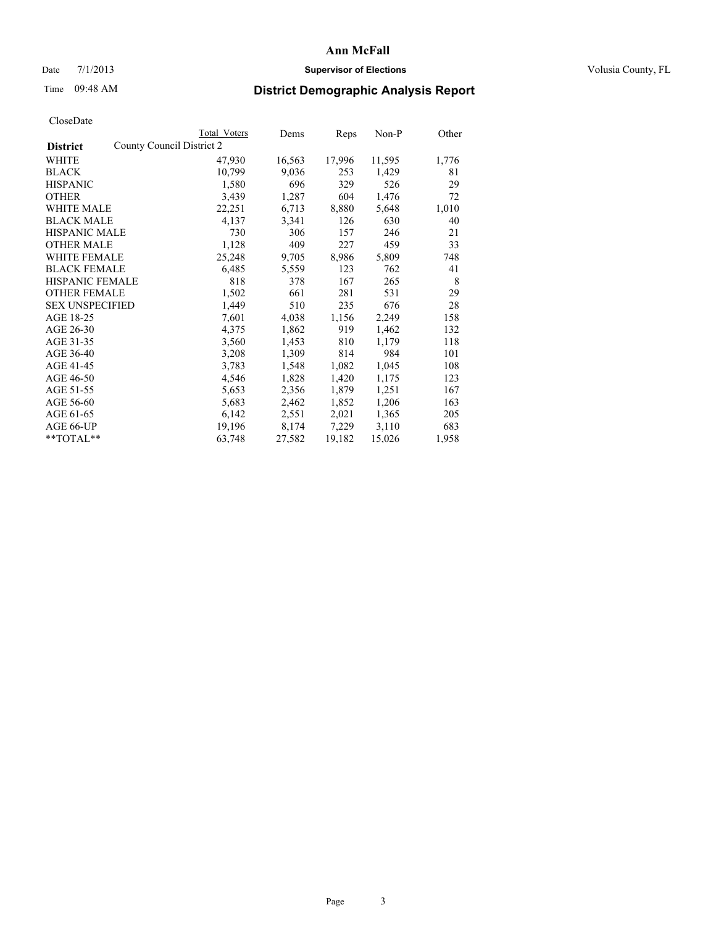# Date  $7/1/2013$  **Supervisor of Elections Supervisor of Elections** Volusia County, FL

# Time 09:48 AM **District Demographic Analysis Report**

|                                              | Total Voters | Dems   | <b>Reps</b> | $Non-P$ | Other |
|----------------------------------------------|--------------|--------|-------------|---------|-------|
| County Council District 2<br><b>District</b> |              |        |             |         |       |
| WHITE                                        | 47,930       | 16,563 | 17,996      | 11,595  | 1,776 |
| <b>BLACK</b>                                 | 10,799       | 9,036  | 253         | 1,429   | 81    |
| <b>HISPANIC</b>                              | 1,580        | 696    | 329         | 526     | 29    |
| <b>OTHER</b>                                 | 3,439        | 1,287  | 604         | 1,476   | 72    |
| WHITE MALE                                   | 22,251       | 6,713  | 8,880       | 5,648   | 1,010 |
| <b>BLACK MALE</b>                            | 4,137        | 3,341  | 126         | 630     | 40    |
| <b>HISPANIC MALE</b>                         | 730          | 306    | 157         | 246     | 21    |
| <b>OTHER MALE</b>                            | 1,128        | 409    | 227         | 459     | 33    |
| <b>WHITE FEMALE</b>                          | 25,248       | 9,705  | 8,986       | 5,809   | 748   |
| <b>BLACK FEMALE</b>                          | 6,485        | 5,559  | 123         | 762     | 41    |
| <b>HISPANIC FEMALE</b>                       | 818          | 378    | 167         | 265     | 8     |
| <b>OTHER FEMALE</b>                          | 1,502        | 661    | 281         | 531     | 29    |
| <b>SEX UNSPECIFIED</b>                       | 1,449        | 510    | 235         | 676     | 28    |
| AGE 18-25                                    | 7,601        | 4,038  | 1,156       | 2,249   | 158   |
| AGE 26-30                                    | 4,375        | 1,862  | 919         | 1,462   | 132   |
| AGE 31-35                                    | 3,560        | 1,453  | 810         | 1,179   | 118   |
| AGE 36-40                                    | 3,208        | 1,309  | 814         | 984     | 101   |
| AGE 41-45                                    | 3,783        | 1,548  | 1,082       | 1,045   | 108   |
| AGE 46-50                                    | 4,546        | 1,828  | 1,420       | 1,175   | 123   |
| AGE 51-55                                    | 5,653        | 2,356  | 1,879       | 1,251   | 167   |
| AGE 56-60                                    | 5,683        | 2,462  | 1,852       | 1,206   | 163   |
| AGE 61-65                                    | 6,142        | 2,551  | 2,021       | 1,365   | 205   |
| AGE 66-UP                                    | 19,196       | 8,174  | 7,229       | 3,110   | 683   |
| $*$ $TOTAL**$                                | 63,748       | 27,582 | 19,182      | 15,026  | 1,958 |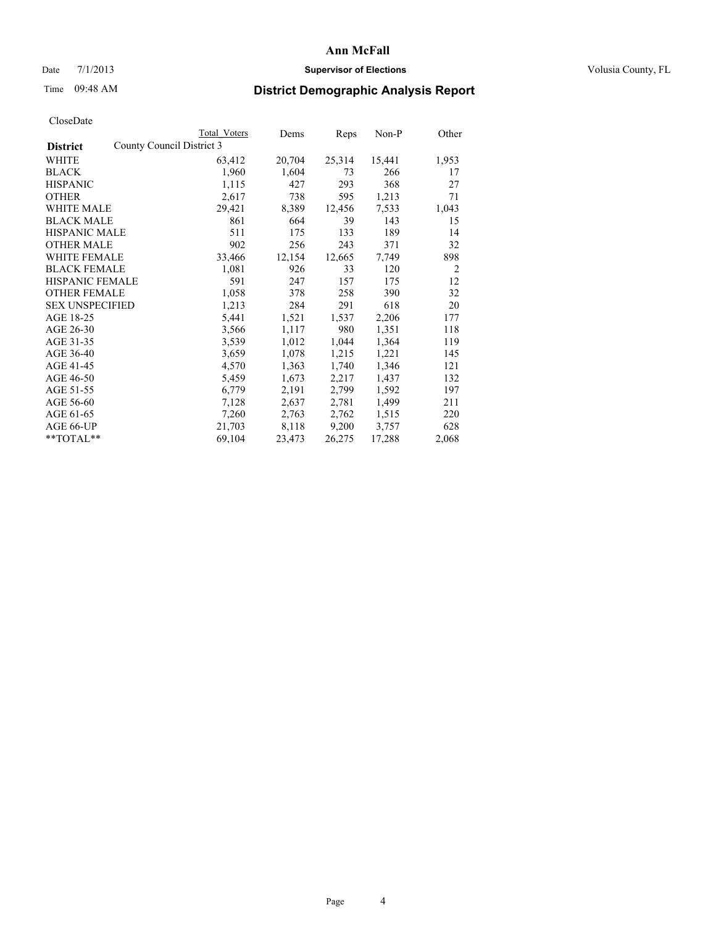# Date  $7/1/2013$  **Supervisor of Elections Supervisor of Elections** Volusia County, FL

# Time 09:48 AM **District Demographic Analysis Report**

|                                              | Total Voters | Dems   | Reps   | $Non-P$ | Other          |
|----------------------------------------------|--------------|--------|--------|---------|----------------|
| County Council District 3<br><b>District</b> |              |        |        |         |                |
| WHITE                                        | 63,412       | 20,704 | 25,314 | 15,441  | 1,953          |
| <b>BLACK</b>                                 | 1,960        | 1,604  | 73     | 266     | 17             |
| <b>HISPANIC</b>                              | 1,115        | 427    | 293    | 368     | 27             |
| <b>OTHER</b>                                 | 2,617        | 738    | 595    | 1,213   | 71             |
| <b>WHITE MALE</b>                            | 29,421       | 8,389  | 12,456 | 7,533   | 1,043          |
| <b>BLACK MALE</b>                            | 861          | 664    | 39     | 143     | 15             |
| <b>HISPANIC MALE</b>                         | 511          | 175    | 133    | 189     | 14             |
| <b>OTHER MALE</b>                            | 902          | 256    | 243    | 371     | 32             |
| <b>WHITE FEMALE</b>                          | 33,466       | 12,154 | 12,665 | 7.749   | 898            |
| <b>BLACK FEMALE</b>                          | 1,081        | 926    | 33     | 120     | $\overline{2}$ |
| <b>HISPANIC FEMALE</b>                       | 591          | 247    | 157    | 175     | 12             |
| <b>OTHER FEMALE</b>                          | 1,058        | 378    | 258    | 390     | 32             |
| <b>SEX UNSPECIFIED</b>                       | 1,213        | 284    | 291    | 618     | 20             |
| AGE 18-25                                    | 5,441        | 1,521  | 1,537  | 2,206   | 177            |
| AGE 26-30                                    | 3,566        | 1,117  | 980    | 1,351   | 118            |
| AGE 31-35                                    | 3,539        | 1,012  | 1,044  | 1,364   | 119            |
| AGE 36-40                                    | 3,659        | 1,078  | 1,215  | 1,221   | 145            |
| AGE 41-45                                    | 4,570        | 1,363  | 1,740  | 1,346   | 121            |
| AGE 46-50                                    | 5,459        | 1,673  | 2,217  | 1,437   | 132            |
| AGE 51-55                                    | 6,779        | 2,191  | 2,799  | 1,592   | 197            |
| AGE 56-60                                    | 7,128        | 2,637  | 2,781  | 1,499   | 211            |
| AGE 61-65                                    | 7,260        | 2,763  | 2,762  | 1,515   | 220            |
| AGE 66-UP                                    | 21,703       | 8,118  | 9,200  | 3,757   | 628            |
| $*$ $TOTAI.**$                               | 69,104       | 23,473 | 26,275 | 17,288  | 2,068          |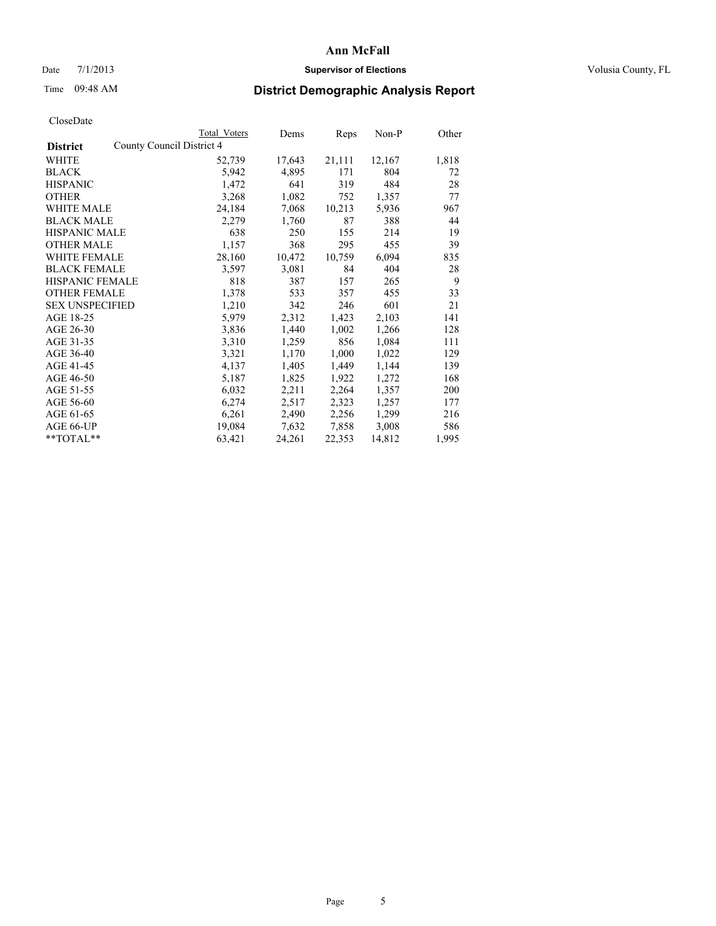# Date  $7/1/2013$  **Supervisor of Elections Supervisor of Elections** Volusia County, FL

# Time 09:48 AM **District Demographic Analysis Report**

|                        |                           | Total Voters | Dems   | Reps   | Non-P  | Other |
|------------------------|---------------------------|--------------|--------|--------|--------|-------|
| <b>District</b>        | County Council District 4 |              |        |        |        |       |
| WHITE                  |                           | 52,739       | 17,643 | 21,111 | 12,167 | 1,818 |
| <b>BLACK</b>           |                           | 5,942        | 4,895  | 171    | 804    | 72    |
| <b>HISPANIC</b>        |                           | 1,472        | 641    | 319    | 484    | 28    |
| <b>OTHER</b>           |                           | 3,268        | 1,082  | 752    | 1,357  | 77    |
| WHITE MALE             |                           | 24,184       | 7,068  | 10,213 | 5,936  | 967   |
| <b>BLACK MALE</b>      |                           | 2,279        | 1,760  | 87     | 388    | 44    |
| <b>HISPANIC MALE</b>   |                           | 638          | 250    | 155    | 214    | 19    |
| <b>OTHER MALE</b>      |                           | 1,157        | 368    | 295    | 455    | 39    |
| <b>WHITE FEMALE</b>    |                           | 28,160       | 10,472 | 10,759 | 6,094  | 835   |
| <b>BLACK FEMALE</b>    |                           | 3,597        | 3,081  | 84     | 404    | 28    |
| <b>HISPANIC FEMALE</b> |                           | 818          | 387    | 157    | 265    | 9     |
| <b>OTHER FEMALE</b>    |                           | 1,378        | 533    | 357    | 455    | 33    |
| <b>SEX UNSPECIFIED</b> |                           | 1,210        | 342    | 246    | 601    | 21    |
| AGE 18-25              |                           | 5,979        | 2,312  | 1,423  | 2,103  | 141   |
| AGE 26-30              |                           | 3,836        | 1,440  | 1,002  | 1,266  | 128   |
| AGE 31-35              |                           | 3,310        | 1,259  | 856    | 1,084  | 111   |
| AGE 36-40              |                           | 3,321        | 1,170  | 1,000  | 1,022  | 129   |
| AGE 41-45              |                           | 4,137        | 1,405  | 1,449  | 1,144  | 139   |
| AGE 46-50              |                           | 5,187        | 1,825  | 1,922  | 1,272  | 168   |
| AGE 51-55              |                           | 6,032        | 2,211  | 2,264  | 1,357  | 200   |
| AGE 56-60              |                           | 6,274        | 2,517  | 2,323  | 1,257  | 177   |
| AGE 61-65              |                           | 6,261        | 2,490  | 2,256  | 1,299  | 216   |
| AGE 66-UP              |                           | 19,084       | 7,632  | 7,858  | 3,008  | 586   |
| **TOTAL**              |                           | 63,421       | 24,261 | 22,353 | 14,812 | 1,995 |
|                        |                           |              |        |        |        |       |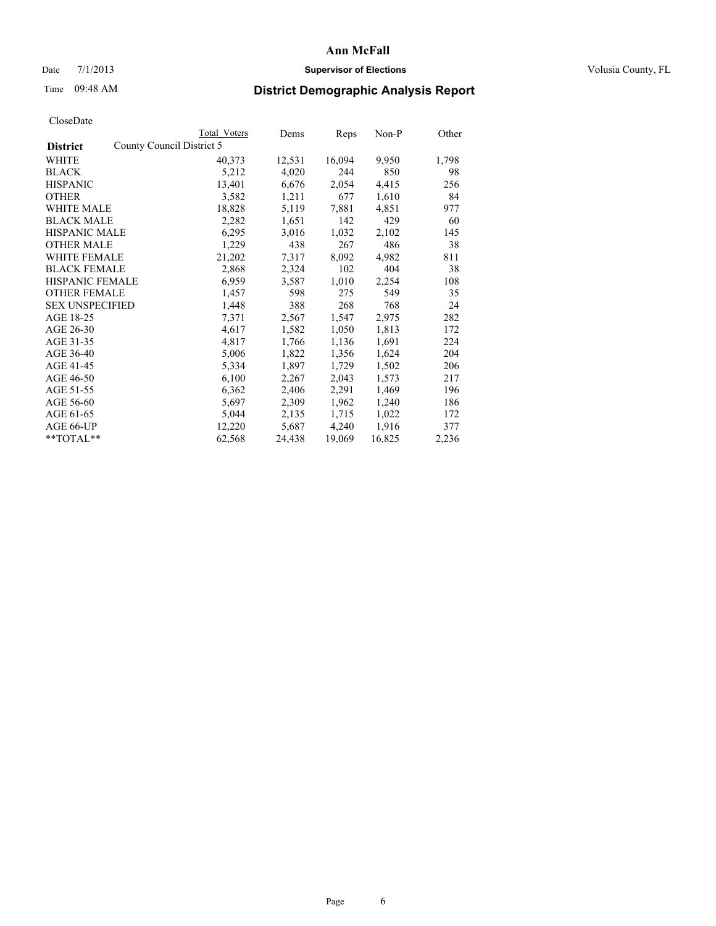# Date  $7/1/2013$  **Supervisor of Elections Supervisor of Elections** Volusia County, FL

# Time 09:48 AM **District Demographic Analysis Report**

|                                              | Total Voters | Dems   | Reps   | $Non-P$ | Other |
|----------------------------------------------|--------------|--------|--------|---------|-------|
| County Council District 5<br><b>District</b> |              |        |        |         |       |
| WHITE                                        | 40,373       | 12,531 | 16,094 | 9,950   | 1,798 |
| <b>BLACK</b>                                 | 5,212        | 4,020  | 244    | 850     | 98    |
| <b>HISPANIC</b>                              | 13,401       | 6,676  | 2,054  | 4,415   | 256   |
| <b>OTHER</b>                                 | 3,582        | 1,211  | 677    | 1,610   | 84    |
| WHITE MALE                                   | 18,828       | 5,119  | 7,881  | 4,851   | 977   |
| <b>BLACK MALE</b>                            | 2,282        | 1,651  | 142    | 429     | 60    |
| <b>HISPANIC MALE</b>                         | 6,295        | 3,016  | 1,032  | 2,102   | 145   |
| <b>OTHER MALE</b>                            | 1,229        | 438    | 267    | 486     | 38    |
| <b>WHITE FEMALE</b>                          | 21,202       | 7,317  | 8,092  | 4,982   | 811   |
| <b>BLACK FEMALE</b>                          | 2,868        | 2,324  | 102    | 404     | 38    |
| HISPANIC FEMALE                              | 6,959        | 3,587  | 1,010  | 2,254   | 108   |
| <b>OTHER FEMALE</b>                          | 1,457        | 598    | 275    | 549     | 35    |
| <b>SEX UNSPECIFIED</b>                       | 1,448        | 388    | 268    | 768     | 24    |
| AGE 18-25                                    | 7,371        | 2,567  | 1,547  | 2,975   | 282   |
| AGE 26-30                                    | 4,617        | 1,582  | 1,050  | 1,813   | 172   |
| AGE 31-35                                    | 4,817        | 1,766  | 1,136  | 1,691   | 224   |
| AGE 36-40                                    | 5,006        | 1,822  | 1,356  | 1,624   | 204   |
| AGE 41-45                                    | 5,334        | 1,897  | 1,729  | 1,502   | 206   |
| AGE 46-50                                    | 6,100        | 2,267  | 2,043  | 1,573   | 217   |
| AGE 51-55                                    | 6,362        | 2,406  | 2,291  | 1,469   | 196   |
| AGE 56-60                                    | 5,697        | 2,309  | 1,962  | 1,240   | 186   |
| AGE 61-65                                    | 5,044        | 2,135  | 1,715  | 1,022   | 172   |
| AGE 66-UP                                    | 12,220       | 5,687  | 4,240  | 1,916   | 377   |
| $*$ TOTAL $*$                                | 62,568       | 24,438 | 19,069 | 16,825  | 2,236 |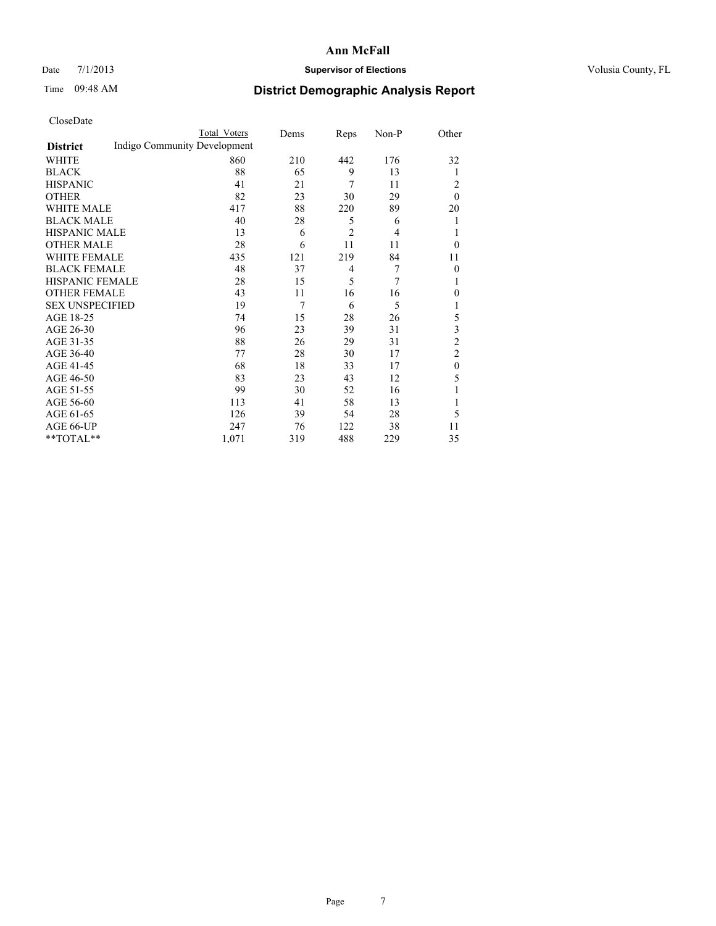# Date  $7/1/2013$  **Supervisor of Elections Supervisor of Elections** Volusia County, FL

# Time 09:48 AM **District Demographic Analysis Report**

|                        |                              | <b>Total Voters</b> | Dems | Reps           | Non-P | Other            |
|------------------------|------------------------------|---------------------|------|----------------|-------|------------------|
| <b>District</b>        | Indigo Community Development |                     |      |                |       |                  |
| WHITE                  |                              | 860                 | 210  | 442            | 176   | 32               |
| <b>BLACK</b>           |                              | 88                  | 65   | 9              | 13    | 1                |
| <b>HISPANIC</b>        |                              | 41                  | 21   | 7              | 11    | 2                |
| <b>OTHER</b>           |                              | 82                  | 23   | 30             | 29    | $\theta$         |
| WHITE MALE             |                              | 417                 | 88   | 220            | 89    | 20               |
| <b>BLACK MALE</b>      |                              | 40                  | 28   | 5              | 6     | 1                |
| <b>HISPANIC MALE</b>   |                              | 13                  | 6    | $\overline{c}$ | 4     | 1                |
| <b>OTHER MALE</b>      |                              | 28                  | 6    | 11             | 11    | $\theta$         |
| <b>WHITE FEMALE</b>    |                              | 435                 | 121  | 219            | 84    | 11               |
| <b>BLACK FEMALE</b>    |                              | 48                  | 37   | 4              | 7     | $\overline{0}$   |
| <b>HISPANIC FEMALE</b> |                              | 28                  | 15   | 5              | 7     | 1                |
| <b>OTHER FEMALE</b>    |                              | 43                  | 11   | 16             | 16    | $\theta$         |
| <b>SEX UNSPECIFIED</b> |                              | 19                  | 7    | 6              | 5     | 1                |
| AGE 18-25              |                              | 74                  | 15   | 28             | 26    | 5                |
| AGE 26-30              |                              | 96                  | 23   | 39             | 31    | 3                |
| AGE 31-35              |                              | 88                  | 26   | 29             | 31    | $\overline{c}$   |
| AGE 36-40              |                              | 77                  | 28   | 30             | 17    | $\overline{2}$   |
| AGE 41-45              |                              | 68                  | 18   | 33             | 17    | $\boldsymbol{0}$ |
| AGE 46-50              |                              | 83                  | 23   | 43             | 12    | 5                |
| AGE 51-55              |                              | 99                  | 30   | 52             | 16    | 1                |
| AGE 56-60              |                              | 113                 | 41   | 58             | 13    | 1                |
| AGE 61-65              |                              | 126                 | 39   | 54             | 28    | 5                |
| AGE 66-UP              |                              | 247                 | 76   | 122            | 38    | 11               |
| **TOTAL**              |                              | 1,071               | 319  | 488            | 229   | 35               |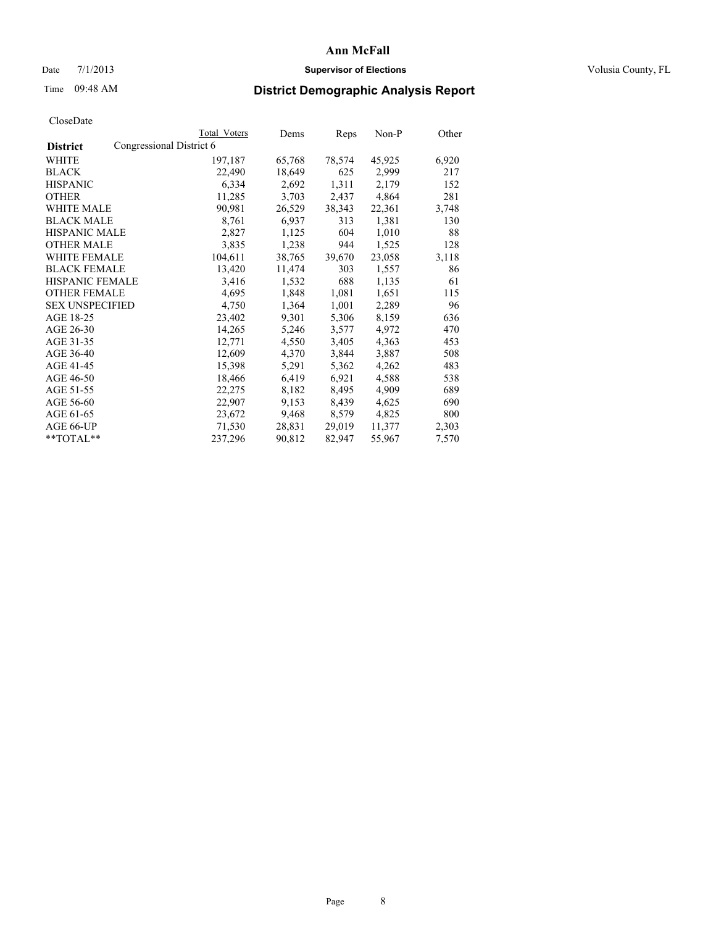# Date  $7/1/2013$  **Supervisor of Elections Supervisor of Elections** Volusia County, FL

# Time 09:48 AM **District Demographic Analysis Report**

|                                             | Total Voters | Dems   | <b>Reps</b> | Non-P  | Other |
|---------------------------------------------|--------------|--------|-------------|--------|-------|
| Congressional District 6<br><b>District</b> |              |        |             |        |       |
| WHITE                                       | 197,187      | 65,768 | 78,574      | 45,925 | 6,920 |
| <b>BLACK</b>                                | 22,490       | 18,649 | 625         | 2,999  | 217   |
| <b>HISPANIC</b>                             | 6,334        | 2,692  | 1,311       | 2,179  | 152   |
| <b>OTHER</b>                                | 11,285       | 3,703  | 2,437       | 4,864  | 281   |
| <b>WHITE MALE</b>                           | 90,981       | 26,529 | 38,343      | 22,361 | 3,748 |
| <b>BLACK MALE</b>                           | 8,761        | 6,937  | 313         | 1,381  | 130   |
| <b>HISPANIC MALE</b>                        | 2,827        | 1,125  | 604         | 1,010  | 88    |
| <b>OTHER MALE</b>                           | 3,835        | 1,238  | 944         | 1,525  | 128   |
| <b>WHITE FEMALE</b>                         | 104,611      | 38,765 | 39,670      | 23,058 | 3,118 |
| <b>BLACK FEMALE</b>                         | 13,420       | 11,474 | 303         | 1,557  | 86    |
| <b>HISPANIC FEMALE</b>                      | 3,416        | 1,532  | 688         | 1,135  | 61    |
| <b>OTHER FEMALE</b>                         | 4,695        | 1,848  | 1,081       | 1,651  | 115   |
| <b>SEX UNSPECIFIED</b>                      | 4,750        | 1,364  | 1,001       | 2,289  | 96    |
| AGE 18-25                                   | 23,402       | 9,301  | 5,306       | 8,159  | 636   |
| AGE 26-30                                   | 14,265       | 5,246  | 3,577       | 4,972  | 470   |
| AGE 31-35                                   | 12,771       | 4,550  | 3,405       | 4,363  | 453   |
| AGE 36-40                                   | 12,609       | 4,370  | 3,844       | 3,887  | 508   |
| AGE 41-45                                   | 15,398       | 5,291  | 5,362       | 4,262  | 483   |
| AGE 46-50                                   | 18,466       | 6,419  | 6,921       | 4,588  | 538   |
| AGE 51-55                                   | 22,275       | 8,182  | 8,495       | 4,909  | 689   |
| AGE 56-60                                   | 22,907       | 9,153  | 8,439       | 4,625  | 690   |
| AGE 61-65                                   | 23,672       | 9,468  | 8,579       | 4,825  | 800   |
| AGE 66-UP                                   | 71,530       | 28,831 | 29,019      | 11,377 | 2,303 |
| $*$ TOTAL $*$                               | 237,296      | 90,812 | 82,947      | 55,967 | 7,570 |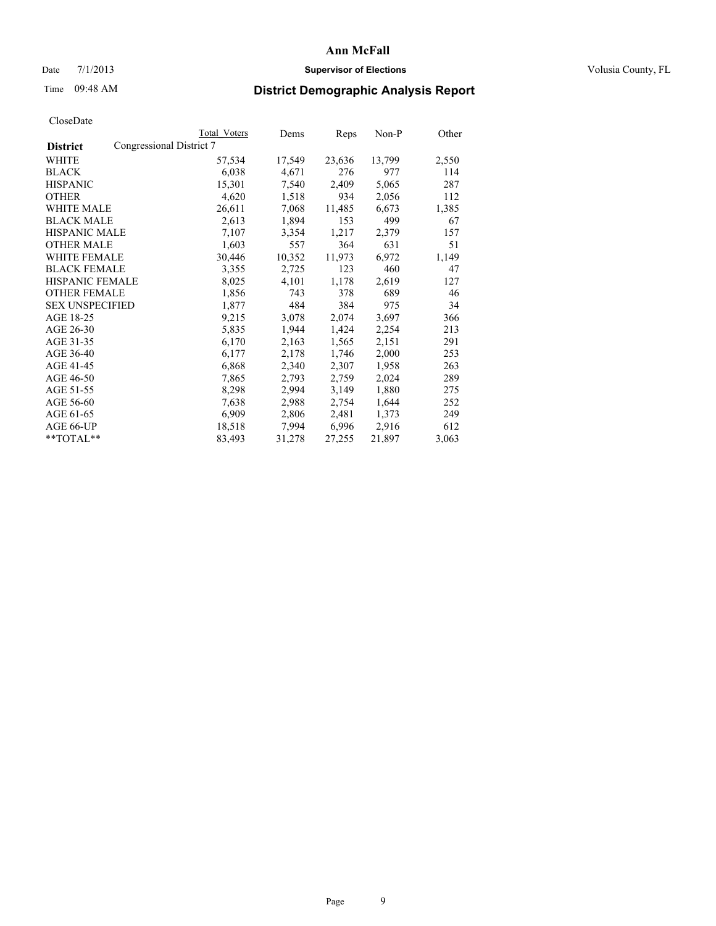# Date  $7/1/2013$  **Supervisor of Elections Supervisor of Elections** Volusia County, FL

# Time 09:48 AM **District Demographic Analysis Report**

|                                             | Total Voters | Dems   | Reps   | Non-P  | Other |
|---------------------------------------------|--------------|--------|--------|--------|-------|
| Congressional District 7<br><b>District</b> |              |        |        |        |       |
| WHITE                                       | 57,534       | 17,549 | 23,636 | 13,799 | 2,550 |
| <b>BLACK</b>                                | 6,038        | 4,671  | 276    | 977    | 114   |
| <b>HISPANIC</b>                             | 15,301       | 7,540  | 2,409  | 5,065  | 287   |
| <b>OTHER</b>                                | 4,620        | 1,518  | 934    | 2,056  | 112   |
| WHITE MALE                                  | 26,611       | 7,068  | 11,485 | 6,673  | 1,385 |
| <b>BLACK MALE</b>                           | 2,613        | 1,894  | 153    | 499    | 67    |
| <b>HISPANIC MALE</b>                        | 7,107        | 3,354  | 1,217  | 2,379  | 157   |
| <b>OTHER MALE</b>                           | 1,603        | 557    | 364    | 631    | 51    |
| WHITE FEMALE                                | 30,446       | 10,352 | 11,973 | 6,972  | 1,149 |
| <b>BLACK FEMALE</b>                         | 3,355        | 2,725  | 123    | 460    | 47    |
| <b>HISPANIC FEMALE</b>                      | 8,025        | 4,101  | 1,178  | 2,619  | 127   |
| <b>OTHER FEMALE</b>                         | 1,856        | 743    | 378    | 689    | 46    |
| <b>SEX UNSPECIFIED</b>                      | 1,877        | 484    | 384    | 975    | 34    |
| AGE 18-25                                   | 9,215        | 3,078  | 2,074  | 3,697  | 366   |
| AGE 26-30                                   | 5,835        | 1,944  | 1,424  | 2,254  | 213   |
| AGE 31-35                                   | 6,170        | 2,163  | 1,565  | 2,151  | 291   |
| AGE 36-40                                   | 6,177        | 2,178  | 1,746  | 2,000  | 253   |
| AGE 41-45                                   | 6,868        | 2,340  | 2,307  | 1,958  | 263   |
| AGE 46-50                                   | 7,865        | 2,793  | 2,759  | 2,024  | 289   |
| AGE 51-55                                   | 8,298        | 2,994  | 3,149  | 1,880  | 275   |
| AGE 56-60                                   | 7,638        | 2,988  | 2,754  | 1,644  | 252   |
| AGE 61-65                                   | 6,909        | 2,806  | 2,481  | 1,373  | 249   |
| AGE 66-UP                                   | 18,518       | 7,994  | 6,996  | 2,916  | 612   |
| **TOTAL**                                   | 83,493       | 31,278 | 27,255 | 21,897 | 3,063 |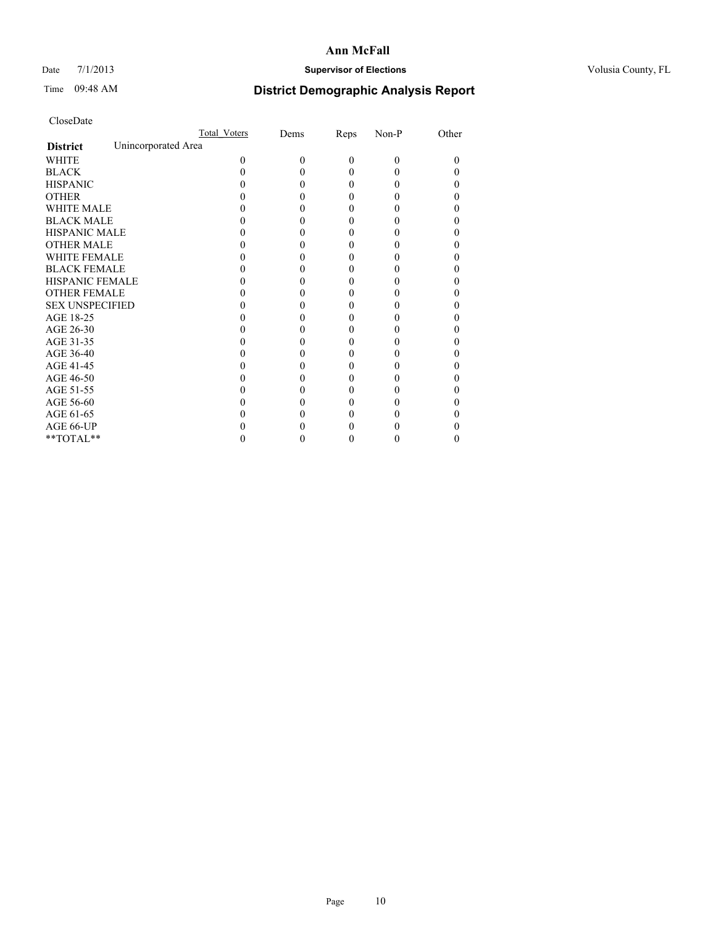# Date  $7/1/2013$  **Supervisor of Elections Supervisor of Elections** Volusia County, FL

# Time 09:48 AM **District Demographic Analysis Report**

|                                        | Total Voters | Dems | Reps     | Non-P    | Other |
|----------------------------------------|--------------|------|----------|----------|-------|
| Unincorporated Area<br><b>District</b> |              |      |          |          |       |
| <b>WHITE</b>                           | 0            | 0    | $\theta$ | $\Omega$ | 0     |
| <b>BLACK</b>                           |              |      | 0        | 0        |       |
| <b>HISPANIC</b>                        |              |      | 0        | 0        |       |
| <b>OTHER</b>                           |              |      |          |          |       |
| <b>WHITE MALE</b>                      |              |      |          |          |       |
| <b>BLACK MALE</b>                      |              |      | 0        |          |       |
| <b>HISPANIC MALE</b>                   |              |      |          |          |       |
| <b>OTHER MALE</b>                      |              |      | 0        |          |       |
| <b>WHITE FEMALE</b>                    |              |      |          |          |       |
| <b>BLACK FEMALE</b>                    |              |      | 0        |          |       |
| HISPANIC FEMALE                        |              |      |          |          |       |
| <b>OTHER FEMALE</b>                    |              |      |          |          |       |
| <b>SEX UNSPECIFIED</b>                 |              |      |          |          |       |
| AGE 18-25                              |              |      |          |          |       |
| AGE 26-30                              |              |      |          |          |       |
| AGE 31-35                              |              |      |          |          |       |
| AGE 36-40                              |              |      | 0        |          |       |
| AGE 41-45                              |              |      |          |          |       |
| AGE 46-50                              |              |      |          |          |       |
| AGE 51-55                              |              |      |          |          |       |
| AGE 56-60                              |              |      |          |          |       |
| AGE 61-65                              |              |      |          |          |       |
| AGE 66-UP                              |              |      |          |          |       |
| $**TOTAL**$                            |              |      | 0        | 0        | 0     |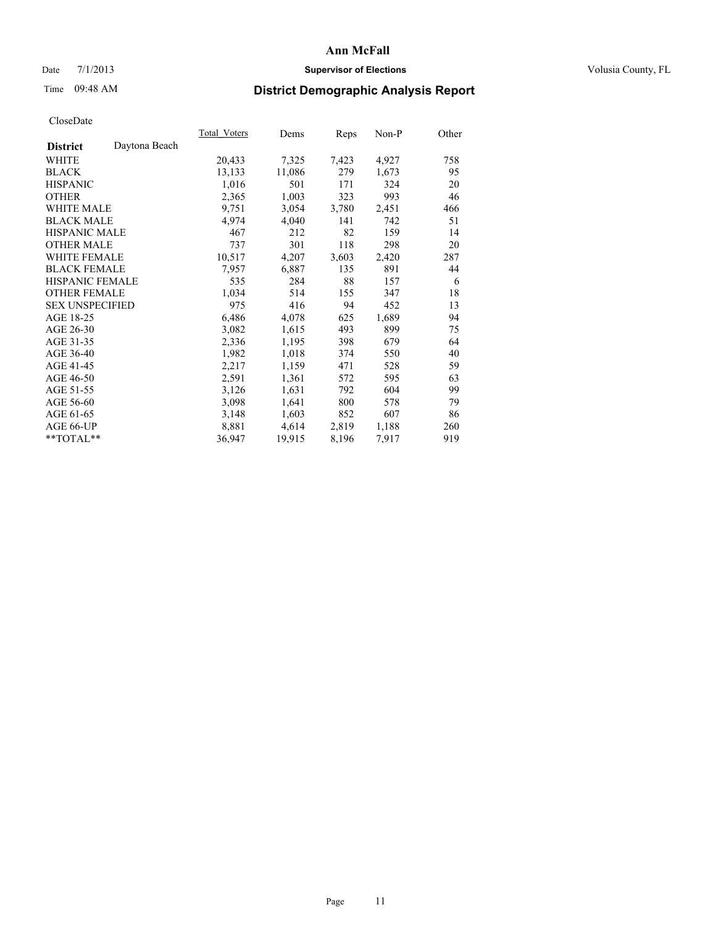# Date  $7/1/2013$  **Supervisor of Elections Supervisor of Elections** Volusia County, FL

# Time 09:48 AM **District Demographic Analysis Report**

|                                  | Total Voters | Dems   | Reps  | Non-P | Other |
|----------------------------------|--------------|--------|-------|-------|-------|
| Daytona Beach<br><b>District</b> |              |        |       |       |       |
| WHITE                            | 20,433       | 7,325  | 7,423 | 4,927 | 758   |
| <b>BLACK</b>                     | 13,133       | 11,086 | 279   | 1,673 | 95    |
| <b>HISPANIC</b>                  | 1,016        | 501    | 171   | 324   | 20    |
| <b>OTHER</b>                     | 2,365        | 1,003  | 323   | 993   | 46    |
| <b>WHITE MALE</b>                | 9,751        | 3,054  | 3,780 | 2,451 | 466   |
| <b>BLACK MALE</b>                | 4,974        | 4,040  | 141   | 742   | 51    |
| <b>HISPANIC MALE</b>             | 467          | 212    | 82    | 159   | 14    |
| <b>OTHER MALE</b>                | 737          | 301    | 118   | 298   | 20    |
| <b>WHITE FEMALE</b>              | 10,517       | 4,207  | 3,603 | 2,420 | 287   |
| <b>BLACK FEMALE</b>              | 7,957        | 6,887  | 135   | 891   | 44    |
| <b>HISPANIC FEMALE</b>           | 535          | 284    | 88    | 157   | 6     |
| <b>OTHER FEMALE</b>              | 1,034        | 514    | 155   | 347   | 18    |
| <b>SEX UNSPECIFIED</b>           | 975          | 416    | 94    | 452   | 13    |
| AGE 18-25                        | 6,486        | 4,078  | 625   | 1,689 | 94    |
| AGE 26-30                        | 3,082        | 1,615  | 493   | 899   | 75    |
| AGE 31-35                        | 2,336        | 1,195  | 398   | 679   | 64    |
| AGE 36-40                        | 1,982        | 1,018  | 374   | 550   | 40    |
| AGE 41-45                        | 2,217        | 1,159  | 471   | 528   | 59    |
| AGE 46-50                        | 2,591        | 1,361  | 572   | 595   | 63    |
| AGE 51-55                        | 3,126        | 1,631  | 792   | 604   | 99    |
| AGE 56-60                        | 3,098        | 1,641  | 800   | 578   | 79    |
| AGE 61-65                        | 3,148        | 1,603  | 852   | 607   | 86    |
| AGE 66-UP                        | 8,881        | 4,614  | 2,819 | 1,188 | 260   |
| $*$ TOTAL $*$                    | 36,947       | 19,915 | 8,196 | 7,917 | 919   |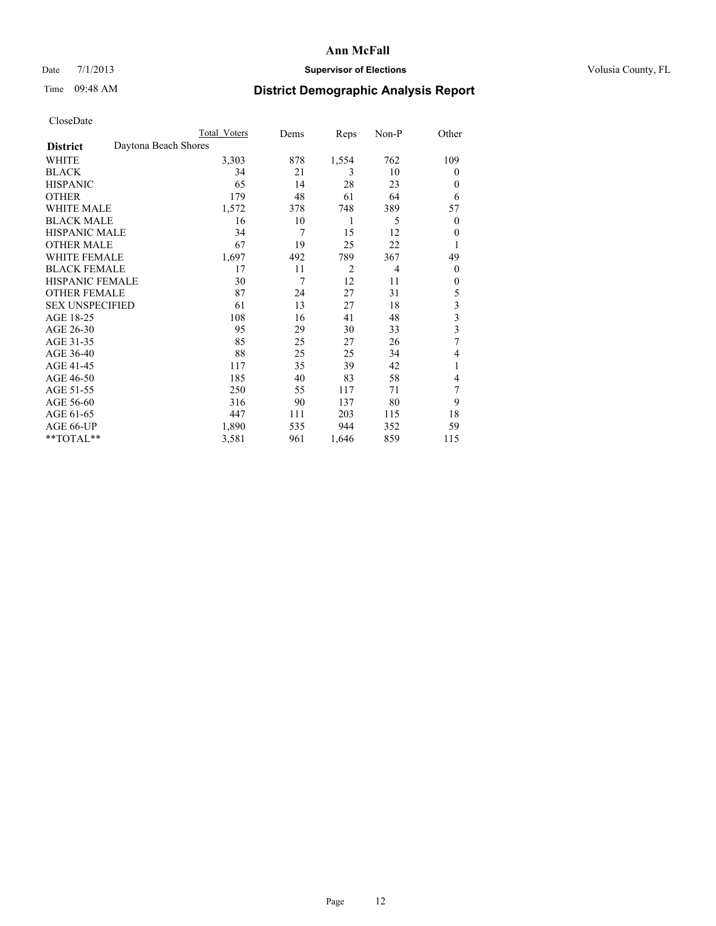# Date 7/1/2013 **Supervisor of Elections Supervisor of Elections** Volusia County, FL

# Time 09:48 AM **District Demographic Analysis Report**

|                        | Total Voters         | Dems | Reps           | Non-P          | Other                   |
|------------------------|----------------------|------|----------------|----------------|-------------------------|
| <b>District</b>        | Daytona Beach Shores |      |                |                |                         |
| WHITE                  | 3,303                | 878  | 1,554          | 762            | 109                     |
| <b>BLACK</b>           | 34                   | 21   | 3              | 10             | $\Omega$                |
| <b>HISPANIC</b>        | 65                   | 14   | 28             | 23             | $\Omega$                |
| <b>OTHER</b>           | 179                  | 48   | 61             | 64             | 6                       |
| WHITE MALE             | 1,572                | 378  | 748            | 389            | 57                      |
| <b>BLACK MALE</b>      | 16                   | 10   | 1              | 5              | $\overline{0}$          |
| <b>HISPANIC MALE</b>   | 34                   | 7    | 15             | 12             | $\overline{0}$          |
| <b>OTHER MALE</b>      | 67                   | 19   | 25             | 22             | 1                       |
| WHITE FEMALE           | 1,697                | 492  | 789            | 367            | 49                      |
| <b>BLACK FEMALE</b>    | 17                   | 11   | $\overline{2}$ | $\overline{4}$ | $\overline{0}$          |
| <b>HISPANIC FEMALE</b> | 30                   | 7    | 12             | 11             | $\Omega$                |
| <b>OTHER FEMALE</b>    | 87                   | 24   | 27             | 31             | 5                       |
| <b>SEX UNSPECIFIED</b> | 61                   | 13   | 27             | 18             | 3                       |
| AGE 18-25              | 108                  | 16   | 41             | 48             | $\overline{\mathbf{3}}$ |
| AGE 26-30              | 95                   | 29   | 30             | 33             | $\overline{\mathbf{3}}$ |
| AGE 31-35              | 85                   | 25   | 27             | 26             | 7                       |
| AGE 36-40              | 88                   | 25   | 25             | 34             | 4                       |
| AGE 41-45              | 117                  | 35   | 39             | 42             | 1                       |
| AGE 46-50              | 185                  | 40   | 83             | 58             | $\overline{4}$          |
| AGE 51-55              | 250                  | 55   | 117            | 71             | 7                       |
| AGE 56-60              | 316                  | 90   | 137            | 80             | 9                       |
| AGE 61-65              | 447                  | 111  | 203            | 115            | 18                      |
| AGE 66-UP              | 1,890                | 535  | 944            | 352            | 59                      |
| **TOTAL**              | 3,581                | 961  | 1,646          | 859            | 115                     |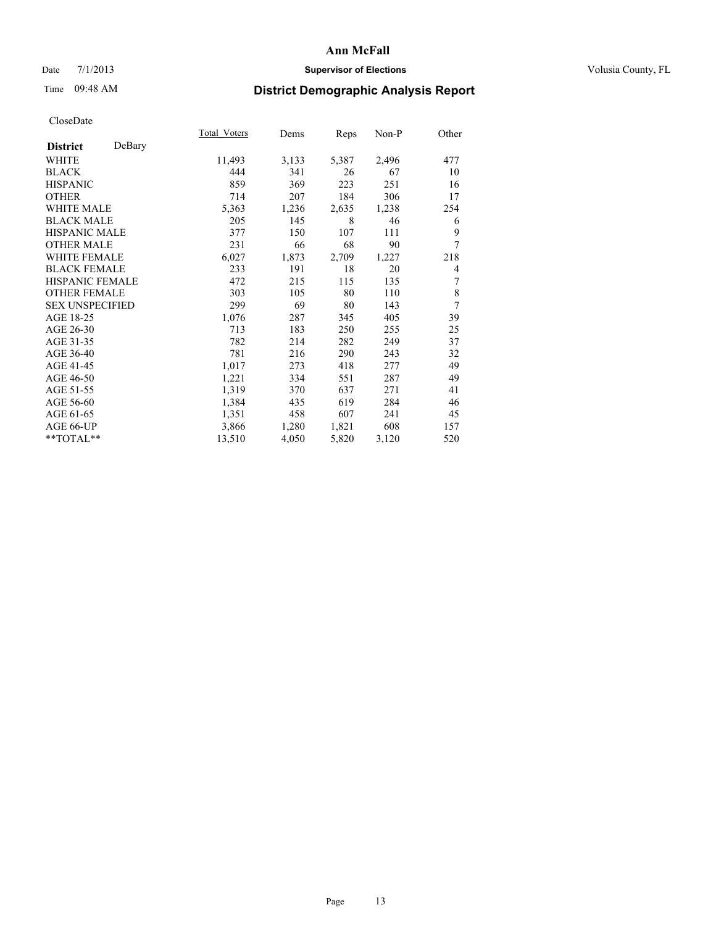# Date 7/1/2013 **Supervisor of Elections Supervisor of Elections** Volusia County, FL

# Time 09:48 AM **District Demographic Analysis Report**

|                        |        | Total Voters | Dems  | Reps  | Non-P | Other |
|------------------------|--------|--------------|-------|-------|-------|-------|
| <b>District</b>        | DeBary |              |       |       |       |       |
| WHITE                  |        | 11,493       | 3,133 | 5,387 | 2,496 | 477   |
| <b>BLACK</b>           |        | 444          | 341   | 26    | 67    | 10    |
| <b>HISPANIC</b>        |        | 859          | 369   | 223   | 251   | 16    |
| <b>OTHER</b>           |        | 714          | 207   | 184   | 306   | 17    |
| WHITE MALE             |        | 5,363        | 1,236 | 2,635 | 1,238 | 254   |
| <b>BLACK MALE</b>      |        | 205          | 145   | 8     | 46    | 6     |
| <b>HISPANIC MALE</b>   |        | 377          | 150   | 107   | 111   | 9     |
| <b>OTHER MALE</b>      |        | 231          | 66    | 68    | 90    | 7     |
| <b>WHITE FEMALE</b>    |        | 6,027        | 1,873 | 2,709 | 1,227 | 218   |
| <b>BLACK FEMALE</b>    |        | 233          | 191   | 18    | 20    | 4     |
| <b>HISPANIC FEMALE</b> |        | 472          | 215   | 115   | 135   | 7     |
| <b>OTHER FEMALE</b>    |        | 303          | 105   | 80    | 110   | 8     |
| <b>SEX UNSPECIFIED</b> |        | 299          | 69    | 80    | 143   | 7     |
| AGE 18-25              |        | 1,076        | 287   | 345   | 405   | 39    |
| AGE 26-30              |        | 713          | 183   | 250   | 255   | 25    |
| AGE 31-35              |        | 782          | 214   | 282   | 249   | 37    |
| AGE 36-40              |        | 781          | 216   | 290   | 243   | 32    |
| AGE 41-45              |        | 1,017        | 273   | 418   | 277   | 49    |
| AGE 46-50              |        | 1,221        | 334   | 551   | 287   | 49    |
| AGE 51-55              |        | 1,319        | 370   | 637   | 271   | 41    |
| AGE 56-60              |        | 1,384        | 435   | 619   | 284   | 46    |
| AGE 61-65              |        | 1,351        | 458   | 607   | 241   | 45    |
| AGE 66-UP              |        | 3,866        | 1,280 | 1,821 | 608   | 157   |
| **TOTAL**              |        | 13,510       | 4,050 | 5,820 | 3,120 | 520   |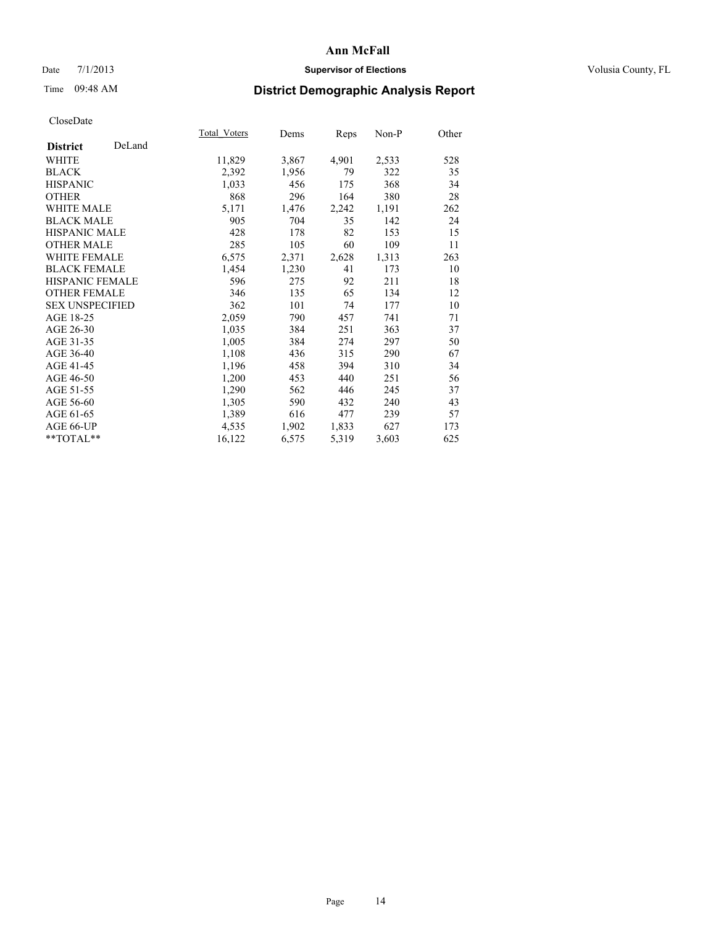# Date 7/1/2013 **Supervisor of Elections Supervisor of Elections** Volusia County, FL

# Time 09:48 AM **District Demographic Analysis Report**

|                        |        | Total Voters | Dems  | <b>Reps</b> | Non-P | Other |
|------------------------|--------|--------------|-------|-------------|-------|-------|
| <b>District</b>        | DeLand |              |       |             |       |       |
| WHITE                  |        | 11,829       | 3,867 | 4,901       | 2,533 | 528   |
| <b>BLACK</b>           |        | 2,392        | 1,956 | 79          | 322   | 35    |
| <b>HISPANIC</b>        |        | 1,033        | 456   | 175         | 368   | 34    |
| <b>OTHER</b>           |        | 868          | 296   | 164         | 380   | 28    |
| <b>WHITE MALE</b>      |        | 5,171        | 1,476 | 2,242       | 1,191 | 262   |
| <b>BLACK MALE</b>      |        | 905          | 704   | 35          | 142   | 24    |
| HISPANIC MALE          |        | 428          | 178   | 82          | 153   | 15    |
| <b>OTHER MALE</b>      |        | 285          | 105   | 60          | 109   | 11    |
| WHITE FEMALE           |        | 6,575        | 2,371 | 2,628       | 1,313 | 263   |
| <b>BLACK FEMALE</b>    |        | 1,454        | 1,230 | 41          | 173   | 10    |
| HISPANIC FEMALE        |        | 596          | 275   | 92          | 211   | 18    |
| <b>OTHER FEMALE</b>    |        | 346          | 135   | 65          | 134   | 12    |
| <b>SEX UNSPECIFIED</b> |        | 362          | 101   | 74          | 177   | 10    |
| AGE 18-25              |        | 2,059        | 790   | 457         | 741   | 71    |
| AGE 26-30              |        | 1,035        | 384   | 251         | 363   | 37    |
| AGE 31-35              |        | 1,005        | 384   | 274         | 297   | 50    |
| AGE 36-40              |        | 1,108        | 436   | 315         | 290   | 67    |
| AGE 41-45              |        | 1,196        | 458   | 394         | 310   | 34    |
| AGE 46-50              |        | 1,200        | 453   | 440         | 251   | 56    |
| AGE 51-55              |        | 1,290        | 562   | 446         | 245   | 37    |
| AGE 56-60              |        | 1,305        | 590   | 432         | 240   | 43    |
| AGE 61-65              |        | 1,389        | 616   | 477         | 239   | 57    |
| AGE 66-UP              |        | 4,535        | 1,902 | 1,833       | 627   | 173   |
| **TOTAL**              |        | 16,122       | 6,575 | 5,319       | 3,603 | 625   |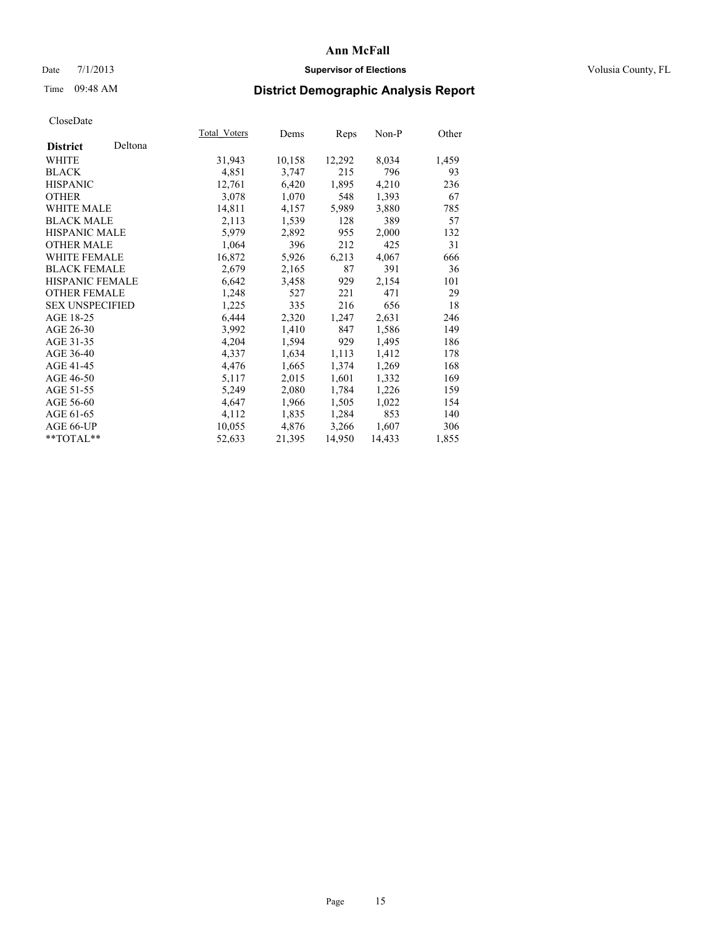# Date  $7/1/2013$  **Supervisor of Elections Supervisor of Elections** Volusia County, FL

# Time 09:48 AM **District Demographic Analysis Report**

|                        |         | Total Voters | Dems   | Reps   | Non-P  | Other |
|------------------------|---------|--------------|--------|--------|--------|-------|
| <b>District</b>        | Deltona |              |        |        |        |       |
| WHITE                  |         | 31,943       | 10,158 | 12,292 | 8,034  | 1,459 |
| <b>BLACK</b>           |         | 4,851        | 3,747  | 215    | 796    | 93    |
| <b>HISPANIC</b>        |         | 12,761       | 6,420  | 1,895  | 4,210  | 236   |
| <b>OTHER</b>           |         | 3,078        | 1,070  | 548    | 1,393  | 67    |
| <b>WHITE MALE</b>      |         | 14,811       | 4,157  | 5,989  | 3,880  | 785   |
| <b>BLACK MALE</b>      |         | 2,113        | 1,539  | 128    | 389    | 57    |
| <b>HISPANIC MALE</b>   |         | 5,979        | 2,892  | 955    | 2,000  | 132   |
| <b>OTHER MALE</b>      |         | 1,064        | 396    | 212    | 425    | 31    |
| <b>WHITE FEMALE</b>    |         | 16,872       | 5,926  | 6,213  | 4,067  | 666   |
| <b>BLACK FEMALE</b>    |         | 2,679        | 2,165  | 87     | 391    | 36    |
| <b>HISPANIC FEMALE</b> |         | 6,642        | 3,458  | 929    | 2,154  | 101   |
| <b>OTHER FEMALE</b>    |         | 1,248        | 527    | 221    | 471    | 29    |
| <b>SEX UNSPECIFIED</b> |         | 1,225        | 335    | 216    | 656    | 18    |
| AGE 18-25              |         | 6,444        | 2,320  | 1,247  | 2,631  | 246   |
| AGE 26-30              |         | 3,992        | 1,410  | 847    | 1,586  | 149   |
| AGE 31-35              |         | 4,204        | 1,594  | 929    | 1,495  | 186   |
| AGE 36-40              |         | 4,337        | 1,634  | 1,113  | 1,412  | 178   |
| AGE 41-45              |         | 4,476        | 1,665  | 1,374  | 1,269  | 168   |
| AGE 46-50              |         | 5,117        | 2,015  | 1,601  | 1,332  | 169   |
| AGE 51-55              |         | 5,249        | 2,080  | 1,784  | 1,226  | 159   |
| AGE 56-60              |         | 4,647        | 1,966  | 1,505  | 1,022  | 154   |
| AGE 61-65              |         | 4,112        | 1,835  | 1,284  | 853    | 140   |
| AGE 66-UP              |         | 10,055       | 4,876  | 3,266  | 1,607  | 306   |
| $*$ TOTAL $*$          |         | 52,633       | 21,395 | 14,950 | 14,433 | 1,855 |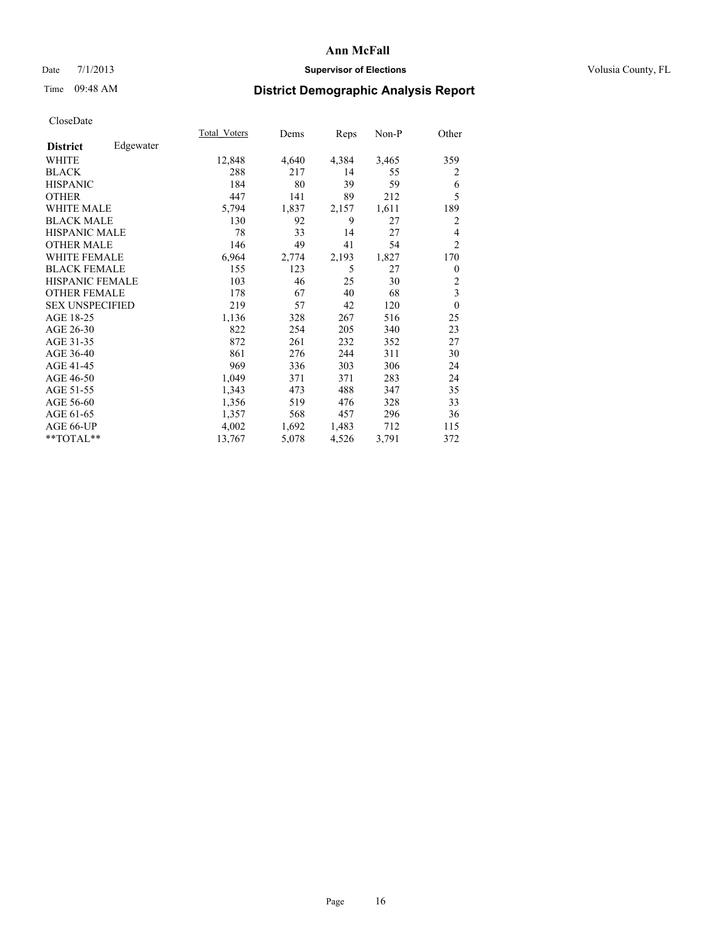# Date 7/1/2013 **Supervisor of Elections Supervisor of Elections** Volusia County, FL

# Time 09:48 AM **District Demographic Analysis Report**

|                        |           | Total Voters | Dems  | Reps  | Non-P | Other          |
|------------------------|-----------|--------------|-------|-------|-------|----------------|
| <b>District</b>        | Edgewater |              |       |       |       |                |
| WHITE                  |           | 12,848       | 4,640 | 4,384 | 3,465 | 359            |
| <b>BLACK</b>           |           | 288          | 217   | 14    | 55    | 2              |
| <b>HISPANIC</b>        |           | 184          | 80    | 39    | 59    | 6              |
| <b>OTHER</b>           |           | 447          | 141   | 89    | 212   | 5              |
| WHITE MALE             |           | 5,794        | 1,837 | 2,157 | 1,611 | 189            |
| <b>BLACK MALE</b>      |           | 130          | 92    | 9     | 27    | $\overline{2}$ |
| <b>HISPANIC MALE</b>   |           | 78           | 33    | 14    | 27    | 4              |
| <b>OTHER MALE</b>      |           | 146          | 49    | 41    | 54    | $\overline{2}$ |
| <b>WHITE FEMALE</b>    |           | 6,964        | 2,774 | 2,193 | 1,827 | 170            |
| <b>BLACK FEMALE</b>    |           | 155          | 123   | 5     | 27    | $\overline{0}$ |
| <b>HISPANIC FEMALE</b> |           | 103          | 46    | 25    | 30    | $\overline{c}$ |
| <b>OTHER FEMALE</b>    |           | 178          | 67    | 40    | 68    | 3              |
| <b>SEX UNSPECIFIED</b> |           | 219          | 57    | 42    | 120   | $\theta$       |
| AGE 18-25              |           | 1,136        | 328   | 267   | 516   | 25             |
| AGE 26-30              |           | 822          | 254   | 205   | 340   | 23             |
| AGE 31-35              |           | 872          | 261   | 232   | 352   | 27             |
| AGE 36-40              |           | 861          | 276   | 244   | 311   | 30             |
| AGE 41-45              |           | 969          | 336   | 303   | 306   | 24             |
| AGE 46-50              |           | 1,049        | 371   | 371   | 283   | 24             |
| AGE 51-55              |           | 1,343        | 473   | 488   | 347   | 35             |
| AGE 56-60              |           | 1,356        | 519   | 476   | 328   | 33             |
| AGE 61-65              |           | 1,357        | 568   | 457   | 296   | 36             |
| AGE 66-UP              |           | 4,002        | 1,692 | 1,483 | 712   | 115            |
| **TOTAL**              |           | 13,767       | 5,078 | 4,526 | 3,791 | 372            |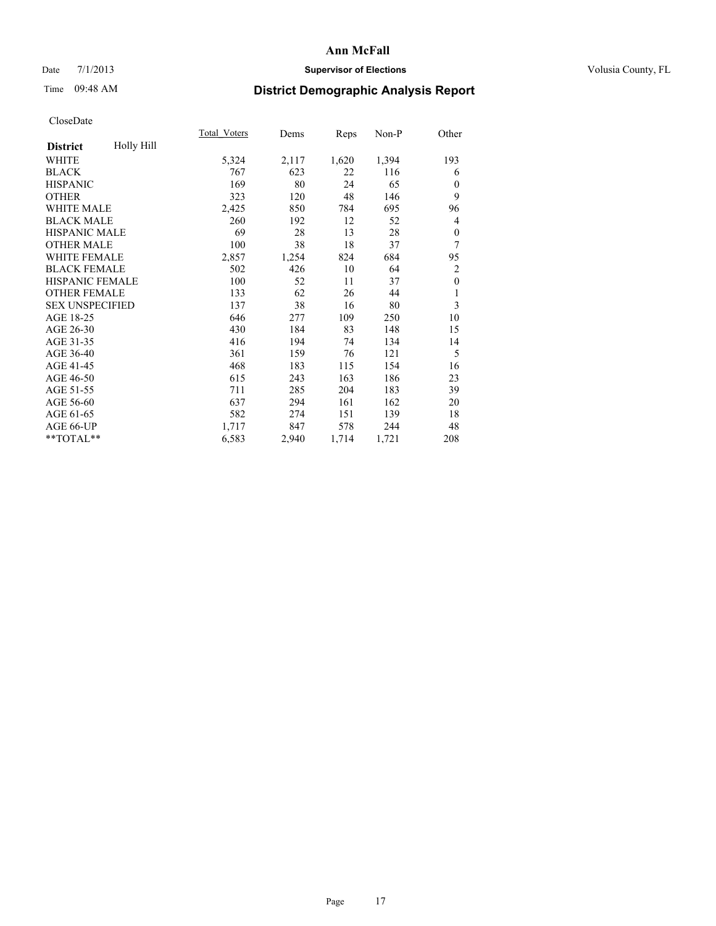# Date  $7/1/2013$  **Supervisor of Elections Supervisor of Elections** Volusia County, FL

# Time 09:48 AM **District Demographic Analysis Report**

|                        |            | Total Voters | Dems  | Reps  | $Non-P$ | Other            |
|------------------------|------------|--------------|-------|-------|---------|------------------|
| <b>District</b>        | Holly Hill |              |       |       |         |                  |
| WHITE                  |            | 5,324        | 2,117 | 1,620 | 1,394   | 193              |
| <b>BLACK</b>           |            | 767          | 623   | 22    | 116     | 6                |
| <b>HISPANIC</b>        |            | 169          | 80    | 24    | 65      | $\mathbf{0}$     |
| <b>OTHER</b>           |            | 323          | 120   | 48    | 146     | 9                |
| <b>WHITE MALE</b>      |            | 2,425        | 850   | 784   | 695     | 96               |
| <b>BLACK MALE</b>      |            | 260          | 192   | 12    | 52      | 4                |
| <b>HISPANIC MALE</b>   |            | 69           | 28    | 13    | 28      | $\boldsymbol{0}$ |
| <b>OTHER MALE</b>      |            | 100          | 38    | 18    | 37      | 7                |
| <b>WHITE FEMALE</b>    |            | 2,857        | 1,254 | 824   | 684     | 95               |
| <b>BLACK FEMALE</b>    |            | 502          | 426   | 10    | 64      | $\overline{2}$   |
| HISPANIC FEMALE        |            | 100          | 52    | 11    | 37      | $\mathbf{0}$     |
| <b>OTHER FEMALE</b>    |            | 133          | 62    | 26    | 44      | 1                |
| <b>SEX UNSPECIFIED</b> |            | 137          | 38    | 16    | 80      | 3                |
| AGE 18-25              |            | 646          | 277   | 109   | 250     | 10               |
| AGE 26-30              |            | 430          | 184   | 83    | 148     | 15               |
| AGE 31-35              |            | 416          | 194   | 74    | 134     | 14               |
| AGE 36-40              |            | 361          | 159   | 76    | 121     | 5                |
| AGE 41-45              |            | 468          | 183   | 115   | 154     | 16               |
| AGE 46-50              |            | 615          | 243   | 163   | 186     | 23               |
| AGE 51-55              |            | 711          | 285   | 204   | 183     | 39               |
| AGE 56-60              |            | 637          | 294   | 161   | 162     | 20               |
| AGE 61-65              |            | 582          | 274   | 151   | 139     | 18               |
| AGE 66-UP              |            | 1,717        | 847   | 578   | 244     | 48               |
| $*$ TOTAL $**$         |            | 6,583        | 2,940 | 1,714 | 1,721   | 208              |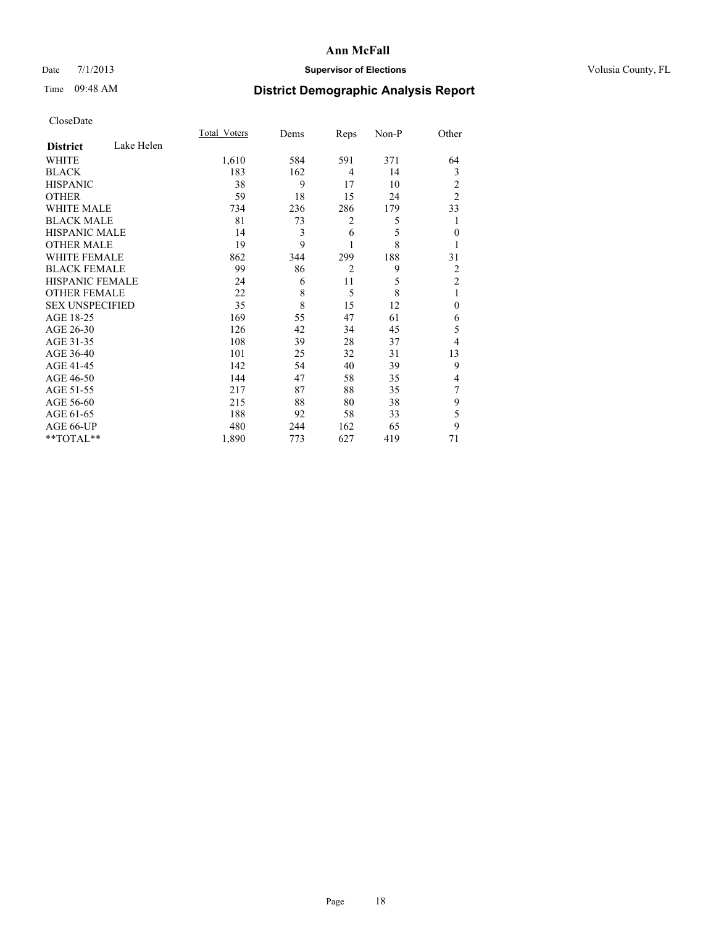# Date 7/1/2013 **Supervisor of Elections Supervisor of Elections** Volusia County, FL

# Time 09:48 AM **District Demographic Analysis Report**

|                        |            | <b>Total Voters</b> | Dems | Reps           | Non-P | Other          |
|------------------------|------------|---------------------|------|----------------|-------|----------------|
| <b>District</b>        | Lake Helen |                     |      |                |       |                |
| <b>WHITE</b>           |            | 1,610               | 584  | 591            | 371   | 64             |
| <b>BLACK</b>           |            | 183                 | 162  | 4              | 14    | 3              |
| <b>HISPANIC</b>        |            | 38                  | 9    | 17             | 10    | 2              |
| <b>OTHER</b>           |            | 59                  | 18   | 15             | 24    | $\overline{2}$ |
| WHITE MALE             |            | 734                 | 236  | 286            | 179   | 33             |
| <b>BLACK MALE</b>      |            | 81                  | 73   | 2              | 5     | 1              |
| <b>HISPANIC MALE</b>   |            | 14                  | 3    | 6              | 5     | $\theta$       |
| <b>OTHER MALE</b>      |            | 19                  | 9    | 1              | 8     |                |
| <b>WHITE FEMALE</b>    |            | 862                 | 344  | 299            | 188   | 31             |
| <b>BLACK FEMALE</b>    |            | 99                  | 86   | $\overline{2}$ | 9     | $\overline{2}$ |
| HISPANIC FEMALE        |            | 24                  | 6    | 11             | 5     | $\overline{2}$ |
| <b>OTHER FEMALE</b>    |            | 22                  | 8    | 5              | 8     | 1              |
| <b>SEX UNSPECIFIED</b> |            | 35                  | 8    | 15             | 12    | $\theta$       |
| AGE 18-25              |            | 169                 | 55   | 47             | 61    | 6              |
| AGE 26-30              |            | 126                 | 42   | 34             | 45    | 5              |
| AGE 31-35              |            | 108                 | 39   | 28             | 37    | 4              |
| AGE 36-40              |            | 101                 | 25   | 32             | 31    | 13             |
| AGE 41-45              |            | 142                 | 54   | 40             | 39    | 9              |
| AGE 46-50              |            | 144                 | 47   | 58             | 35    | 4              |
| AGE 51-55              |            | 217                 | 87   | 88             | 35    | 7              |
| AGE 56-60              |            | 215                 | 88   | 80             | 38    | 9              |
| AGE 61-65              |            | 188                 | 92   | 58             | 33    | 5              |
| AGE 66-UP              |            | 480                 | 244  | 162            | 65    | 9              |
| **TOTAL**              |            | 1,890               | 773  | 627            | 419   | 71             |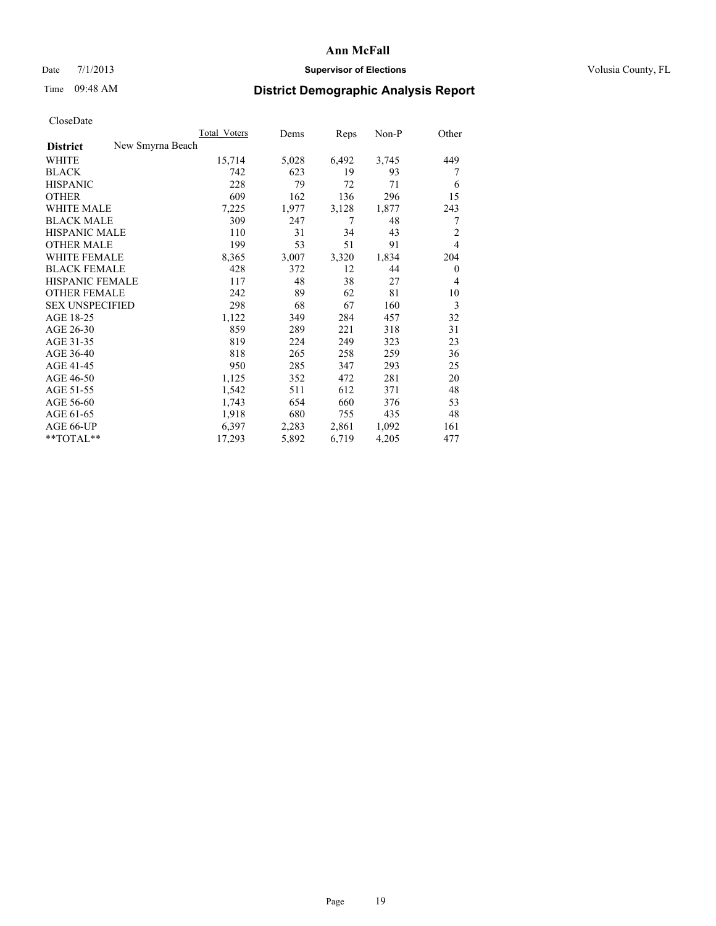# Date  $7/1/2013$  **Supervisor of Elections Supervisor of Elections** Volusia County, FL

# Time 09:48 AM **District Demographic Analysis Report**

|                                     | <b>Total Voters</b> | Dems  | Reps  | Non-P | Other          |
|-------------------------------------|---------------------|-------|-------|-------|----------------|
| New Smyrna Beach<br><b>District</b> |                     |       |       |       |                |
| <b>WHITE</b>                        | 15,714              | 5,028 | 6,492 | 3,745 | 449            |
| <b>BLACK</b>                        | 742                 | 623   | 19    | 93    | 7              |
| <b>HISPANIC</b>                     | 228                 | 79    | 72    | 71    | 6              |
| <b>OTHER</b>                        | 609                 | 162   | 136   | 296   | 15             |
| <b>WHITE MALE</b>                   | 7,225               | 1,977 | 3,128 | 1,877 | 243            |
| <b>BLACK MALE</b>                   | 309                 | 247   | 7     | 48    | 7              |
| <b>HISPANIC MALE</b>                | 110                 | 31    | 34    | 43    | $\overline{c}$ |
| <b>OTHER MALE</b>                   | 199                 | 53    | 51    | 91    | $\overline{4}$ |
| <b>WHITE FEMALE</b>                 | 8,365               | 3,007 | 3,320 | 1,834 | 204            |
| <b>BLACK FEMALE</b>                 | 428                 | 372   | 12    | 44    | $\theta$       |
| <b>HISPANIC FEMALE</b>              | 117                 | 48    | 38    | 27    | 4              |
| <b>OTHER FEMALE</b>                 | 242                 | 89    | 62    | 81    | 10             |
| <b>SEX UNSPECIFIED</b>              | 298                 | 68    | 67    | 160   | 3              |
| AGE 18-25                           | 1,122               | 349   | 284   | 457   | 32             |
| AGE 26-30                           | 859                 | 289   | 221   | 318   | 31             |
| AGE 31-35                           | 819                 | 224   | 249   | 323   | 23             |
| AGE 36-40                           | 818                 | 265   | 258   | 259   | 36             |
| AGE 41-45                           | 950                 | 285   | 347   | 293   | 25             |
| AGE 46-50                           | 1,125               | 352   | 472   | 281   | 20             |
| AGE 51-55                           | 1,542               | 511   | 612   | 371   | 48             |
| AGE 56-60                           | 1,743               | 654   | 660   | 376   | 53             |
| AGE 61-65                           | 1,918               | 680   | 755   | 435   | 48             |
| AGE 66-UP                           | 6,397               | 2,283 | 2,861 | 1,092 | 161            |
| **TOTAL**                           | 17,293              | 5,892 | 6,719 | 4,205 | 477            |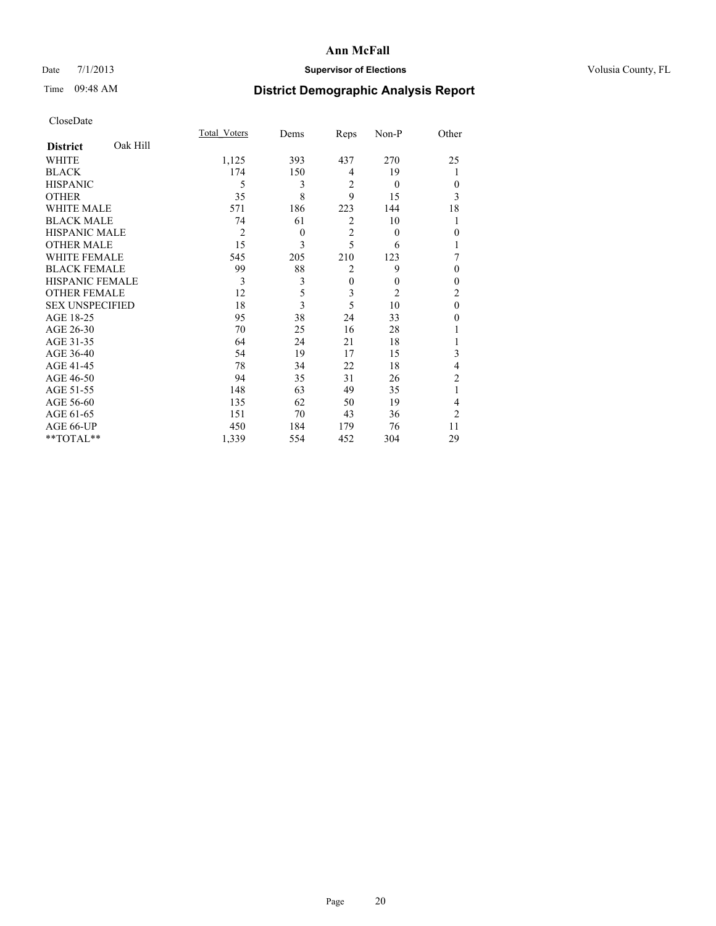# Date 7/1/2013 **Supervisor of Elections Supervisor of Elections** Volusia County, FL

# Time 09:48 AM **District Demographic Analysis Report**

|                        |          | <b>Total Voters</b> | Dems     | Reps           | Non-P          | Other          |
|------------------------|----------|---------------------|----------|----------------|----------------|----------------|
| <b>District</b>        | Oak Hill |                     |          |                |                |                |
| WHITE                  |          | 1,125               | 393      | 437            | 270            | 25             |
| <b>BLACK</b>           |          | 174                 | 150      | 4              | 19             |                |
| <b>HISPANIC</b>        |          | 5                   | 3        | $\overline{2}$ | $\overline{0}$ | $\theta$       |
| <b>OTHER</b>           |          | 35                  | 8        | 9              | 15             | 3              |
| WHITE MALE             |          | 571                 | 186      | 223            | 144            | 18             |
| <b>BLACK MALE</b>      |          | 74                  | 61       | $\overline{2}$ | 10             | 1              |
| <b>HISPANIC MALE</b>   |          | $\overline{2}$      | $\theta$ | $\overline{2}$ | $\theta$       | $\mathbf{0}$   |
| <b>OTHER MALE</b>      |          | 15                  | 3        | 5              | 6              | 1              |
| WHITE FEMALE           |          | 545                 | 205      | 210            | 123            | 7              |
| <b>BLACK FEMALE</b>    |          | 99                  | 88       | $\overline{2}$ | 9              | $\theta$       |
| <b>HISPANIC FEMALE</b> |          | 3                   | 3        | $\mathbf{0}$   | $\theta$       | $\theta$       |
| <b>OTHER FEMALE</b>    |          | 12                  | 5        | 3              | $\overline{c}$ | $\overline{c}$ |
| <b>SEX UNSPECIFIED</b> |          | 18                  | 3        | 5              | 10             | $\mathbf{0}$   |
| AGE 18-25              |          | 95                  | 38       | 24             | 33             | $\theta$       |
| AGE 26-30              |          | 70                  | 25       | 16             | 28             |                |
| AGE 31-35              |          | 64                  | 24       | 21             | 18             |                |
| AGE 36-40              |          | 54                  | 19       | 17             | 15             | 3              |
| AGE 41-45              |          | 78                  | 34       | 22             | 18             | 4              |
| AGE 46-50              |          | 94                  | 35       | 31             | 26             | 2              |
| AGE 51-55              |          | 148                 | 63       | 49             | 35             | 1              |
| AGE 56-60              |          | 135                 | 62       | 50             | 19             | 4              |
| AGE 61-65              |          | 151                 | 70       | 43             | 36             | $\overline{2}$ |
| AGE 66-UP              |          | 450                 | 184      | 179            | 76             | 11             |
| **TOTAL**              |          | 1,339               | 554      | 452            | 304            | 29             |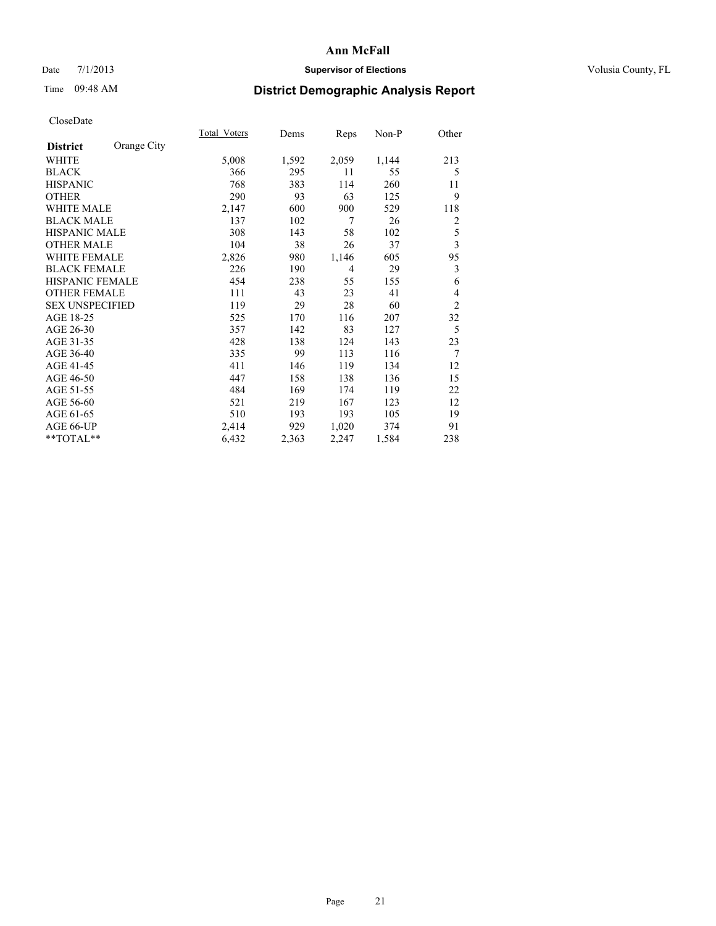# Date 7/1/2013 **Supervisor of Elections Supervisor of Elections** Volusia County, FL

# Time 09:48 AM **District Demographic Analysis Report**

|                        |             | Total Voters | Dems  | <b>Reps</b>    | $Non-P$ | Other          |
|------------------------|-------------|--------------|-------|----------------|---------|----------------|
| <b>District</b>        | Orange City |              |       |                |         |                |
| WHITE                  |             | 5,008        | 1,592 | 2,059          | 1,144   | 213            |
| <b>BLACK</b>           |             | 366          | 295   | 11             | 55      | 5              |
| <b>HISPANIC</b>        |             | 768          | 383   | 114            | 260     | 11             |
| <b>OTHER</b>           |             | 290          | 93    | 63             | 125     | 9              |
| <b>WHITE MALE</b>      |             | 2,147        | 600   | 900            | 529     | 118            |
| <b>BLACK MALE</b>      |             | 137          | 102   | 7              | 26      | 2              |
| <b>HISPANIC MALE</b>   |             | 308          | 143   | 58             | 102     | 5              |
| <b>OTHER MALE</b>      |             | 104          | 38    | 26             | 37      | 3              |
| <b>WHITE FEMALE</b>    |             | 2,826        | 980   | 1,146          | 605     | 95             |
| <b>BLACK FEMALE</b>    |             | 226          | 190   | $\overline{4}$ | 29      | 3              |
| <b>HISPANIC FEMALE</b> |             | 454          | 238   | 55             | 155     | 6              |
| <b>OTHER FEMALE</b>    |             | 111          | 43    | 23             | 41      | 4              |
| <b>SEX UNSPECIFIED</b> |             | 119          | 29    | 28             | 60      | $\overline{2}$ |
| AGE 18-25              |             | 525          | 170   | 116            | 207     | 32             |
| AGE 26-30              |             | 357          | 142   | 83             | 127     | 5              |
| AGE 31-35              |             | 428          | 138   | 124            | 143     | 23             |
| AGE 36-40              |             | 335          | 99    | 113            | 116     | 7              |
| AGE 41-45              |             | 411          | 146   | 119            | 134     | 12             |
| AGE 46-50              |             | 447          | 158   | 138            | 136     | 15             |
| AGE 51-55              |             | 484          | 169   | 174            | 119     | 22             |
| AGE 56-60              |             | 521          | 219   | 167            | 123     | 12             |
| AGE 61-65              |             | 510          | 193   | 193            | 105     | 19             |
| AGE 66-UP              |             | 2,414        | 929   | 1,020          | 374     | 91             |
| **TOTAL**              |             | 6,432        | 2,363 | 2,247          | 1,584   | 238            |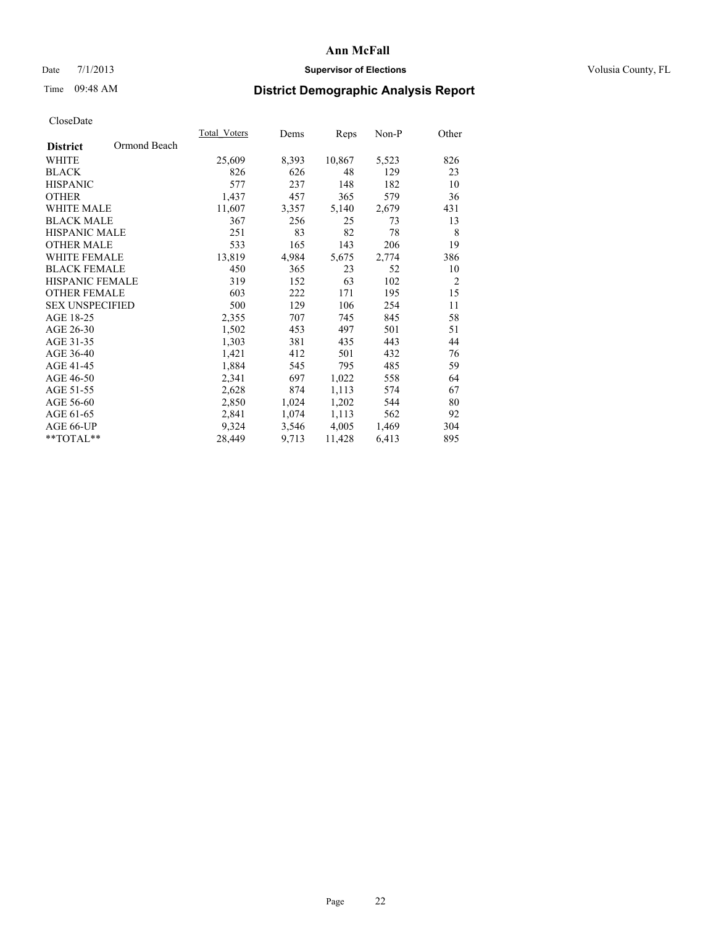# Date 7/1/2013 **Supervisor of Elections Supervisor of Elections** Volusia County, FL

# Time 09:48 AM **District Demographic Analysis Report**

|                                 | Total Voters | Dems  | Reps   | Non-P | Other          |
|---------------------------------|--------------|-------|--------|-------|----------------|
| Ormond Beach<br><b>District</b> |              |       |        |       |                |
| WHITE                           | 25,609       | 8,393 | 10,867 | 5,523 | 826            |
| <b>BLACK</b>                    | 826          | 626   | 48     | 129   | 23             |
| <b>HISPANIC</b>                 | 577          | 237   | 148    | 182   | 10             |
| <b>OTHER</b>                    | 1,437        | 457   | 365    | 579   | 36             |
| <b>WHITE MALE</b>               | 11,607       | 3,357 | 5,140  | 2,679 | 431            |
| <b>BLACK MALE</b>               | 367          | 256   | 25     | 73    | 13             |
| <b>HISPANIC MALE</b>            | 251          | 83    | 82     | 78    | 8              |
| <b>OTHER MALE</b>               | 533          | 165   | 143    | 206   | 19             |
| <b>WHITE FEMALE</b>             | 13,819       | 4,984 | 5,675  | 2,774 | 386            |
| <b>BLACK FEMALE</b>             | 450          | 365   | 23     | 52    | 10             |
| <b>HISPANIC FEMALE</b>          | 319          | 152   | 63     | 102   | $\overline{2}$ |
| <b>OTHER FEMALE</b>             | 603          | 222   | 171    | 195   | 15             |
| <b>SEX UNSPECIFIED</b>          | 500          | 129   | 106    | 254   | 11             |
| AGE 18-25                       | 2,355        | 707   | 745    | 845   | 58             |
| AGE 26-30                       | 1,502        | 453   | 497    | 501   | 51             |
| AGE 31-35                       | 1,303        | 381   | 435    | 443   | 44             |
| AGE 36-40                       | 1,421        | 412   | 501    | 432   | 76             |
| AGE 41-45                       | 1,884        | 545   | 795    | 485   | 59             |
| AGE 46-50                       | 2,341        | 697   | 1,022  | 558   | 64             |
| AGE 51-55                       | 2,628        | 874   | 1,113  | 574   | 67             |
| AGE 56-60                       | 2,850        | 1,024 | 1,202  | 544   | 80             |
| AGE 61-65                       | 2,841        | 1,074 | 1,113  | 562   | 92             |
| AGE 66-UP                       | 9,324        | 3,546 | 4,005  | 1,469 | 304            |
| **TOTAL**                       | 28,449       | 9,713 | 11,428 | 6,413 | 895            |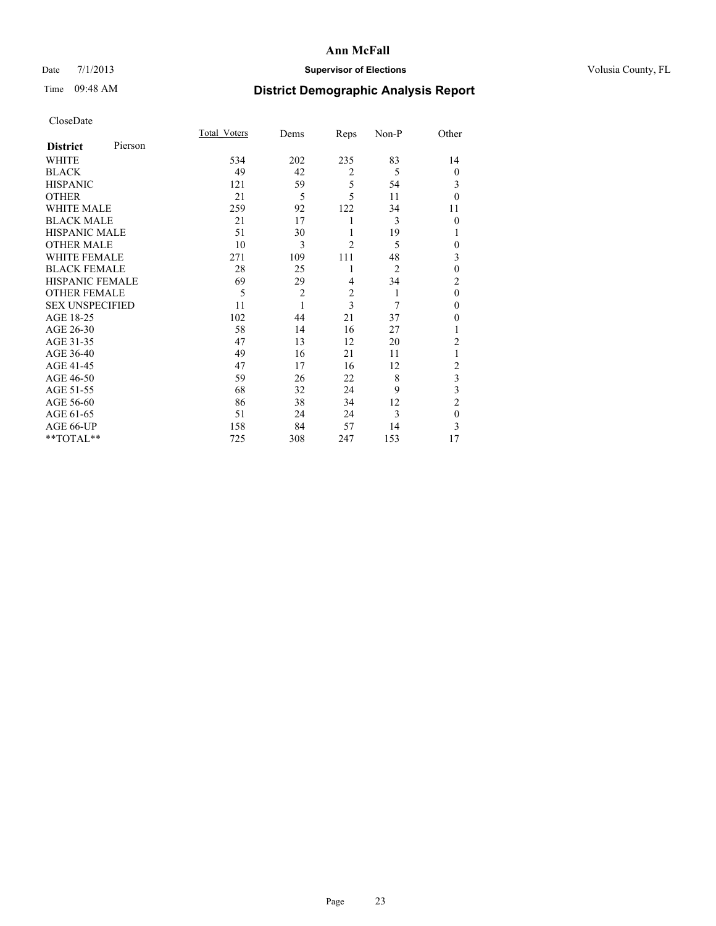# Date 7/1/2013 **Supervisor of Elections Supervisor of Elections** Volusia County, FL

# Time 09:48 AM **District Demographic Analysis Report**

|                        |         | Total Voters | Dems           | Reps           | Non-P          | Other          |
|------------------------|---------|--------------|----------------|----------------|----------------|----------------|
| <b>District</b>        | Pierson |              |                |                |                |                |
| WHITE                  |         | 534          | 202            | 235            | 83             | 14             |
| <b>BLACK</b>           |         | 49           | 42             | $\overline{2}$ | 5              | $\theta$       |
| <b>HISPANIC</b>        |         | 121          | 59             | 5              | 54             | 3              |
| <b>OTHER</b>           |         | 21           | 5              | 5              | 11             | $\theta$       |
| WHITE MALE             |         | 259          | 92             | 122            | 34             | 11             |
| <b>BLACK MALE</b>      |         | 21           | 17             | 1              | 3              | $\theta$       |
| <b>HISPANIC MALE</b>   |         | 51           | 30             | 1              | 19             | 1              |
| <b>OTHER MALE</b>      |         | 10           | 3              | $\overline{c}$ | 5              | 0              |
| <b>WHITE FEMALE</b>    |         | 271          | 109            | 111            | 48             | 3              |
| <b>BLACK FEMALE</b>    |         | 28           | 25             | 1              | $\overline{2}$ | $\mathbf{0}$   |
| <b>HISPANIC FEMALE</b> |         | 69           | 29             | 4              | 34             | $\overline{c}$ |
| <b>OTHER FEMALE</b>    |         | 5            | $\overline{c}$ | $\overline{c}$ | 1              | $\theta$       |
| <b>SEX UNSPECIFIED</b> |         | 11           | 1              | 3              | 7              | $\mathbf{0}$   |
| AGE 18-25              |         | 102          | 44             | 21             | 37             | $\theta$       |
| AGE 26-30              |         | 58           | 14             | 16             | 27             | 1              |
| AGE 31-35              |         | 47           | 13             | 12             | 20             | $\overline{c}$ |
| AGE 36-40              |         | 49           | 16             | 21             | 11             | 1              |
| AGE 41-45              |         | 47           | 17             | 16             | 12             | $\overline{c}$ |
| AGE 46-50              |         | 59           | 26             | 22             | 8              | 3              |
| AGE 51-55              |         | 68           | 32             | 24             | 9              | 3              |
| AGE 56-60              |         | 86           | 38             | 34             | 12             | $\overline{c}$ |
| AGE 61-65              |         | 51           | 24             | 24             | 3              | $\mathbf{0}$   |
| AGE 66-UP              |         | 158          | 84             | 57             | 14             | 3              |
| **TOTAL**              |         | 725          | 308            | 247            | 153            | 17             |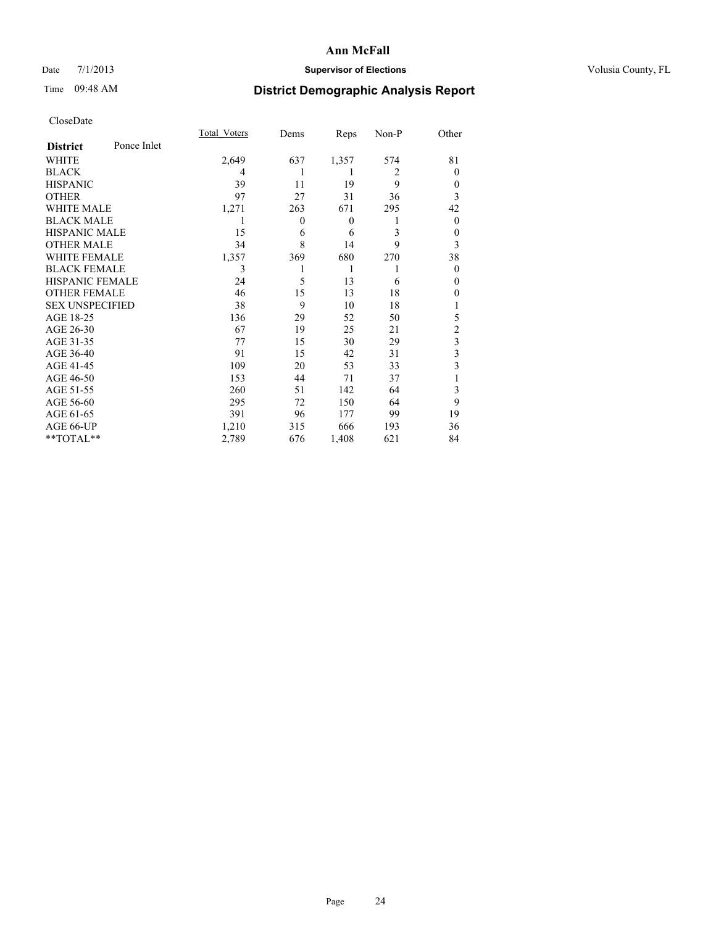# Date 7/1/2013 **Supervisor of Elections Supervisor of Elections** Volusia County, FL

# Time 09:48 AM **District Demographic Analysis Report**

|                        |             | <b>Total Voters</b> | Dems           | Reps         | Non-P          | Other                   |
|------------------------|-------------|---------------------|----------------|--------------|----------------|-------------------------|
| <b>District</b>        | Ponce Inlet |                     |                |              |                |                         |
| WHITE                  |             | 2,649               | 637            | 1,357        | 574            | 81                      |
| <b>BLACK</b>           |             | 4                   |                | 1            | $\overline{2}$ | $\Omega$                |
| <b>HISPANIC</b>        |             | 39                  | 11             | 19           | 9              | $\Omega$                |
| <b>OTHER</b>           |             | 97                  | 27             | 31           | 36             | 3                       |
| WHITE MALE             |             | 1,271               | 263            | 671          | 295            | 42                      |
| <b>BLACK MALE</b>      |             | 1                   | $\overline{0}$ | $\mathbf{0}$ | 1              | $\overline{0}$          |
| <b>HISPANIC MALE</b>   |             | 15                  | 6              | 6            | 3              | 0                       |
| <b>OTHER MALE</b>      |             | 34                  | 8              | 14           | 9              | 3                       |
| <b>WHITE FEMALE</b>    |             | 1,357               | 369            | 680          | 270            | 38                      |
| <b>BLACK FEMALE</b>    |             | 3                   |                | 1            | 1              | $\Omega$                |
| <b>HISPANIC FEMALE</b> |             | 24                  | 5              | 13           | 6              | $\Omega$                |
| <b>OTHER FEMALE</b>    |             | 46                  | 15             | 13           | 18             | $\theta$                |
| <b>SEX UNSPECIFIED</b> |             | 38                  | 9              | 10           | 18             |                         |
| AGE 18-25              |             | 136                 | 29             | 52           | 50             | 5                       |
| AGE 26-30              |             | 67                  | 19             | 25           | 21             | $\overline{c}$          |
| AGE 31-35              |             | 77                  | 15             | 30           | 29             | $\overline{\mathbf{3}}$ |
| AGE 36-40              |             | 91                  | 15             | 42           | 31             | 3                       |
| AGE 41-45              |             | 109                 | 20             | 53           | 33             | 3                       |
| AGE 46-50              |             | 153                 | 44             | 71           | 37             | 1                       |
| AGE 51-55              |             | 260                 | 51             | 142          | 64             | 3                       |
| AGE 56-60              |             | 295                 | 72             | 150          | 64             | 9                       |
| AGE 61-65              |             | 391                 | 96             | 177          | 99             | 19                      |
| AGE 66-UP              |             | 1,210               | 315            | 666          | 193            | 36                      |
| **TOTAL**              |             | 2,789               | 676            | 1,408        | 621            | 84                      |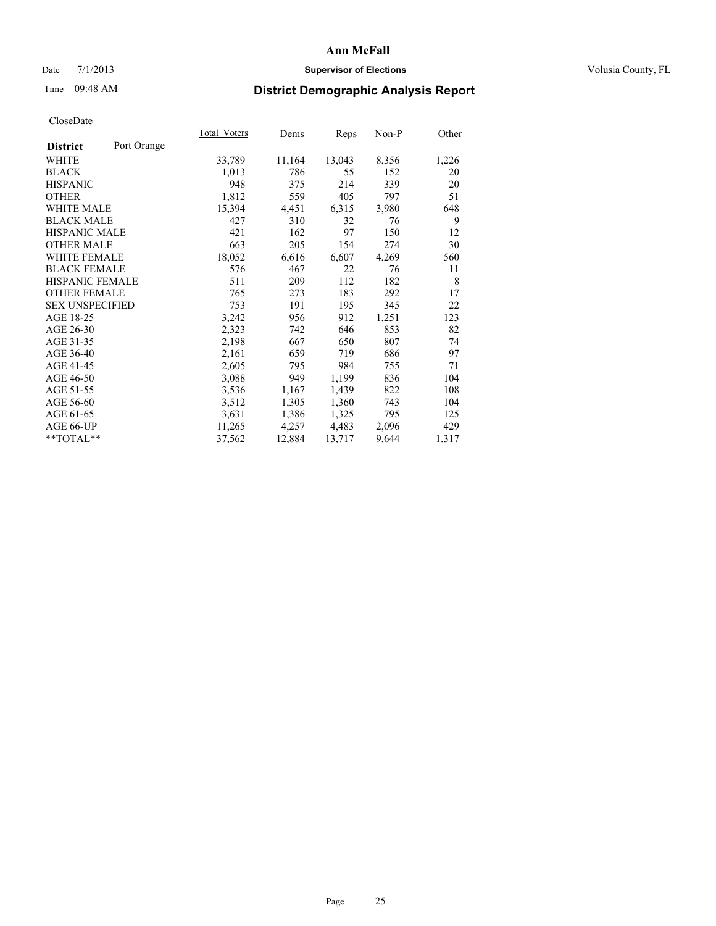# Date 7/1/2013 **Supervisor of Elections Supervisor of Elections** Volusia County, FL

# Time 09:48 AM **District Demographic Analysis Report**

|                        |             | Total Voters | Dems   | <b>Reps</b> | Non-P | Other |
|------------------------|-------------|--------------|--------|-------------|-------|-------|
| <b>District</b>        | Port Orange |              |        |             |       |       |
| <b>WHITE</b>           |             | 33,789       | 11,164 | 13,043      | 8,356 | 1,226 |
| <b>BLACK</b>           |             | 1,013        | 786    | 55          | 152   | 20    |
| <b>HISPANIC</b>        |             | 948          | 375    | 214         | 339   | 20    |
| <b>OTHER</b>           |             | 1,812        | 559    | 405         | 797   | 51    |
| <b>WHITE MALE</b>      |             | 15,394       | 4,451  | 6,315       | 3,980 | 648   |
| <b>BLACK MALE</b>      |             | 427          | 310    | 32          | 76    | 9     |
| <b>HISPANIC MALE</b>   |             | 421          | 162    | 97          | 150   | 12    |
| <b>OTHER MALE</b>      |             | 663          | 205    | 154         | 274   | 30    |
| <b>WHITE FEMALE</b>    |             | 18,052       | 6,616  | 6,607       | 4,269 | 560   |
| <b>BLACK FEMALE</b>    |             | 576          | 467    | 22          | 76    | 11    |
| HISPANIC FEMALE        |             | 511          | 209    | 112         | 182   | 8     |
| <b>OTHER FEMALE</b>    |             | 765          | 273    | 183         | 292   | 17    |
| <b>SEX UNSPECIFIED</b> |             | 753          | 191    | 195         | 345   | 22    |
| AGE 18-25              |             | 3,242        | 956    | 912         | 1,251 | 123   |
| AGE 26-30              |             | 2,323        | 742    | 646         | 853   | 82    |
| AGE 31-35              |             | 2,198        | 667    | 650         | 807   | 74    |
| AGE 36-40              |             | 2,161        | 659    | 719         | 686   | 97    |
| AGE 41-45              |             | 2,605        | 795    | 984         | 755   | 71    |
| AGE 46-50              |             | 3,088        | 949    | 1,199       | 836   | 104   |
| AGE 51-55              |             | 3,536        | 1,167  | 1,439       | 822   | 108   |
| AGE 56-60              |             | 3,512        | 1,305  | 1,360       | 743   | 104   |
| AGE 61-65              |             | 3,631        | 1,386  | 1,325       | 795   | 125   |
| AGE 66-UP              |             | 11,265       | 4,257  | 4,483       | 2,096 | 429   |
| **TOTAL**              |             | 37,562       | 12,884 | 13,717      | 9,644 | 1,317 |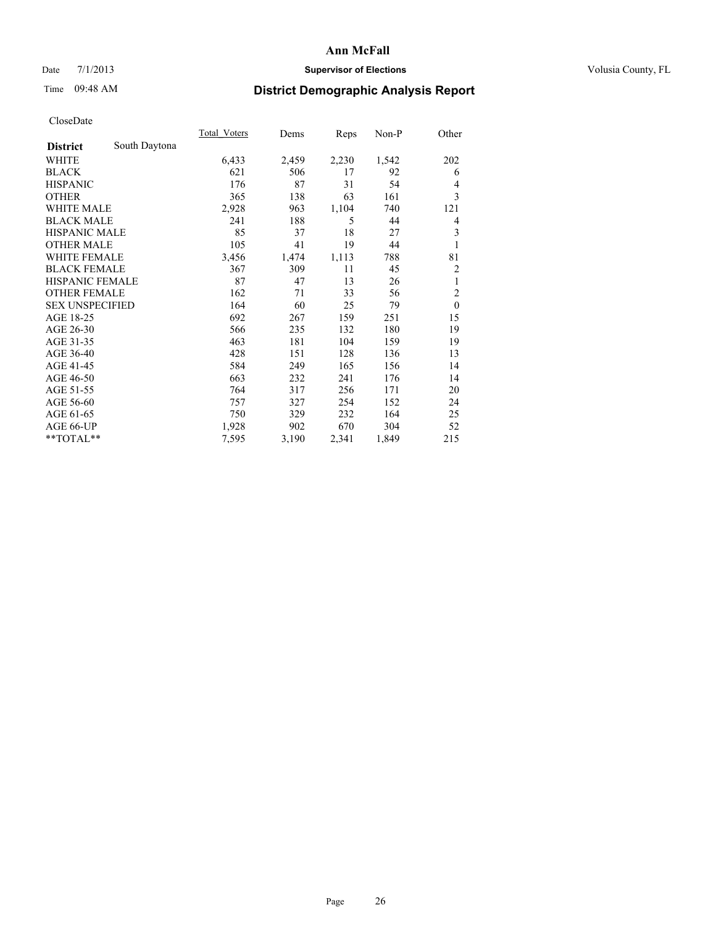# Date 7/1/2013 **Supervisor of Elections Supervisor of Elections** Volusia County, FL

# Time 09:48 AM **District Demographic Analysis Report**

|                        |               | Total Voters | Dems  | Reps  | Non-P | Other          |
|------------------------|---------------|--------------|-------|-------|-------|----------------|
| <b>District</b>        | South Daytona |              |       |       |       |                |
| WHITE                  |               | 6,433        | 2,459 | 2,230 | 1,542 | 202            |
| <b>BLACK</b>           |               | 621          | 506   | 17    | 92    | 6              |
| <b>HISPANIC</b>        |               | 176          | 87    | 31    | 54    | $\overline{4}$ |
| <b>OTHER</b>           |               | 365          | 138   | 63    | 161   | 3              |
| WHITE MALE             |               | 2,928        | 963   | 1,104 | 740   | 121            |
| <b>BLACK MALE</b>      |               | 241          | 188   | 5     | 44    | 4              |
| <b>HISPANIC MALE</b>   |               | 85           | 37    | 18    | 27    | 3              |
| <b>OTHER MALE</b>      |               | 105          | 41    | 19    | 44    | 1              |
| <b>WHITE FEMALE</b>    |               | 3,456        | 1,474 | 1,113 | 788   | 81             |
| <b>BLACK FEMALE</b>    |               | 367          | 309   | 11    | 45    | 2              |
| HISPANIC FEMALE        |               | 87           | 47    | 13    | 26    | 1              |
| <b>OTHER FEMALE</b>    |               | 162          | 71    | 33    | 56    | $\overline{c}$ |
| <b>SEX UNSPECIFIED</b> |               | 164          | 60    | 25    | 79    | $\mathbf{0}$   |
| AGE 18-25              |               | 692          | 267   | 159   | 251   | 15             |
| AGE 26-30              |               | 566          | 235   | 132   | 180   | 19             |
| AGE 31-35              |               | 463          | 181   | 104   | 159   | 19             |
| AGE 36-40              |               | 428          | 151   | 128   | 136   | 13             |
| AGE 41-45              |               | 584          | 249   | 165   | 156   | 14             |
| AGE 46-50              |               | 663          | 232   | 241   | 176   | 14             |
| AGE 51-55              |               | 764          | 317   | 256   | 171   | 20             |
| AGE 56-60              |               | 757          | 327   | 254   | 152   | 24             |
| AGE 61-65              |               | 750          | 329   | 232   | 164   | 25             |
| AGE 66-UP              |               | 1,928        | 902   | 670   | 304   | 52             |
| $**TOTAL**$            |               | 7,595        | 3,190 | 2,341 | 1,849 | 215            |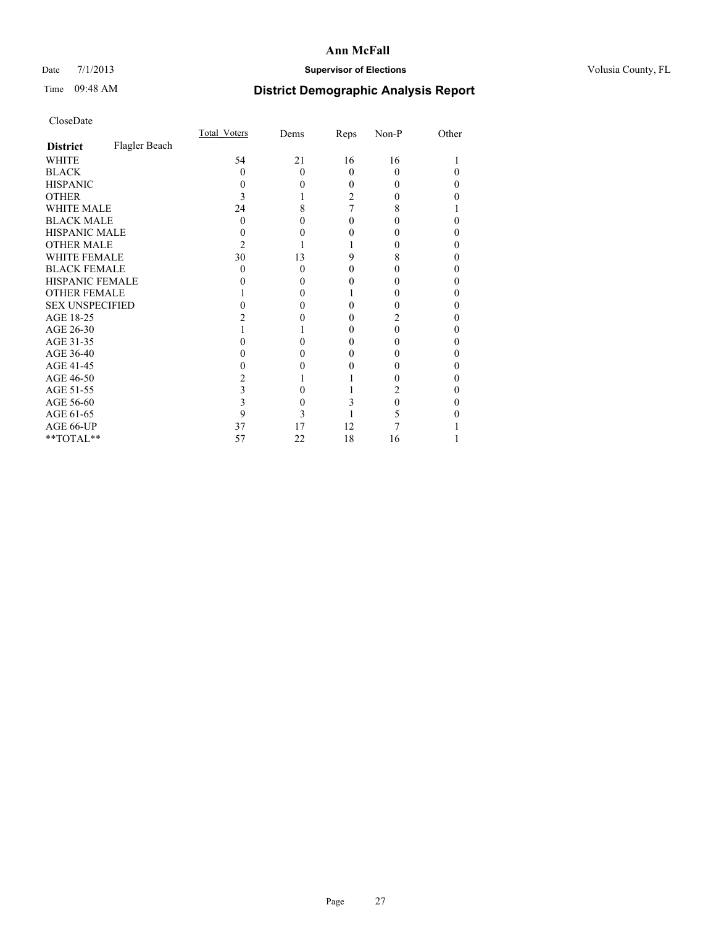# Date 7/1/2013 **Supervisor of Elections Supervisor of Elections** Volusia County, FL

# Time 09:48 AM **District Demographic Analysis Report**

|                        |               | Total Voters | Dems     | Reps     | Non-P    | Other |
|------------------------|---------------|--------------|----------|----------|----------|-------|
| <b>District</b>        | Flagler Beach |              |          |          |          |       |
| <b>WHITE</b>           |               | 54           | 21       | 16       | 16       |       |
| <b>BLACK</b>           |               | 0            | $\Omega$ | $\Omega$ | $\Omega$ |       |
| <b>HISPANIC</b>        |               | 0            | 0        | 0        | $\theta$ | 0     |
| <b>OTHER</b>           |               |              |          | 2        | 0        |       |
| <b>WHITE MALE</b>      |               | 24           | 8        |          | 8        |       |
| <b>BLACK MALE</b>      |               | 0            |          | 0        | 0        |       |
| <b>HISPANIC MALE</b>   |               |              |          |          |          |       |
| <b>OTHER MALE</b>      |               | 2            |          |          | 0        | 0     |
| <b>WHITE FEMALE</b>    |               | 30           | 13       | 9        | 8        | 0     |
| <b>BLACK FEMALE</b>    |               | 0            | $\Omega$ | 0        | $\theta$ | 0     |
| <b>HISPANIC FEMALE</b> |               |              |          |          |          |       |
| <b>OTHER FEMALE</b>    |               |              | 0        |          |          | 0     |
| <b>SEX UNSPECIFIED</b> |               |              |          |          |          |       |
| AGE 18-25              |               |              |          | 0        |          |       |
| AGE 26-30              |               |              |          | 0        | 0        | 0     |
| AGE 31-35              |               |              |          |          | 0        |       |
| AGE 36-40              |               |              | 0        | 0        | 0        | 0     |
| AGE 41-45              |               |              |          |          |          | 0     |
| AGE 46-50              |               |              |          |          |          | 0     |
| AGE 51-55              |               | 3            |          |          | 2        |       |
| AGE 56-60              |               |              | 0        | 3        | 0        |       |
| AGE 61-65              |               | 9            | 3        |          |          |       |
| AGE 66-UP              |               | 37           | 17       | 12       |          |       |
| **TOTAL**              |               | 57           | 22       | 18       | 16       |       |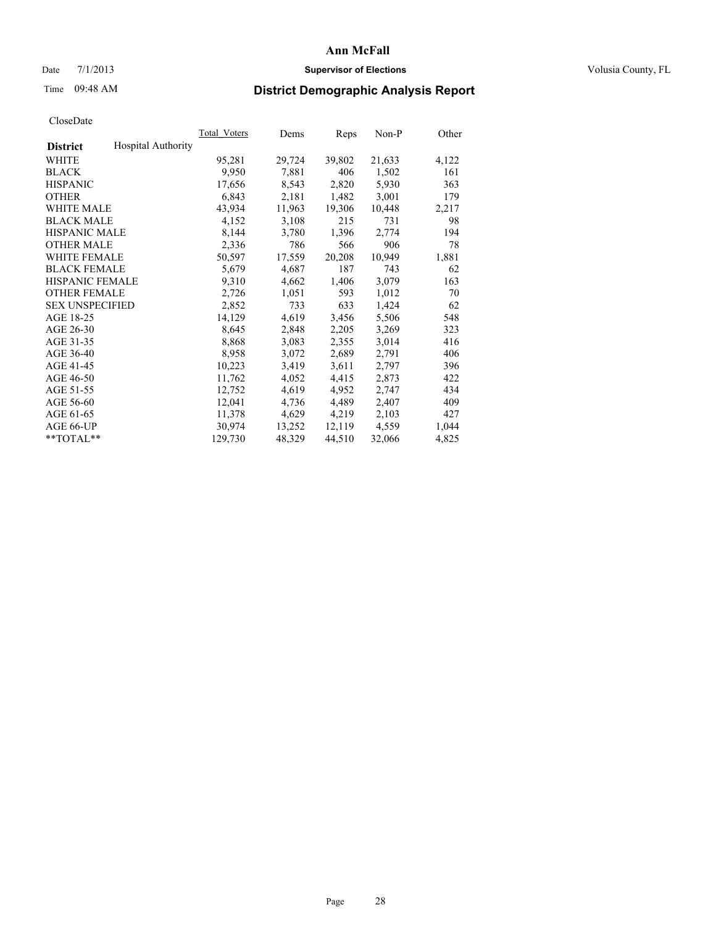# Date  $7/1/2013$  **Supervisor of Elections Supervisor of Elections** Volusia County, FL

# Time 09:48 AM **District Demographic Analysis Report**

|                        |                           | Total Voters | Dems   | <b>Reps</b> | Non-P  | Other |
|------------------------|---------------------------|--------------|--------|-------------|--------|-------|
| <b>District</b>        | <b>Hospital Authority</b> |              |        |             |        |       |
| WHITE                  |                           | 95,281       | 29,724 | 39,802      | 21,633 | 4,122 |
| <b>BLACK</b>           |                           | 9,950        | 7,881  | 406         | 1,502  | 161   |
| <b>HISPANIC</b>        |                           | 17,656       | 8,543  | 2,820       | 5,930  | 363   |
| <b>OTHER</b>           |                           | 6,843        | 2,181  | 1,482       | 3,001  | 179   |
| <b>WHITE MALE</b>      |                           | 43,934       | 11,963 | 19,306      | 10,448 | 2,217 |
| <b>BLACK MALE</b>      |                           | 4,152        | 3,108  | 215         | 731    | 98    |
| <b>HISPANIC MALE</b>   |                           | 8,144        | 3,780  | 1,396       | 2,774  | 194   |
| <b>OTHER MALE</b>      |                           | 2,336        | 786    | 566         | 906    | 78    |
| WHITE FEMALE           |                           | 50,597       | 17,559 | 20,208      | 10,949 | 1,881 |
| <b>BLACK FEMALE</b>    |                           | 5,679        | 4,687  | 187         | 743    | 62    |
| <b>HISPANIC FEMALE</b> |                           | 9,310        | 4,662  | 1,406       | 3,079  | 163   |
| <b>OTHER FEMALE</b>    |                           | 2,726        | 1,051  | 593         | 1,012  | 70    |
| <b>SEX UNSPECIFIED</b> |                           | 2,852        | 733    | 633         | 1,424  | 62    |
| AGE 18-25              |                           | 14,129       | 4,619  | 3,456       | 5,506  | 548   |
| AGE 26-30              |                           | 8,645        | 2,848  | 2,205       | 3,269  | 323   |
| AGE 31-35              |                           | 8,868        | 3,083  | 2,355       | 3,014  | 416   |
| AGE 36-40              |                           | 8,958        | 3,072  | 2,689       | 2,791  | 406   |
| AGE 41-45              |                           | 10,223       | 3,419  | 3,611       | 2,797  | 396   |
| AGE 46-50              |                           | 11,762       | 4,052  | 4,415       | 2,873  | 422   |
| AGE 51-55              |                           | 12,752       | 4,619  | 4,952       | 2,747  | 434   |
| AGE 56-60              |                           | 12,041       | 4,736  | 4,489       | 2,407  | 409   |
| AGE 61-65              |                           | 11,378       | 4,629  | 4,219       | 2,103  | 427   |
| AGE 66-UP              |                           | 30,974       | 13,252 | 12,119      | 4,559  | 1,044 |
| $*$ TOTAL $*$          |                           | 129,730      | 48,329 | 44,510      | 32,066 | 4,825 |
|                        |                           |              |        |             |        |       |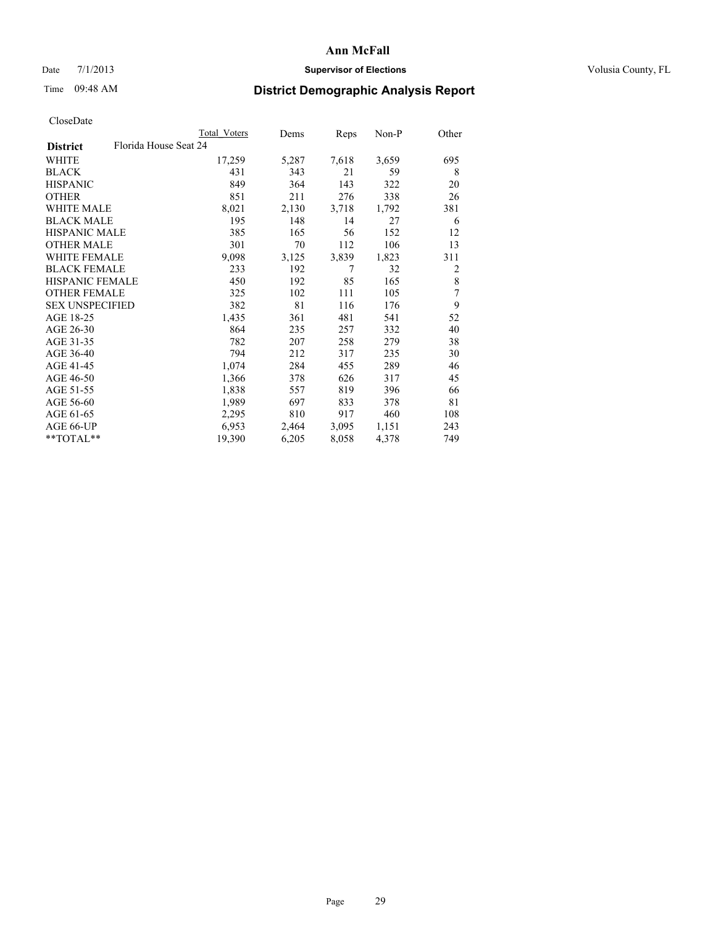# Date 7/1/2013 **Supervisor of Elections Supervisor of Elections** Volusia County, FL

# Time 09:48 AM **District Demographic Analysis Report**

|                                          | Total Voters | Dems  | Reps  | Non-P | Other |
|------------------------------------------|--------------|-------|-------|-------|-------|
| Florida House Seat 24<br><b>District</b> |              |       |       |       |       |
| WHITE                                    | 17,259       | 5,287 | 7,618 | 3,659 | 695   |
| <b>BLACK</b>                             | 431          | 343   | 21    | 59    | 8     |
| <b>HISPANIC</b>                          | 849          | 364   | 143   | 322   | 20    |
| <b>OTHER</b>                             | 851          | 211   | 276   | 338   | 26    |
| WHITE MALE                               | 8,021        | 2,130 | 3,718 | 1,792 | 381   |
| <b>BLACK MALE</b>                        | 195          | 148   | 14    | 27    | 6     |
| <b>HISPANIC MALE</b>                     | 385          | 165   | 56    | 152   | 12    |
| <b>OTHER MALE</b>                        | 301          | 70    | 112   | 106   | 13    |
| <b>WHITE FEMALE</b>                      | 9,098        | 3,125 | 3,839 | 1,823 | 311   |
| <b>BLACK FEMALE</b>                      | 233          | 192   | 7     | 32    | 2     |
| HISPANIC FEMALE                          | 450          | 192   | 85    | 165   | 8     |
| <b>OTHER FEMALE</b>                      | 325          | 102   | 111   | 105   | 7     |
| <b>SEX UNSPECIFIED</b>                   | 382          | 81    | 116   | 176   | 9     |
| AGE 18-25                                | 1,435        | 361   | 481   | 541   | 52    |
| AGE 26-30                                | 864          | 235   | 257   | 332   | 40    |
| AGE 31-35                                | 782          | 207   | 258   | 279   | 38    |
| AGE 36-40                                | 794          | 212   | 317   | 235   | 30    |
| AGE 41-45                                | 1,074        | 284   | 455   | 289   | 46    |
| AGE 46-50                                | 1,366        | 378   | 626   | 317   | 45    |
| AGE 51-55                                | 1,838        | 557   | 819   | 396   | 66    |
| AGE 56-60                                | 1,989        | 697   | 833   | 378   | 81    |
| AGE 61-65                                | 2,295        | 810   | 917   | 460   | 108   |
| AGE 66-UP                                | 6,953        | 2,464 | 3,095 | 1,151 | 243   |
| **TOTAL**                                | 19,390       | 6,205 | 8,058 | 4,378 | 749   |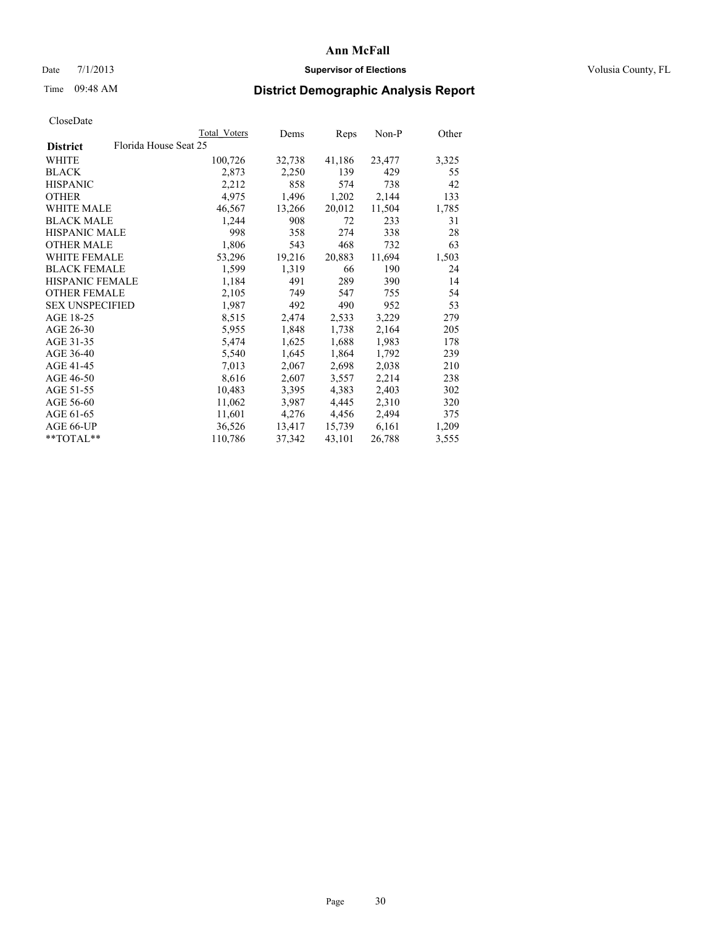# Date  $7/1/2013$  **Supervisor of Elections Supervisor of Elections** Volusia County, FL

# Time 09:48 AM **District Demographic Analysis Report**

|                                          | Total Voters | Dems   | <b>Reps</b> | Non-P  | Other |
|------------------------------------------|--------------|--------|-------------|--------|-------|
| Florida House Seat 25<br><b>District</b> |              |        |             |        |       |
| WHITE                                    | 100,726      | 32,738 | 41,186      | 23,477 | 3,325 |
| <b>BLACK</b>                             | 2,873        | 2,250  | 139         | 429    | 55    |
| <b>HISPANIC</b>                          | 2,212        | 858    | 574         | 738    | 42    |
| <b>OTHER</b>                             | 4,975        | 1,496  | 1,202       | 2,144  | 133   |
| <b>WHITE MALE</b>                        | 46,567       | 13,266 | 20,012      | 11,504 | 1,785 |
| <b>BLACK MALE</b>                        | 1,244        | 908    | 72          | 233    | 31    |
| <b>HISPANIC MALE</b>                     | 998          | 358    | 274         | 338    | 28    |
| <b>OTHER MALE</b>                        | 1,806        | 543    | 468         | 732    | 63    |
| <b>WHITE FEMALE</b>                      | 53,296       | 19,216 | 20,883      | 11,694 | 1,503 |
| <b>BLACK FEMALE</b>                      | 1,599        | 1,319  | 66          | 190    | 24    |
| <b>HISPANIC FEMALE</b>                   | 1,184        | 491    | 289         | 390    | 14    |
| <b>OTHER FEMALE</b>                      | 2,105        | 749    | 547         | 755    | 54    |
| <b>SEX UNSPECIFIED</b>                   | 1,987        | 492    | 490         | 952    | 53    |
| AGE 18-25                                | 8,515        | 2,474  | 2,533       | 3,229  | 279   |
| AGE 26-30                                | 5,955        | 1,848  | 1,738       | 2,164  | 205   |
| AGE 31-35                                | 5,474        | 1,625  | 1,688       | 1,983  | 178   |
| AGE 36-40                                | 5,540        | 1,645  | 1,864       | 1,792  | 239   |
| AGE 41-45                                | 7,013        | 2,067  | 2,698       | 2,038  | 210   |
| AGE 46-50                                | 8,616        | 2,607  | 3,557       | 2,214  | 238   |
| AGE 51-55                                | 10,483       | 3,395  | 4,383       | 2,403  | 302   |
| AGE 56-60                                | 11,062       | 3,987  | 4,445       | 2,310  | 320   |
| AGE 61-65                                | 11,601       | 4,276  | 4,456       | 2,494  | 375   |
| AGE 66-UP                                | 36,526       | 13,417 | 15,739      | 6,161  | 1,209 |
| $*$ TOTAL $*$                            | 110,786      | 37,342 | 43,101      | 26,788 | 3,555 |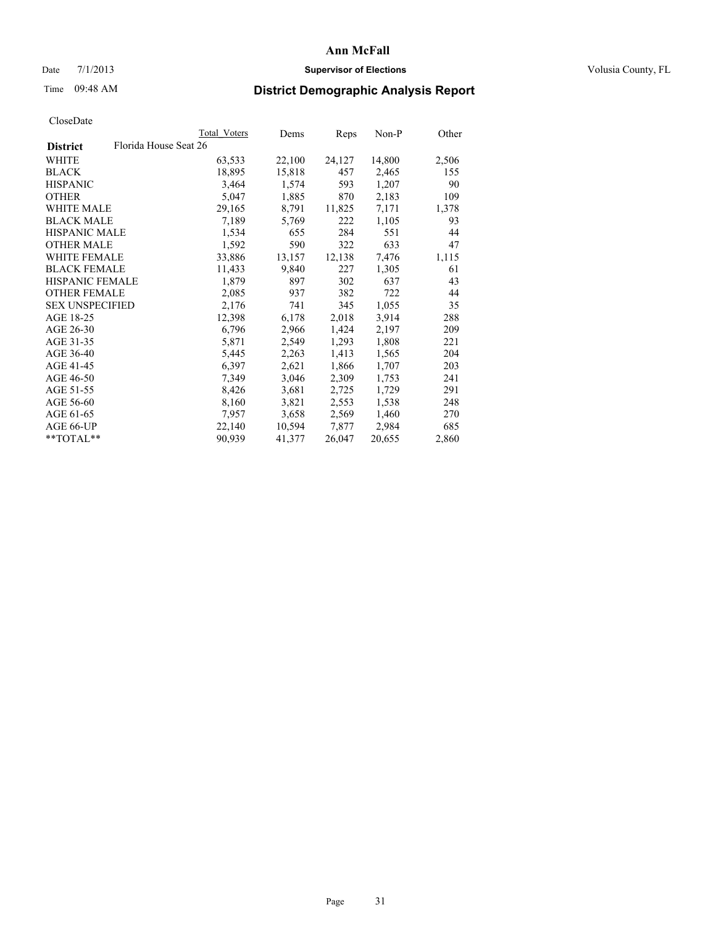# Date  $7/1/2013$  **Supervisor of Elections Supervisor of Elections** Volusia County, FL

# Time 09:48 AM **District Demographic Analysis Report**

|                        |                       | Total Voters | Dems   | Reps   | $Non-P$ | Other |
|------------------------|-----------------------|--------------|--------|--------|---------|-------|
| <b>District</b>        | Florida House Seat 26 |              |        |        |         |       |
| WHITE                  |                       | 63,533       | 22,100 | 24,127 | 14,800  | 2,506 |
| <b>BLACK</b>           |                       | 18,895       | 15,818 | 457    | 2,465   | 155   |
| <b>HISPANIC</b>        |                       | 3,464        | 1,574  | 593    | 1,207   | 90    |
| <b>OTHER</b>           |                       | 5,047        | 1,885  | 870    | 2,183   | 109   |
| WHITE MALE             |                       | 29,165       | 8,791  | 11,825 | 7,171   | 1,378 |
| <b>BLACK MALE</b>      |                       | 7,189        | 5,769  | 222    | 1,105   | 93    |
| <b>HISPANIC MALE</b>   |                       | 1,534        | 655    | 284    | 551     | 44    |
| <b>OTHER MALE</b>      |                       | 1,592        | 590    | 322    | 633     | 47    |
| <b>WHITE FEMALE</b>    |                       | 33,886       | 13,157 | 12,138 | 7,476   | 1,115 |
| <b>BLACK FEMALE</b>    |                       | 11,433       | 9,840  | 227    | 1,305   | 61    |
| <b>HISPANIC FEMALE</b> |                       | 1,879        | 897    | 302    | 637     | 43    |
| <b>OTHER FEMALE</b>    |                       | 2,085        | 937    | 382    | 722     | 44    |
| <b>SEX UNSPECIFIED</b> |                       | 2,176        | 741    | 345    | 1,055   | 35    |
| AGE 18-25              |                       | 12,398       | 6,178  | 2,018  | 3,914   | 288   |
| AGE 26-30              |                       | 6,796        | 2,966  | 1,424  | 2,197   | 209   |
| AGE 31-35              |                       | 5,871        | 2,549  | 1,293  | 1,808   | 221   |
| AGE 36-40              |                       | 5,445        | 2,263  | 1,413  | 1,565   | 204   |
| AGE 41-45              |                       | 6,397        | 2,621  | 1,866  | 1,707   | 203   |
| AGE 46-50              |                       | 7,349        | 3,046  | 2,309  | 1,753   | 241   |
| AGE 51-55              |                       | 8,426        | 3,681  | 2,725  | 1,729   | 291   |
| AGE 56-60              |                       | 8,160        | 3,821  | 2,553  | 1,538   | 248   |
| AGE 61-65              |                       | 7,957        | 3,658  | 2,569  | 1,460   | 270   |
| AGE 66-UP              |                       | 22,140       | 10,594 | 7,877  | 2,984   | 685   |
| $*$ $TOTAL**$          |                       | 90,939       | 41,377 | 26,047 | 20,655  | 2,860 |
|                        |                       |              |        |        |         |       |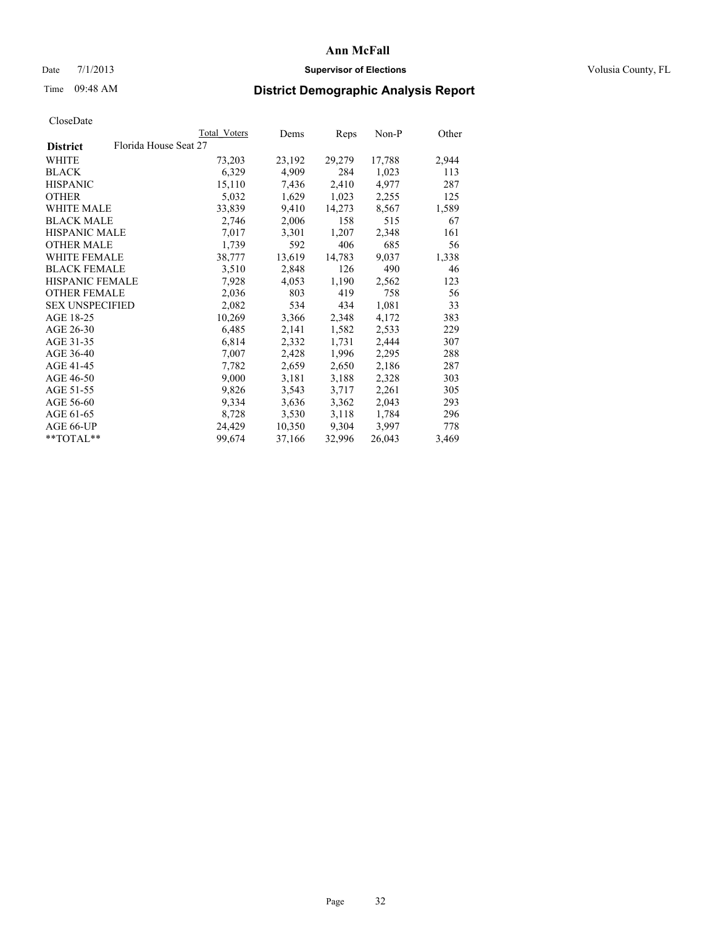# Date  $7/1/2013$  **Supervisor of Elections Supervisor of Elections** Volusia County, FL

# Time 09:48 AM **District Demographic Analysis Report**

|                                          | <b>Total Voters</b> | Dems   | Reps   | Non-P  | Other |
|------------------------------------------|---------------------|--------|--------|--------|-------|
| Florida House Seat 27<br><b>District</b> |                     |        |        |        |       |
| WHITE                                    | 73,203              | 23,192 | 29,279 | 17,788 | 2,944 |
| <b>BLACK</b>                             | 6,329               | 4,909  | 284    | 1,023  | 113   |
| <b>HISPANIC</b>                          | 15,110              | 7,436  | 2,410  | 4,977  | 287   |
| <b>OTHER</b>                             | 5,032               | 1,629  | 1,023  | 2,255  | 125   |
| WHITE MALE                               | 33,839              | 9,410  | 14,273 | 8,567  | 1,589 |
| <b>BLACK MALE</b>                        | 2,746               | 2,006  | 158    | 515    | 67    |
| <b>HISPANIC MALE</b>                     | 7,017               | 3,301  | 1,207  | 2,348  | 161   |
| <b>OTHER MALE</b>                        | 1,739               | 592    | 406    | 685    | 56    |
| <b>WHITE FEMALE</b>                      | 38,777              | 13,619 | 14,783 | 9,037  | 1,338 |
| <b>BLACK FEMALE</b>                      | 3,510               | 2,848  | 126    | 490    | 46    |
| HISPANIC FEMALE                          | 7,928               | 4,053  | 1,190  | 2,562  | 123   |
| <b>OTHER FEMALE</b>                      | 2,036               | 803    | 419    | 758    | 56    |
| <b>SEX UNSPECIFIED</b>                   | 2,082               | 534    | 434    | 1,081  | 33    |
| AGE 18-25                                | 10,269              | 3,366  | 2,348  | 4,172  | 383   |
| AGE 26-30                                | 6,485               | 2,141  | 1,582  | 2,533  | 229   |
| AGE 31-35                                | 6,814               | 2,332  | 1,731  | 2,444  | 307   |
| AGE 36-40                                | 7,007               | 2,428  | 1,996  | 2,295  | 288   |
| AGE 41-45                                | 7,782               | 2,659  | 2,650  | 2,186  | 287   |
| AGE 46-50                                | 9,000               | 3,181  | 3,188  | 2,328  | 303   |
| AGE 51-55                                | 9,826               | 3,543  | 3,717  | 2,261  | 305   |
| AGE 56-60                                | 9,334               | 3,636  | 3,362  | 2,043  | 293   |
| AGE 61-65                                | 8,728               | 3,530  | 3,118  | 1,784  | 296   |
| AGE 66-UP                                | 24,429              | 10,350 | 9,304  | 3,997  | 778   |
| $*$ $TOTAL**$                            | 99,674              | 37,166 | 32,996 | 26,043 | 3,469 |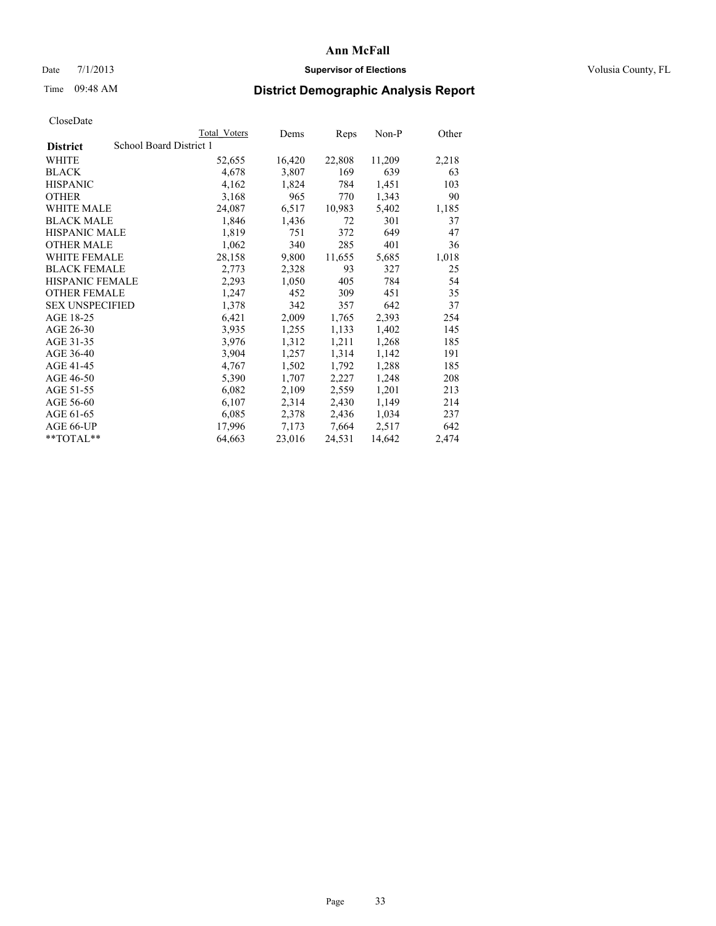# Date  $7/1/2013$  **Supervisor of Elections Supervisor of Elections** Volusia County, FL

# Time 09:48 AM **District Demographic Analysis Report**

|                        |                         | <b>Total Voters</b> | Dems   | Reps   | Non-P  | Other |
|------------------------|-------------------------|---------------------|--------|--------|--------|-------|
| <b>District</b>        | School Board District 1 |                     |        |        |        |       |
| <b>WHITE</b>           |                         | 52,655              | 16,420 | 22,808 | 11,209 | 2,218 |
| <b>BLACK</b>           |                         | 4,678               | 3,807  | 169    | 639    | 63    |
| <b>HISPANIC</b>        |                         | 4,162               | 1,824  | 784    | 1,451  | 103   |
| <b>OTHER</b>           |                         | 3,168               | 965    | 770    | 1,343  | 90    |
| <b>WHITE MALE</b>      |                         | 24,087              | 6,517  | 10.983 | 5,402  | 1,185 |
| <b>BLACK MALE</b>      |                         | 1,846               | 1,436  | 72     | 301    | 37    |
| <b>HISPANIC MALE</b>   |                         | 1,819               | 751    | 372    | 649    | 47    |
| <b>OTHER MALE</b>      |                         | 1,062               | 340    | 285    | 401    | 36    |
| <b>WHITE FEMALE</b>    |                         | 28,158              | 9,800  | 11,655 | 5,685  | 1,018 |
| <b>BLACK FEMALE</b>    |                         | 2,773               | 2,328  | 93     | 327    | 25    |
| <b>HISPANIC FEMALE</b> |                         | 2,293               | 1,050  | 405    | 784    | 54    |
| <b>OTHER FEMALE</b>    |                         | 1,247               | 452    | 309    | 451    | 35    |
| <b>SEX UNSPECIFIED</b> |                         | 1,378               | 342    | 357    | 642    | 37    |
| AGE 18-25              |                         | 6,421               | 2,009  | 1,765  | 2,393  | 254   |
| AGE 26-30              |                         | 3,935               | 1,255  | 1,133  | 1,402  | 145   |
| AGE 31-35              |                         | 3,976               | 1,312  | 1,211  | 1,268  | 185   |
| AGE 36-40              |                         | 3,904               | 1,257  | 1,314  | 1,142  | 191   |
| AGE 41-45              |                         | 4,767               | 1,502  | 1,792  | 1,288  | 185   |
| AGE 46-50              |                         | 5,390               | 1,707  | 2,227  | 1,248  | 208   |
| AGE 51-55              |                         | 6,082               | 2,109  | 2,559  | 1,201  | 213   |
| AGE 56-60              |                         | 6,107               | 2,314  | 2,430  | 1,149  | 214   |
| AGE 61-65              |                         | 6,085               | 2,378  | 2,436  | 1,034  | 237   |
| AGE 66-UP              |                         | 17,996              | 7,173  | 7,664  | 2,517  | 642   |
| $*$ $TOTAL**$          |                         | 64,663              | 23,016 | 24,531 | 14,642 | 2,474 |
|                        |                         |                     |        |        |        |       |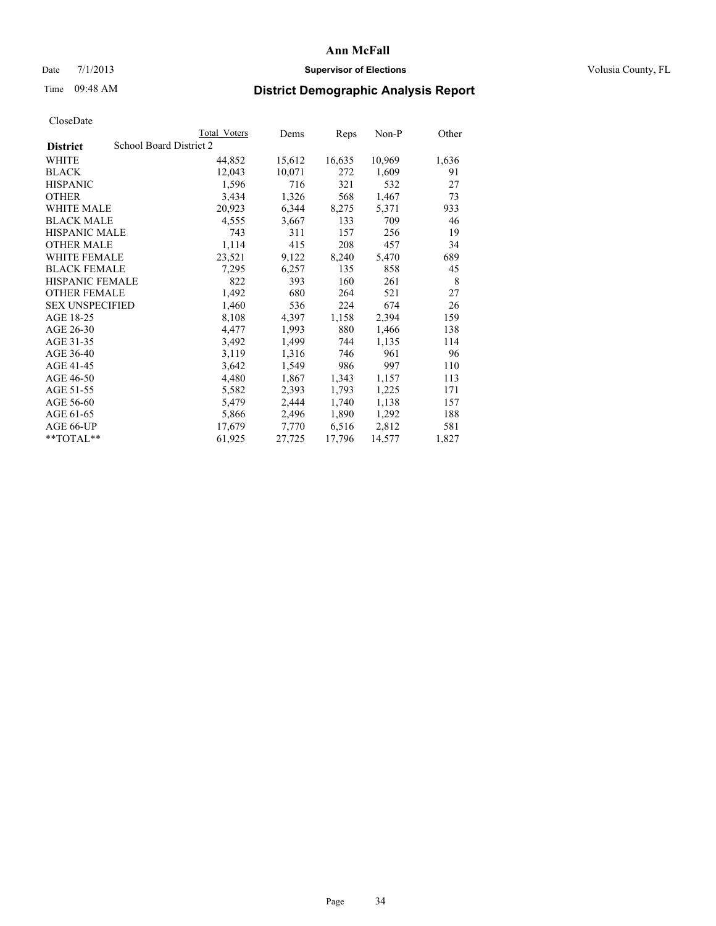# Date  $7/1/2013$  **Supervisor of Elections Supervisor of Elections** Volusia County, FL

# Time 09:48 AM **District Demographic Analysis Report**

|                        |                         | Total Voters | Dems   | <b>Reps</b> | Non-P  | Other |
|------------------------|-------------------------|--------------|--------|-------------|--------|-------|
| <b>District</b>        | School Board District 2 |              |        |             |        |       |
| <b>WHITE</b>           |                         | 44,852       | 15,612 | 16,635      | 10,969 | 1,636 |
| <b>BLACK</b>           |                         | 12,043       | 10,071 | 272         | 1,609  | 91    |
| <b>HISPANIC</b>        |                         | 1,596        | 716    | 321         | 532    | 27    |
| <b>OTHER</b>           |                         | 3,434        | 1,326  | 568         | 1,467  | 73    |
| <b>WHITE MALE</b>      |                         | 20,923       | 6,344  | 8,275       | 5,371  | 933   |
| <b>BLACK MALE</b>      |                         | 4,555        | 3,667  | 133         | 709    | 46    |
| <b>HISPANIC MALE</b>   |                         | 743          | 311    | 157         | 256    | 19    |
| <b>OTHER MALE</b>      |                         | 1,114        | 415    | 208         | 457    | 34    |
| WHITE FEMALE           |                         | 23,521       | 9,122  | 8,240       | 5,470  | 689   |
| <b>BLACK FEMALE</b>    |                         | 7,295        | 6,257  | 135         | 858    | 45    |
| HISPANIC FEMALE        |                         | 822          | 393    | 160         | 261    | 8     |
| <b>OTHER FEMALE</b>    |                         | 1,492        | 680    | 264         | 521    | 27    |
| <b>SEX UNSPECIFIED</b> |                         | 1,460        | 536    | 224         | 674    | 26    |
| AGE 18-25              |                         | 8,108        | 4,397  | 1,158       | 2,394  | 159   |
| AGE 26-30              |                         | 4,477        | 1,993  | 880         | 1,466  | 138   |
| AGE 31-35              |                         | 3,492        | 1,499  | 744         | 1,135  | 114   |
| AGE 36-40              |                         | 3,119        | 1,316  | 746         | 961    | 96    |
| AGE 41-45              |                         | 3,642        | 1,549  | 986         | 997    | 110   |
| AGE 46-50              |                         | 4,480        | 1,867  | 1,343       | 1,157  | 113   |
| AGE 51-55              |                         | 5,582        | 2,393  | 1,793       | 1,225  | 171   |
| AGE 56-60              |                         | 5,479        | 2,444  | 1,740       | 1,138  | 157   |
| AGE 61-65              |                         | 5,866        | 2,496  | 1,890       | 1,292  | 188   |
| AGE 66-UP              |                         | 17,679       | 7,770  | 6,516       | 2,812  | 581   |
| **TOTAL**              |                         | 61,925       | 27,725 | 17,796      | 14,577 | 1,827 |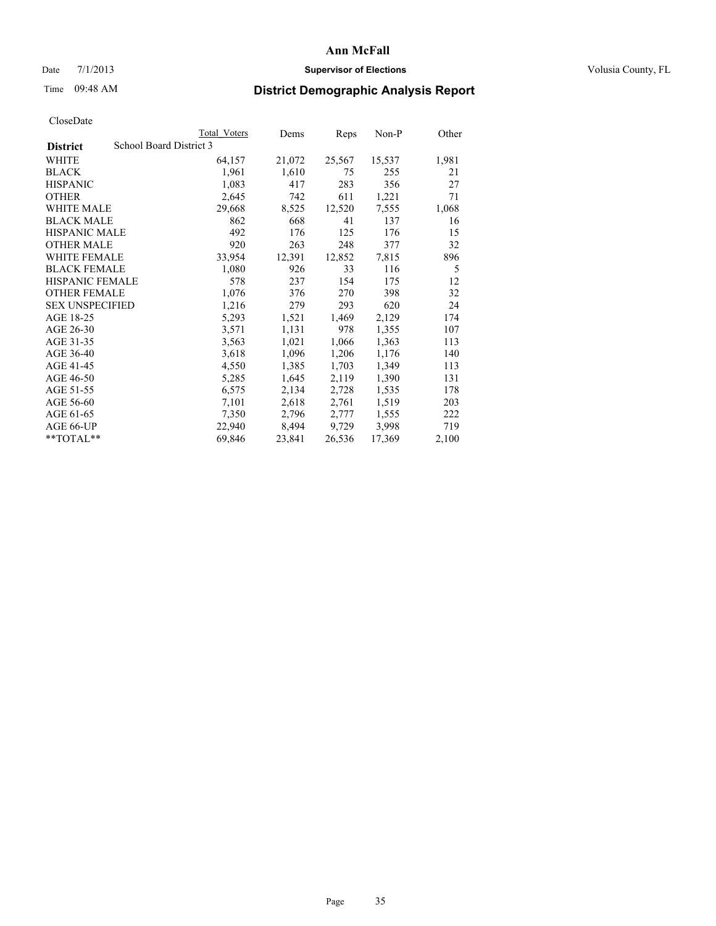# Date  $7/1/2013$  **Supervisor of Elections Supervisor of Elections** Volusia County, FL

# Time 09:48 AM **District Demographic Analysis Report**

|                        |                         | Total Voters | Dems   | Reps   | Non-P  | Other |
|------------------------|-------------------------|--------------|--------|--------|--------|-------|
| <b>District</b>        | School Board District 3 |              |        |        |        |       |
| <b>WHITE</b>           |                         | 64,157       | 21,072 | 25,567 | 15,537 | 1,981 |
| <b>BLACK</b>           |                         | 1,961        | 1,610  | 75     | 255    | 21    |
| <b>HISPANIC</b>        |                         | 1,083        | 417    | 283    | 356    | 27    |
| <b>OTHER</b>           |                         | 2,645        | 742    | 611    | 1,221  | 71    |
| WHITE MALE             |                         | 29,668       | 8,525  | 12,520 | 7,555  | 1,068 |
| <b>BLACK MALE</b>      |                         | 862          | 668    | 41     | 137    | 16    |
| <b>HISPANIC MALE</b>   |                         | 492          | 176    | 125    | 176    | 15    |
| <b>OTHER MALE</b>      |                         | 920          | 263    | 248    | 377    | 32    |
| <b>WHITE FEMALE</b>    |                         | 33,954       | 12,391 | 12,852 | 7,815  | 896   |
| <b>BLACK FEMALE</b>    |                         | 1,080        | 926    | 33     | 116    | 5     |
| <b>HISPANIC FEMALE</b> |                         | 578          | 237    | 154    | 175    | 12    |
| <b>OTHER FEMALE</b>    |                         | 1,076        | 376    | 270    | 398    | 32    |
| <b>SEX UNSPECIFIED</b> |                         | 1,216        | 279    | 293    | 620    | 24    |
| AGE 18-25              |                         | 5,293        | 1,521  | 1,469  | 2,129  | 174   |
| AGE 26-30              |                         | 3,571        | 1,131  | 978    | 1,355  | 107   |
| AGE 31-35              |                         | 3,563        | 1,021  | 1,066  | 1,363  | 113   |
| AGE 36-40              |                         | 3,618        | 1,096  | 1,206  | 1,176  | 140   |
| AGE 41-45              |                         | 4,550        | 1,385  | 1,703  | 1,349  | 113   |
| AGE 46-50              |                         | 5,285        | 1,645  | 2,119  | 1,390  | 131   |
| AGE 51-55              |                         | 6,575        | 2,134  | 2,728  | 1,535  | 178   |
| AGE 56-60              |                         | 7,101        | 2,618  | 2,761  | 1,519  | 203   |
| AGE 61-65              |                         | 7,350        | 2,796  | 2,777  | 1,555  | 222   |
| AGE 66-UP              |                         | 22,940       | 8,494  | 9,729  | 3,998  | 719   |
| $*$ $TOTAL**$          |                         | 69,846       | 23,841 | 26,536 | 17,369 | 2,100 |
|                        |                         |              |        |        |        |       |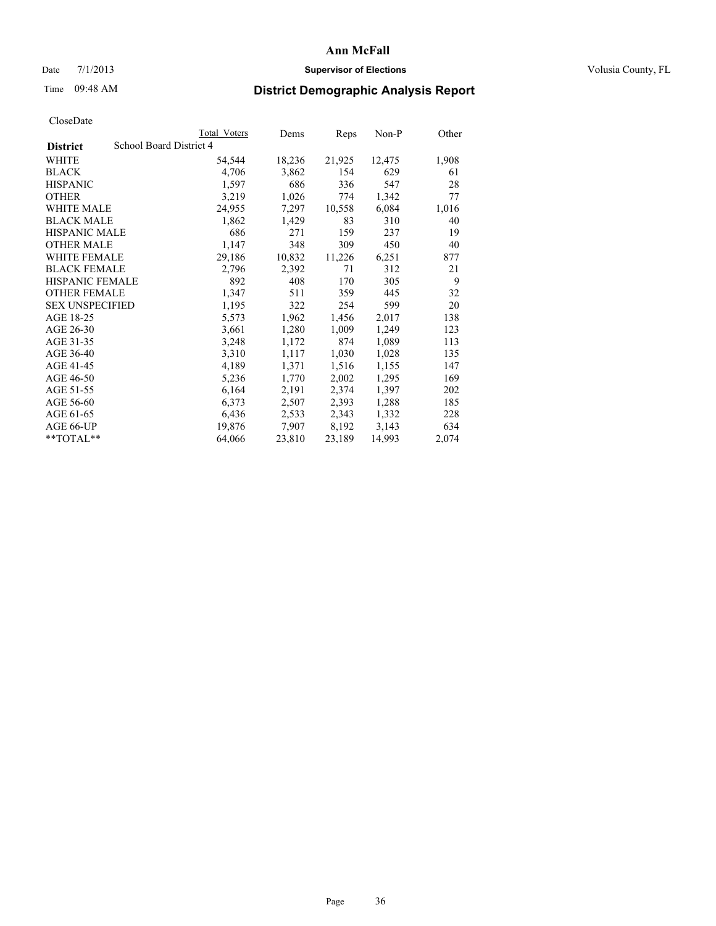# Date  $7/1/2013$  **Supervisor of Elections Supervisor of Elections** Volusia County, FL

# Time 09:48 AM **District Demographic Analysis Report**

|                        |                         | Total Voters | Dems   | <b>Reps</b> | $Non-P$ | Other |
|------------------------|-------------------------|--------------|--------|-------------|---------|-------|
| <b>District</b>        | School Board District 4 |              |        |             |         |       |
| <b>WHITE</b>           |                         | 54,544       | 18,236 | 21,925      | 12,475  | 1,908 |
| <b>BLACK</b>           |                         | 4,706        | 3,862  | 154         | 629     | 61    |
| <b>HISPANIC</b>        |                         | 1,597        | 686    | 336         | 547     | 28    |
| <b>OTHER</b>           |                         | 3,219        | 1,026  | 774         | 1,342   | 77    |
| <b>WHITE MALE</b>      |                         | 24,955       | 7,297  | 10,558      | 6,084   | 1,016 |
| <b>BLACK MALE</b>      |                         | 1,862        | 1,429  | 83          | 310     | 40    |
| <b>HISPANIC MALE</b>   |                         | 686          | 271    | 159         | 237     | 19    |
| <b>OTHER MALE</b>      |                         | 1,147        | 348    | 309         | 450     | 40    |
| WHITE FEMALE           |                         | 29,186       | 10,832 | 11,226      | 6,251   | 877   |
| <b>BLACK FEMALE</b>    |                         | 2,796        | 2,392  | 71          | 312     | 21    |
| HISPANIC FEMALE        |                         | 892          | 408    | 170         | 305     | 9     |
| <b>OTHER FEMALE</b>    |                         | 1,347        | 511    | 359         | 445     | 32    |
| <b>SEX UNSPECIFIED</b> |                         | 1,195        | 322    | 254         | 599     | 20    |
| AGE 18-25              |                         | 5,573        | 1,962  | 1,456       | 2,017   | 138   |
| AGE 26-30              |                         | 3,661        | 1,280  | 1,009       | 1,249   | 123   |
| AGE 31-35              |                         | 3,248        | 1,172  | 874         | 1,089   | 113   |
| AGE 36-40              |                         | 3,310        | 1,117  | 1,030       | 1,028   | 135   |
| AGE 41-45              |                         | 4,189        | 1,371  | 1,516       | 1,155   | 147   |
| AGE 46-50              |                         | 5,236        | 1,770  | 2,002       | 1,295   | 169   |
| AGE 51-55              |                         | 6,164        | 2,191  | 2,374       | 1,397   | 202   |
| AGE 56-60              |                         | 6,373        | 2,507  | 2,393       | 1,288   | 185   |
| AGE 61-65              |                         | 6,436        | 2,533  | 2,343       | 1,332   | 228   |
| AGE 66-UP              |                         | 19,876       | 7,907  | 8,192       | 3,143   | 634   |
| $*$ TOTAL $*$          |                         | 64,066       | 23,810 | 23,189      | 14,993  | 2,074 |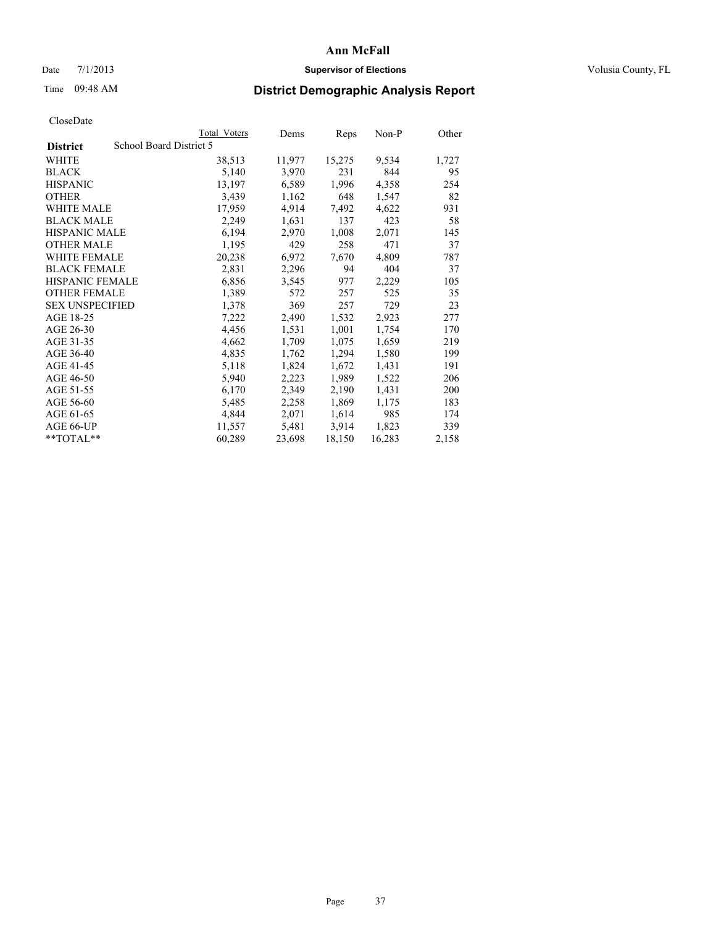### Date  $7/1/2013$  **Supervisor of Elections Supervisor of Elections** Volusia County, FL

# Time 09:48 AM **District Demographic Analysis Report**

|                        |                         | <b>Total Voters</b> | Dems   | Reps   | $Non-P$ | Other |
|------------------------|-------------------------|---------------------|--------|--------|---------|-------|
| <b>District</b>        | School Board District 5 |                     |        |        |         |       |
| WHITE                  |                         | 38,513              | 11,977 | 15,275 | 9,534   | 1,727 |
| <b>BLACK</b>           |                         | 5,140               | 3,970  | 231    | 844     | 95    |
| <b>HISPANIC</b>        |                         | 13,197              | 6,589  | 1,996  | 4,358   | 254   |
| <b>OTHER</b>           |                         | 3,439               | 1,162  | 648    | 1,547   | 82    |
| WHITE MALE             |                         | 17,959              | 4,914  | 7,492  | 4,622   | 931   |
| <b>BLACK MALE</b>      |                         | 2,249               | 1,631  | 137    | 423     | 58    |
| <b>HISPANIC MALE</b>   |                         | 6,194               | 2,970  | 1,008  | 2,071   | 145   |
| <b>OTHER MALE</b>      |                         | 1,195               | 429    | 258    | 471     | 37    |
| <b>WHITE FEMALE</b>    |                         | 20,238              | 6,972  | 7,670  | 4,809   | 787   |
| <b>BLACK FEMALE</b>    |                         | 2,831               | 2,296  | 94     | 404     | 37    |
| HISPANIC FEMALE        |                         | 6,856               | 3,545  | 977    | 2,229   | 105   |
| <b>OTHER FEMALE</b>    |                         | 1,389               | 572    | 257    | 525     | 35    |
| <b>SEX UNSPECIFIED</b> |                         | 1,378               | 369    | 257    | 729     | 23    |
| AGE 18-25              |                         | 7,222               | 2,490  | 1,532  | 2,923   | 277   |
| AGE 26-30              |                         | 4,456               | 1,531  | 1,001  | 1,754   | 170   |
| AGE 31-35              |                         | 4,662               | 1,709  | 1,075  | 1,659   | 219   |
| AGE 36-40              |                         | 4,835               | 1,762  | 1,294  | 1,580   | 199   |
| AGE 41-45              |                         | 5,118               | 1,824  | 1,672  | 1,431   | 191   |
| AGE 46-50              |                         | 5,940               | 2,223  | 1,989  | 1,522   | 206   |
| AGE 51-55              |                         | 6,170               | 2,349  | 2,190  | 1,431   | 200   |
| AGE 56-60              |                         | 5,485               | 2,258  | 1,869  | 1,175   | 183   |
| AGE 61-65              |                         | 4,844               | 2,071  | 1,614  | 985     | 174   |
| AGE 66-UP              |                         | 11,557              | 5,481  | 3,914  | 1,823   | 339   |
| $*$ $TOTAL**$          |                         | 60,289              | 23,698 | 18,150 | 16,283  | 2,158 |
|                        |                         |                     |        |        |         |       |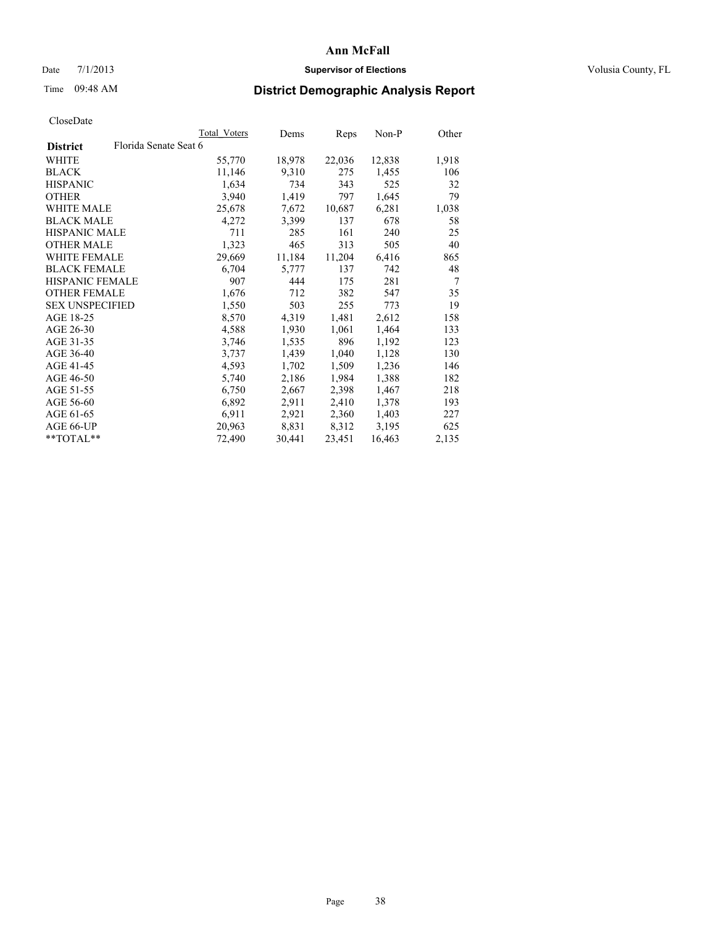### Date  $7/1/2013$  **Supervisor of Elections Supervisor of Elections** Volusia County, FL

# Time 09:48 AM **District Demographic Analysis Report**

|                                          | Total Voters | Dems   | Reps   | Non-P  | Other          |
|------------------------------------------|--------------|--------|--------|--------|----------------|
| Florida Senate Seat 6<br><b>District</b> |              |        |        |        |                |
| WHITE                                    | 55,770       | 18,978 | 22,036 | 12,838 | 1,918          |
| <b>BLACK</b>                             | 11,146       | 9,310  | 275    | 1,455  | 106            |
| <b>HISPANIC</b>                          | 1,634        | 734    | 343    | 525    | 32             |
| <b>OTHER</b>                             | 3,940        | 1,419  | 797    | 1,645  | 79             |
| WHITE MALE                               | 25,678       | 7,672  | 10,687 | 6,281  | 1,038          |
| <b>BLACK MALE</b>                        | 4,272        | 3,399  | 137    | 678    | 58             |
| <b>HISPANIC MALE</b>                     | 711          | 285    | 161    | 240    | 25             |
| <b>OTHER MALE</b>                        | 1,323        | 465    | 313    | 505    | 40             |
| WHITE FEMALE                             | 29,669       | 11,184 | 11,204 | 6,416  | 865            |
| <b>BLACK FEMALE</b>                      | 6,704        | 5,777  | 137    | 742    | 48             |
| <b>HISPANIC FEMALE</b>                   | 907          | 444    | 175    | 281    | $\overline{7}$ |
| <b>OTHER FEMALE</b>                      | 1,676        | 712    | 382    | 547    | 35             |
| <b>SEX UNSPECIFIED</b>                   | 1,550        | 503    | 255    | 773    | 19             |
| AGE 18-25                                | 8,570        | 4,319  | 1,481  | 2,612  | 158            |
| AGE 26-30                                | 4,588        | 1,930  | 1,061  | 1,464  | 133            |
| AGE 31-35                                | 3,746        | 1,535  | 896    | 1,192  | 123            |
| AGE 36-40                                | 3,737        | 1,439  | 1,040  | 1,128  | 130            |
| AGE 41-45                                | 4,593        | 1,702  | 1,509  | 1,236  | 146            |
| AGE 46-50                                | 5,740        | 2,186  | 1,984  | 1,388  | 182            |
| AGE 51-55                                | 6,750        | 2,667  | 2,398  | 1,467  | 218            |
| AGE 56-60                                | 6,892        | 2,911  | 2,410  | 1,378  | 193            |
| AGE 61-65                                | 6,911        | 2,921  | 2,360  | 1,403  | 227            |
| AGE 66-UP                                | 20,963       | 8,831  | 8,312  | 3,195  | 625            |
| **TOTAL**                                | 72,490       | 30,441 | 23,451 | 16,463 | 2,135          |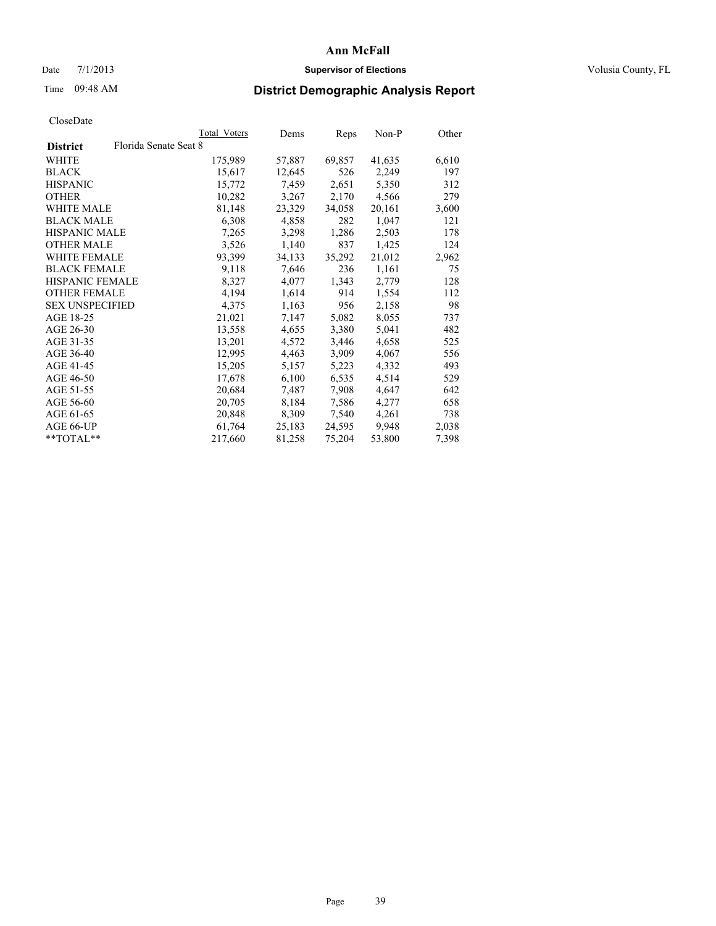## Date 7/1/2013 **Supervisor of Elections Supervisor of Elections** Volusia County, FL

# Time 09:48 AM **District Demographic Analysis Report**

|                                          | Total Voters | Dems   | <b>Reps</b> | Non-P  | Other |
|------------------------------------------|--------------|--------|-------------|--------|-------|
| Florida Senate Seat 8<br><b>District</b> |              |        |             |        |       |
| WHITE                                    | 175,989      | 57,887 | 69,857      | 41,635 | 6,610 |
| <b>BLACK</b>                             | 15,617       | 12,645 | 526         | 2,249  | 197   |
| <b>HISPANIC</b>                          | 15,772       | 7,459  | 2,651       | 5,350  | 312   |
| <b>OTHER</b>                             | 10,282       | 3,267  | 2,170       | 4,566  | 279   |
| <b>WHITE MALE</b>                        | 81,148       | 23,329 | 34,058      | 20,161 | 3,600 |
| <b>BLACK MALE</b>                        | 6,308        | 4,858  | 282         | 1,047  | 121   |
| <b>HISPANIC MALE</b>                     | 7,265        | 3,298  | 1,286       | 2,503  | 178   |
| <b>OTHER MALE</b>                        | 3,526        | 1,140  | 837         | 1,425  | 124   |
| <b>WHITE FEMALE</b>                      | 93,399       | 34,133 | 35,292      | 21,012 | 2,962 |
| <b>BLACK FEMALE</b>                      | 9,118        | 7,646  | 236         | 1,161  | 75    |
| HISPANIC FEMALE                          | 8,327        | 4,077  | 1,343       | 2,779  | 128   |
| <b>OTHER FEMALE</b>                      | 4,194        | 1,614  | 914         | 1,554  | 112   |
| <b>SEX UNSPECIFIED</b>                   | 4,375        | 1,163  | 956         | 2,158  | 98    |
| AGE 18-25                                | 21,021       | 7,147  | 5,082       | 8,055  | 737   |
| AGE 26-30                                | 13,558       | 4,655  | 3,380       | 5,041  | 482   |
| AGE 31-35                                | 13,201       | 4,572  | 3,446       | 4,658  | 525   |
| AGE 36-40                                | 12,995       | 4,463  | 3,909       | 4,067  | 556   |
| AGE 41-45                                | 15,205       | 5,157  | 5,223       | 4,332  | 493   |
| AGE 46-50                                | 17,678       | 6,100  | 6,535       | 4,514  | 529   |
| AGE 51-55                                | 20,684       | 7,487  | 7,908       | 4,647  | 642   |
| AGE 56-60                                | 20,705       | 8,184  | 7,586       | 4,277  | 658   |
| AGE 61-65                                | 20,848       | 8,309  | 7,540       | 4,261  | 738   |
| AGE 66-UP                                | 61,764       | 25,183 | 24,595      | 9.948  | 2,038 |
| $*$ $TOTAI.**$                           | 217,660      | 81,258 | 75,204      | 53,800 | 7,398 |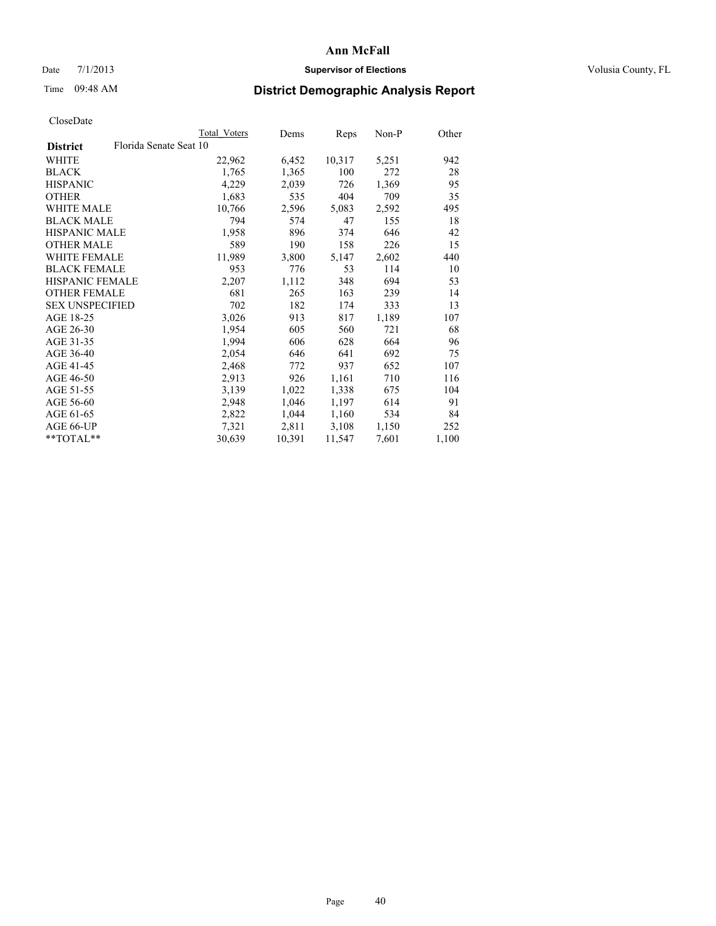### Date  $7/1/2013$  **Supervisor of Elections Supervisor of Elections** Volusia County, FL

# Time 09:48 AM **District Demographic Analysis Report**

|                        |                        | Total Voters | Dems   | <b>Reps</b> | Non-P | Other |
|------------------------|------------------------|--------------|--------|-------------|-------|-------|
| <b>District</b>        | Florida Senate Seat 10 |              |        |             |       |       |
| WHITE                  |                        | 22,962       | 6,452  | 10,317      | 5,251 | 942   |
| <b>BLACK</b>           |                        | 1,765        | 1,365  | 100         | 272   | 28    |
| <b>HISPANIC</b>        |                        | 4,229        | 2,039  | 726         | 1,369 | 95    |
| <b>OTHER</b>           |                        | 1,683        | 535    | 404         | 709   | 35    |
| <b>WHITE MALE</b>      |                        | 10,766       | 2,596  | 5,083       | 2,592 | 495   |
| <b>BLACK MALE</b>      |                        | 794          | 574    | 47          | 155   | 18    |
| <b>HISPANIC MALE</b>   |                        | 1,958        | 896    | 374         | 646   | 42    |
| <b>OTHER MALE</b>      |                        | 589          | 190    | 158         | 226   | 15    |
| <b>WHITE FEMALE</b>    |                        | 11,989       | 3,800  | 5,147       | 2,602 | 440   |
| <b>BLACK FEMALE</b>    |                        | 953          | 776    | 53          | 114   | 10    |
| HISPANIC FEMALE        |                        | 2,207        | 1,112  | 348         | 694   | 53    |
| <b>OTHER FEMALE</b>    |                        | 681          | 265    | 163         | 239   | 14    |
| <b>SEX UNSPECIFIED</b> |                        | 702          | 182    | 174         | 333   | 13    |
| AGE 18-25              |                        | 3,026        | 913    | 817         | 1,189 | 107   |
| AGE 26-30              |                        | 1,954        | 605    | 560         | 721   | 68    |
| AGE 31-35              |                        | 1,994        | 606    | 628         | 664   | 96    |
| AGE 36-40              |                        | 2,054        | 646    | 641         | 692   | 75    |
| AGE 41-45              |                        | 2,468        | 772    | 937         | 652   | 107   |
| AGE 46-50              |                        | 2,913        | 926    | 1,161       | 710   | 116   |
| AGE 51-55              |                        | 3,139        | 1,022  | 1,338       | 675   | 104   |
| AGE 56-60              |                        | 2,948        | 1,046  | 1,197       | 614   | 91    |
| AGE 61-65              |                        | 2,822        | 1,044  | 1,160       | 534   | 84    |
| AGE 66-UP              |                        | 7,321        | 2,811  | 3,108       | 1,150 | 252   |
| $*$ TOTAL $*$          |                        | 30,639       | 10,391 | 11,547      | 7,601 | 1,100 |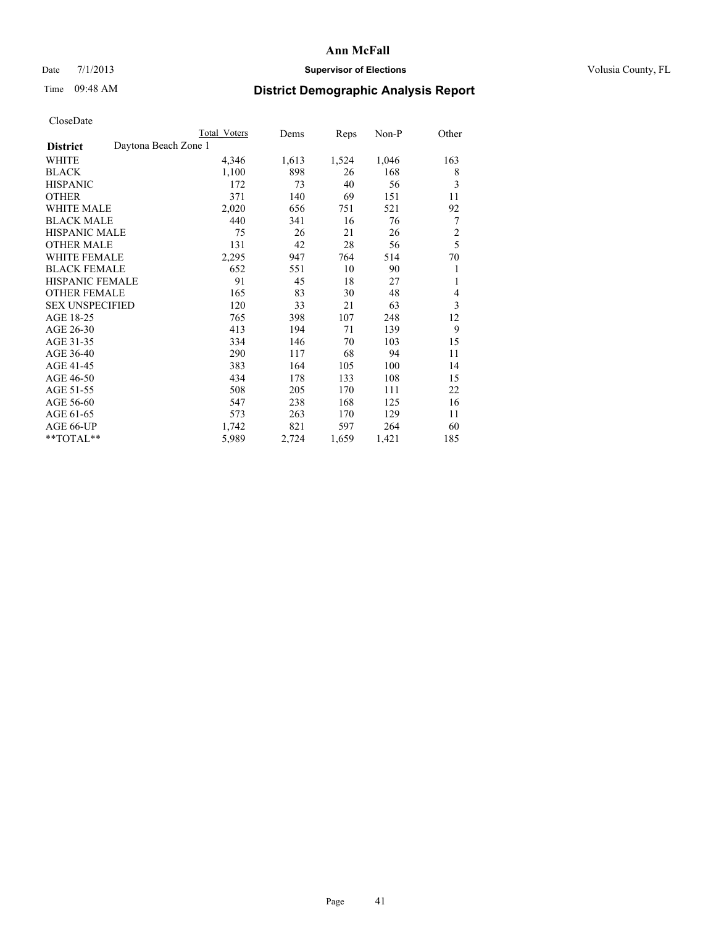## Date 7/1/2013 **Supervisor of Elections Supervisor of Elections** Volusia County, FL

# Time 09:48 AM **District Demographic Analysis Report**

| <b>Total Voters</b> | Dems                 | Reps  | $Non-P$ | Other          |
|---------------------|----------------------|-------|---------|----------------|
|                     |                      |       |         |                |
| 4,346               | 1,613                | 1,524 | 1,046   | 163            |
| 1,100               | 898                  | 26    | 168     | 8              |
| 172                 | 73                   | 40    | 56      | 3              |
| 371                 | 140                  | 69    | 151     | 11             |
| 2,020               | 656                  | 751   | 521     | 92             |
| 440                 | 341                  | 16    | 76      | 7              |
| 75                  | 26                   | 21    | 26      | $\overline{c}$ |
| 131                 | 42                   | 28    | 56      | 5              |
| 2,295               | 947                  | 764   | 514     | 70             |
| 652                 | 551                  | 10    | 90      | 1              |
| 91                  | 45                   | 18    | 27      | 1              |
| 165                 | 83                   | 30    | 48      | 4              |
| 120                 | 33                   | 21    | 63      | 3              |
| 765                 | 398                  | 107   | 248     | 12             |
| 413                 | 194                  | 71    | 139     | 9              |
| 334                 | 146                  | 70    | 103     | 15             |
| 290                 | 117                  | 68    | 94      | 11             |
| 383                 | 164                  | 105   | 100     | 14             |
| 434                 | 178                  | 133   | 108     | 15             |
| 508                 | 205                  | 170   | 111     | 22             |
| 547                 | 238                  | 168   | 125     | 16             |
| 573                 | 263                  | 170   | 129     | 11             |
| 1,742               | 821                  | 597   | 264     | 60             |
| 5,989               | 2,724                | 1,659 | 1,421   | 185            |
|                     | Daytona Beach Zone 1 |       |         |                |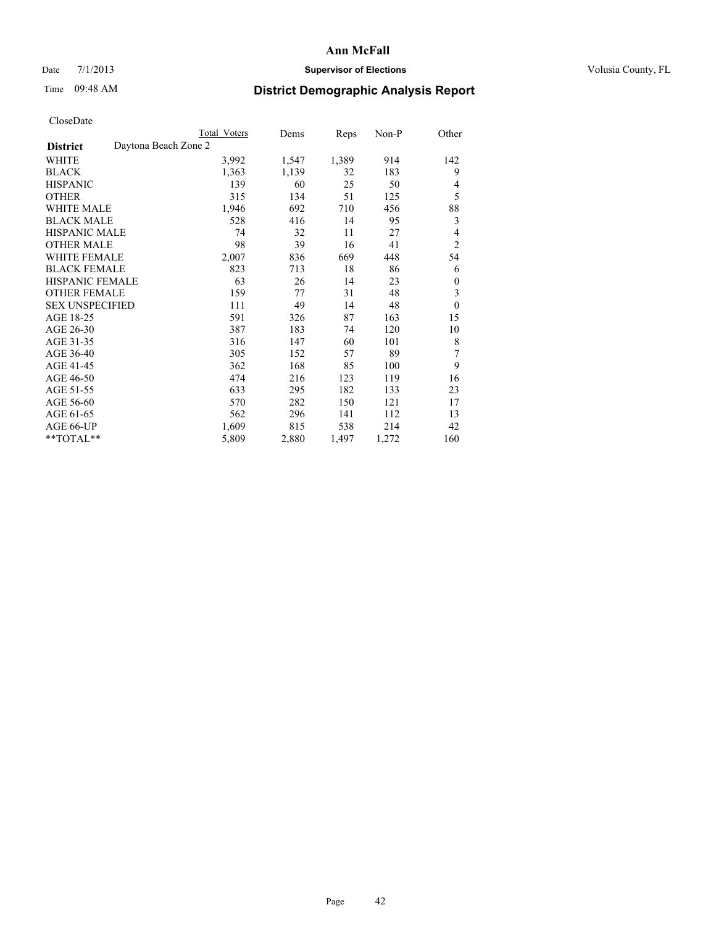## Date 7/1/2013 **Supervisor of Elections Supervisor of Elections** Volusia County, FL

# Time 09:48 AM **District Demographic Analysis Report**

| <b>Total Voters</b> | Dems                 | Reps  | $Non-P$ | Other          |
|---------------------|----------------------|-------|---------|----------------|
|                     |                      |       |         |                |
| 3,992               | 1,547                | 1,389 | 914     | 142            |
| 1,363               | 1,139                | 32    | 183     | 9              |
| 139                 | 60                   | 25    | 50      | 4              |
| 315                 | 134                  | 51    | 125     | 5              |
| 1,946               | 692                  | 710   | 456     | 88             |
| 528                 | 416                  | 14    | 95      | 3              |
| 74                  | 32                   | 11    | 27      | 4              |
| 98                  | 39                   | 16    | 41      | $\overline{2}$ |
| 2,007               | 836                  | 669   | 448     | 54             |
| 823                 | 713                  | 18    | 86      | 6              |
| 63                  | 26                   | 14    | 23      | 0              |
| 159                 | 77                   | 31    | 48      | 3              |
| 111                 | 49                   | 14    | 48      | $\mathbf{0}$   |
| 591                 | 326                  | 87    | 163     | 15             |
| 387                 | 183                  | 74    | 120     | 10             |
| 316                 | 147                  | 60    | 101     | 8              |
| 305                 | 152                  | 57    | 89      | 7              |
| 362                 | 168                  | 85    | 100     | 9              |
| 474                 | 216                  | 123   | 119     | 16             |
| 633                 | 295                  | 182   | 133     | 23             |
| 570                 | 282                  | 150   | 121     | 17             |
| 562                 | 296                  | 141   | 112     | 13             |
| 1,609               | 815                  | 538   | 214     | 42             |
| 5,809               | 2,880                | 1,497 | 1,272   | 160            |
|                     | Daytona Beach Zone 2 |       |         |                |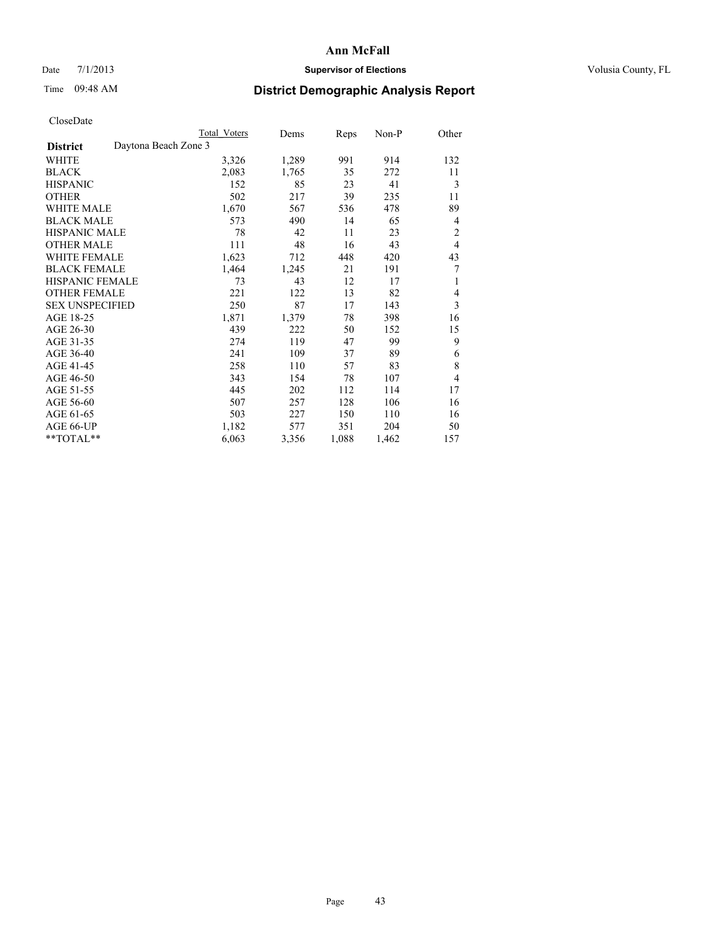## Date 7/1/2013 **Supervisor of Elections Supervisor of Elections** Volusia County, FL

# Time 09:48 AM **District Demographic Analysis Report**

|                                         | Total Voters | Dems  | Reps  | Non-P | Other          |
|-----------------------------------------|--------------|-------|-------|-------|----------------|
| Daytona Beach Zone 3<br><b>District</b> |              |       |       |       |                |
| WHITE                                   | 3,326        | 1,289 | 991   | 914   | 132            |
| <b>BLACK</b>                            | 2,083        | 1,765 | 35    | 272   | 11             |
| <b>HISPANIC</b>                         | 152          | 85    | 23    | 41    | 3              |
| <b>OTHER</b>                            | 502          | 217   | 39    | 235   | 11             |
| <b>WHITE MALE</b>                       | 1,670        | 567   | 536   | 478   | 89             |
| <b>BLACK MALE</b>                       | 573          | 490   | 14    | 65    | 4              |
| <b>HISPANIC MALE</b>                    | 78           | 42    | 11    | 23    | $\overline{c}$ |
| <b>OTHER MALE</b>                       | 111          | 48    | 16    | 43    | $\overline{4}$ |
| <b>WHITE FEMALE</b>                     | 1,623        | 712   | 448   | 420   | 43             |
| <b>BLACK FEMALE</b>                     | 1,464        | 1,245 | 21    | 191   | 7              |
| <b>HISPANIC FEMALE</b>                  | 73           | 43    | 12    | 17    | 1              |
| <b>OTHER FEMALE</b>                     | 221          | 122   | 13    | 82    | 4              |
| <b>SEX UNSPECIFIED</b>                  | 250          | 87    | 17    | 143   | 3              |
| AGE 18-25                               | 1,871        | 1,379 | 78    | 398   | 16             |
| AGE 26-30                               | 439          | 222   | 50    | 152   | 15             |
| AGE 31-35                               | 274          | 119   | 47    | 99    | 9              |
| AGE 36-40                               | 241          | 109   | 37    | 89    | 6              |
| AGE 41-45                               | 258          | 110   | 57    | 83    | 8              |
| AGE 46-50                               | 343          | 154   | 78    | 107   | $\overline{4}$ |
| AGE 51-55                               | 445          | 202   | 112   | 114   | 17             |
| AGE 56-60                               | 507          | 257   | 128   | 106   | 16             |
| AGE 61-65                               | 503          | 227   | 150   | 110   | 16             |
| AGE 66-UP                               | 1,182        | 577   | 351   | 204   | 50             |
| **TOTAL**                               | 6,063        | 3,356 | 1,088 | 1,462 | 157            |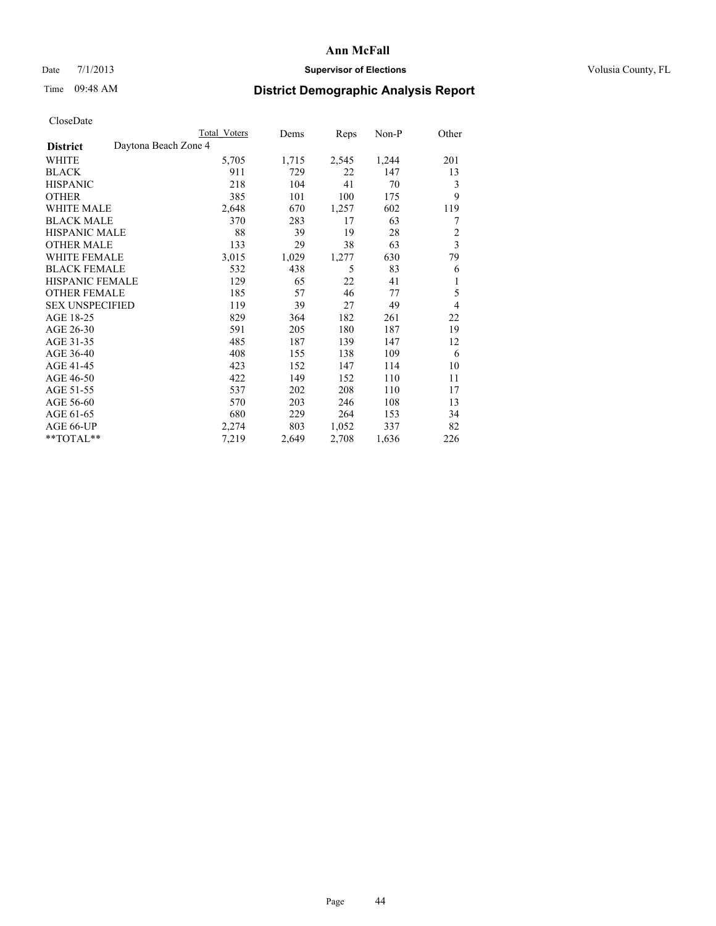## Date 7/1/2013 **Supervisor of Elections Supervisor of Elections** Volusia County, FL

## Time 09:48 AM **District Demographic Analysis Report**

|                        | Total Voters         | Dems  | Reps  | Non-P | Other          |
|------------------------|----------------------|-------|-------|-------|----------------|
| <b>District</b>        | Daytona Beach Zone 4 |       |       |       |                |
| WHITE                  | 5,705                | 1,715 | 2,545 | 1,244 | 201            |
| <b>BLACK</b>           | 911                  | 729   | 22    | 147   | 13             |
| <b>HISPANIC</b>        | 218                  | 104   | 41    | 70    | 3              |
| <b>OTHER</b>           | 385                  | 101   | 100   | 175   | 9              |
| WHITE MALE             | 2,648                | 670   | 1,257 | 602   | 119            |
| <b>BLACK MALE</b>      | 370                  | 283   | 17    | 63    | 7              |
| <b>HISPANIC MALE</b>   | 88                   | 39    | 19    | 28    | $\overline{2}$ |
| <b>OTHER MALE</b>      | 133                  | 29    | 38    | 63    | $\overline{3}$ |
| WHITE FEMALE           | 3,015                | 1,029 | 1,277 | 630   | 79             |
| <b>BLACK FEMALE</b>    | 532                  | 438   | 5     | 83    | 6              |
| <b>HISPANIC FEMALE</b> | 129                  | 65    | 22    | 41    | 1              |
| <b>OTHER FEMALE</b>    | 185                  | 57    | 46    | 77    | 5              |
| <b>SEX UNSPECIFIED</b> | 119                  | 39    | 27    | 49    | $\overline{4}$ |
| AGE 18-25              | 829                  | 364   | 182   | 261   | 22             |
| AGE 26-30              | 591                  | 205   | 180   | 187   | 19             |
| AGE 31-35              | 485                  | 187   | 139   | 147   | 12             |
| AGE 36-40              | 408                  | 155   | 138   | 109   | 6              |
| AGE 41-45              | 423                  | 152   | 147   | 114   | 10             |
| AGE 46-50              | 422                  | 149   | 152   | 110   | 11             |
| AGE 51-55              | 537                  | 202   | 208   | 110   | 17             |
| AGE 56-60              | 570                  | 203   | 246   | 108   | 13             |
| AGE 61-65              | 680                  | 229   | 264   | 153   | 34             |
| AGE 66-UP              | 2,274                | 803   | 1,052 | 337   | 82             |
| **TOTAL**              | 7,219                | 2,649 | 2,708 | 1,636 | 226            |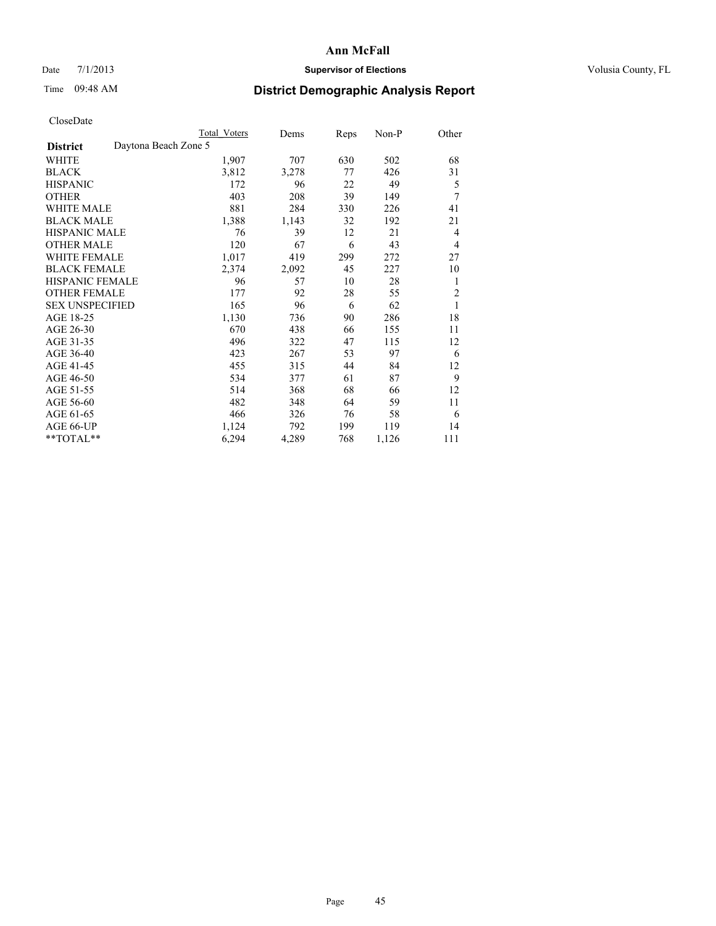## Date 7/1/2013 **Supervisor of Elections Supervisor of Elections** Volusia County, FL

## Time 09:48 AM **District Demographic Analysis Report**

|                        |                      | Total Voters | Dems  | Reps | Non-P | Other |
|------------------------|----------------------|--------------|-------|------|-------|-------|
| <b>District</b>        | Daytona Beach Zone 5 |              |       |      |       |       |
| WHITE                  |                      | 1,907        | 707   | 630  | 502   | 68    |
| <b>BLACK</b>           |                      | 3,812        | 3,278 | 77   | 426   | 31    |
| <b>HISPANIC</b>        |                      | 172          | 96    | 22   | 49    | 5     |
| <b>OTHER</b>           |                      | 403          | 208   | 39   | 149   | 7     |
| WHITE MALE             |                      | 881          | 284   | 330  | 226   | 41    |
| <b>BLACK MALE</b>      |                      | 1,388        | 1,143 | 32   | 192   | 21    |
| <b>HISPANIC MALE</b>   |                      | 76           | 39    | 12   | 21    | 4     |
| <b>OTHER MALE</b>      |                      | 120          | 67    | 6    | 43    | 4     |
| WHITE FEMALE           |                      | 1,017        | 419   | 299  | 272   | 27    |
| <b>BLACK FEMALE</b>    |                      | 2,374        | 2,092 | 45   | 227   | 10    |
| <b>HISPANIC FEMALE</b> |                      | 96           | 57    | 10   | 28    | 1     |
| <b>OTHER FEMALE</b>    |                      | 177          | 92    | 28   | 55    | 2     |
| <b>SEX UNSPECIFIED</b> |                      | 165          | 96    | 6    | 62    | 1     |
| AGE 18-25              |                      | 1,130        | 736   | 90   | 286   | 18    |
| AGE 26-30              |                      | 670          | 438   | 66   | 155   | 11    |
| AGE 31-35              |                      | 496          | 322   | 47   | 115   | 12    |
| AGE 36-40              |                      | 423          | 267   | 53   | 97    | 6     |
| AGE 41-45              |                      | 455          | 315   | 44   | 84    | 12    |
| AGE 46-50              |                      | 534          | 377   | 61   | 87    | 9     |
| AGE 51-55              |                      | 514          | 368   | 68   | 66    | 12    |
| AGE 56-60              |                      | 482          | 348   | 64   | 59    | 11    |
| AGE 61-65              |                      | 466          | 326   | 76   | 58    | 6     |
| AGE 66-UP              |                      | 1,124        | 792   | 199  | 119   | 14    |
| **TOTAL**              |                      | 6,294        | 4,289 | 768  | 1,126 | 111   |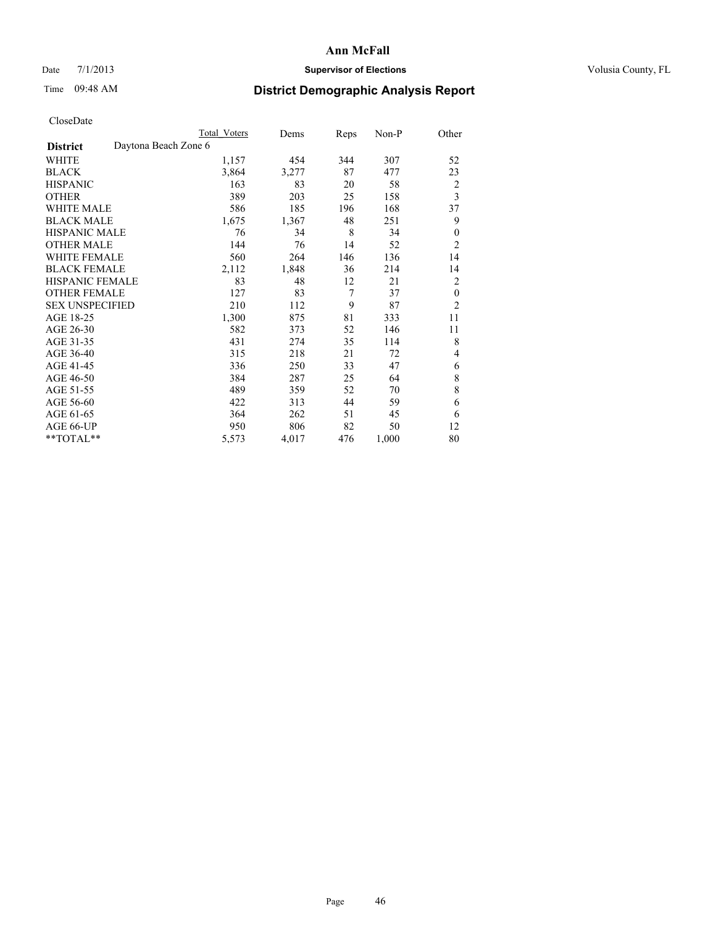### Date  $7/1/2013$  **Supervisor of Elections Supervisor of Elections** Volusia County, FL

# Time 09:48 AM **District Demographic Analysis Report**

|                        | <b>Total Voters</b>  | Dems  | Reps | Non-P | Other                   |
|------------------------|----------------------|-------|------|-------|-------------------------|
| <b>District</b>        | Daytona Beach Zone 6 |       |      |       |                         |
| WHITE                  | 1,157                | 454   | 344  | 307   | 52                      |
| <b>BLACK</b>           | 3,864                | 3,277 | 87   | 477   | 23                      |
| <b>HISPANIC</b>        | 163                  | 83    | 20   | 58    | $\overline{c}$          |
| <b>OTHER</b>           | 389                  | 203   | 25   | 158   | $\overline{\mathbf{3}}$ |
| <b>WHITE MALE</b>      | 586                  | 185   | 196  | 168   | 37                      |
| <b>BLACK MALE</b>      | 1,675                | 1,367 | 48   | 251   | 9                       |
| <b>HISPANIC MALE</b>   | 76                   | 34    | 8    | 34    | $\mathbf{0}$            |
| <b>OTHER MALE</b>      | 144                  | 76    | 14   | 52    | $\overline{2}$          |
| <b>WHITE FEMALE</b>    | 560                  | 264   | 146  | 136   | 14                      |
| <b>BLACK FEMALE</b>    | 2,112                | 1,848 | 36   | 214   | 14                      |
| HISPANIC FEMALE        | 83                   | 48    | 12   | 21    | $\overline{2}$          |
| <b>OTHER FEMALE</b>    | 127                  | 83    | 7    | 37    | $\theta$                |
| <b>SEX UNSPECIFIED</b> | 210                  | 112   | 9    | 87    | $\overline{2}$          |
| AGE 18-25              | 1,300                | 875   | 81   | 333   | 11                      |
| AGE 26-30              | 582                  | 373   | 52   | 146   | 11                      |
| AGE 31-35              | 431                  | 274   | 35   | 114   | 8                       |
| AGE 36-40              | 315                  | 218   | 21   | 72    | 4                       |
| AGE 41-45              | 336                  | 250   | 33   | 47    | 6                       |
| AGE 46-50              | 384                  | 287   | 25   | 64    | 8                       |
| AGE 51-55              | 489                  | 359   | 52   | 70    | 8                       |
| AGE 56-60              | 422                  | 313   | 44   | 59    | 6                       |
| AGE 61-65              | 364                  | 262   | 51   | 45    | 6                       |
| AGE 66-UP              | 950                  | 806   | 82   | 50    | 12                      |
| **TOTAL**              | 5,573                | 4,017 | 476  | 1,000 | 80                      |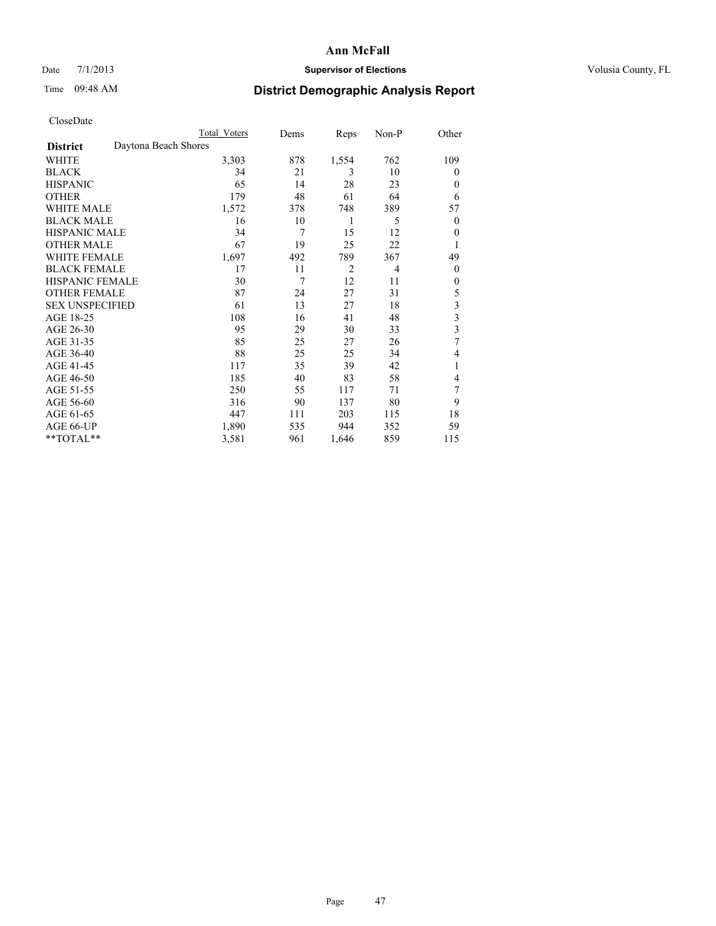## Date 7/1/2013 **Supervisor of Elections Supervisor of Elections** Volusia County, FL

## Time 09:48 AM **District Demographic Analysis Report**

|                        | Total Voters         | Dems | Reps           | Non-P          | Other                   |
|------------------------|----------------------|------|----------------|----------------|-------------------------|
| <b>District</b>        | Daytona Beach Shores |      |                |                |                         |
| WHITE                  | 3,303                | 878  | 1,554          | 762            | 109                     |
| <b>BLACK</b>           | 34                   | 21   | 3              | 10             | $\Omega$                |
| <b>HISPANIC</b>        | 65                   | 14   | 28             | 23             | $\Omega$                |
| <b>OTHER</b>           | 179                  | 48   | 61             | 64             | 6                       |
| WHITE MALE             | 1,572                | 378  | 748            | 389            | 57                      |
| <b>BLACK MALE</b>      | 16                   | 10   | 1              | 5              | $\overline{0}$          |
| <b>HISPANIC MALE</b>   | 34                   | 7    | 15             | 12             | $\overline{0}$          |
| <b>OTHER MALE</b>      | 67                   | 19   | 25             | 22             | 1                       |
| WHITE FEMALE           | 1,697                | 492  | 789            | 367            | 49                      |
| <b>BLACK FEMALE</b>    | 17                   | 11   | $\overline{2}$ | $\overline{4}$ | $\overline{0}$          |
| <b>HISPANIC FEMALE</b> | 30                   | 7    | 12             | 11             | $\Omega$                |
| <b>OTHER FEMALE</b>    | 87                   | 24   | 27             | 31             | 5                       |
| <b>SEX UNSPECIFIED</b> | 61                   | 13   | 27             | 18             | 3                       |
| AGE 18-25              | 108                  | 16   | 41             | 48             | $\overline{\mathbf{3}}$ |
| AGE 26-30              | 95                   | 29   | 30             | 33             | $\overline{\mathbf{3}}$ |
| AGE 31-35              | 85                   | 25   | 27             | 26             | 7                       |
| AGE 36-40              | 88                   | 25   | 25             | 34             | 4                       |
| AGE 41-45              | 117                  | 35   | 39             | 42             | 1                       |
| AGE 46-50              | 185                  | 40   | 83             | 58             | $\overline{4}$          |
| AGE 51-55              | 250                  | 55   | 117            | 71             | 7                       |
| AGE 56-60              | 316                  | 90   | 137            | 80             | 9                       |
| AGE 61-65              | 447                  | 111  | 203            | 115            | 18                      |
| AGE 66-UP              | 1,890                | 535  | 944            | 352            | 59                      |
| **TOTAL**              | 3,581                | 961  | 1,646          | 859            | 115                     |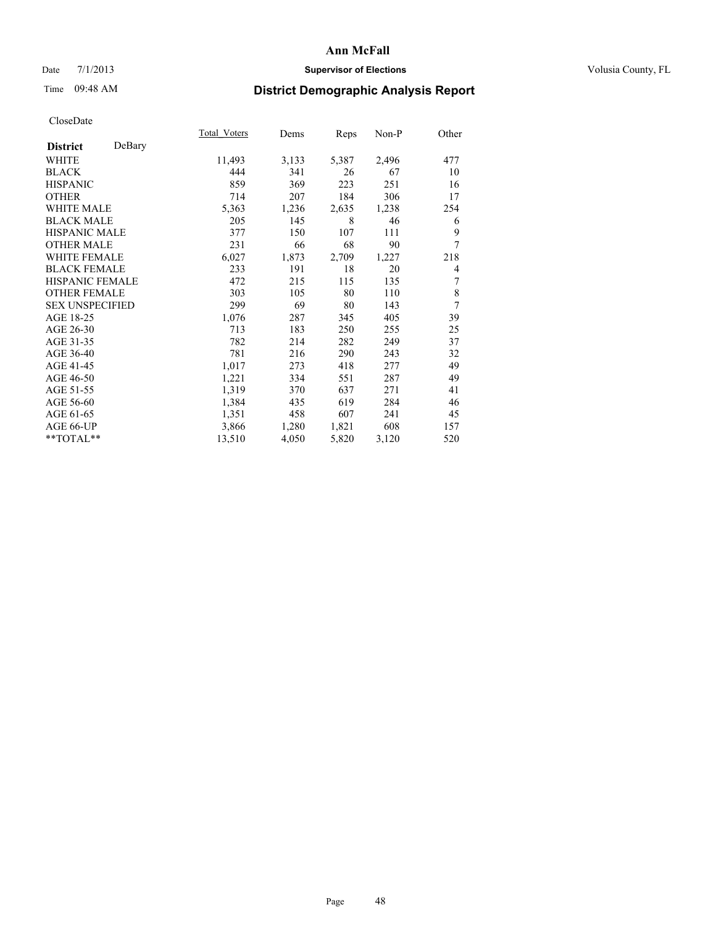## Date 7/1/2013 **Supervisor of Elections Supervisor of Elections** Volusia County, FL

## Time 09:48 AM **District Demographic Analysis Report**

|                        |        | Total Voters | Dems  | Reps  | Non-P | Other |
|------------------------|--------|--------------|-------|-------|-------|-------|
| <b>District</b>        | DeBary |              |       |       |       |       |
| WHITE                  |        | 11,493       | 3,133 | 5,387 | 2,496 | 477   |
| <b>BLACK</b>           |        | 444          | 341   | 26    | 67    | 10    |
| <b>HISPANIC</b>        |        | 859          | 369   | 223   | 251   | 16    |
| <b>OTHER</b>           |        | 714          | 207   | 184   | 306   | 17    |
| WHITE MALE             |        | 5,363        | 1,236 | 2,635 | 1,238 | 254   |
| <b>BLACK MALE</b>      |        | 205          | 145   | 8     | 46    | 6     |
| <b>HISPANIC MALE</b>   |        | 377          | 150   | 107   | 111   | 9     |
| <b>OTHER MALE</b>      |        | 231          | 66    | 68    | 90    | 7     |
| <b>WHITE FEMALE</b>    |        | 6,027        | 1,873 | 2,709 | 1,227 | 218   |
| <b>BLACK FEMALE</b>    |        | 233          | 191   | 18    | 20    | 4     |
| <b>HISPANIC FEMALE</b> |        | 472          | 215   | 115   | 135   | 7     |
| <b>OTHER FEMALE</b>    |        | 303          | 105   | 80    | 110   | 8     |
| <b>SEX UNSPECIFIED</b> |        | 299          | 69    | 80    | 143   | 7     |
| AGE 18-25              |        | 1,076        | 287   | 345   | 405   | 39    |
| AGE 26-30              |        | 713          | 183   | 250   | 255   | 25    |
| AGE 31-35              |        | 782          | 214   | 282   | 249   | 37    |
| AGE 36-40              |        | 781          | 216   | 290   | 243   | 32    |
| AGE 41-45              |        | 1,017        | 273   | 418   | 277   | 49    |
| AGE 46-50              |        | 1,221        | 334   | 551   | 287   | 49    |
| AGE 51-55              |        | 1,319        | 370   | 637   | 271   | 41    |
| AGE 56-60              |        | 1,384        | 435   | 619   | 284   | 46    |
| AGE 61-65              |        | 1,351        | 458   | 607   | 241   | 45    |
| AGE 66-UP              |        | 3,866        | 1,280 | 1,821 | 608   | 157   |
| **TOTAL**              |        | 13,510       | 4,050 | 5,820 | 3,120 | 520   |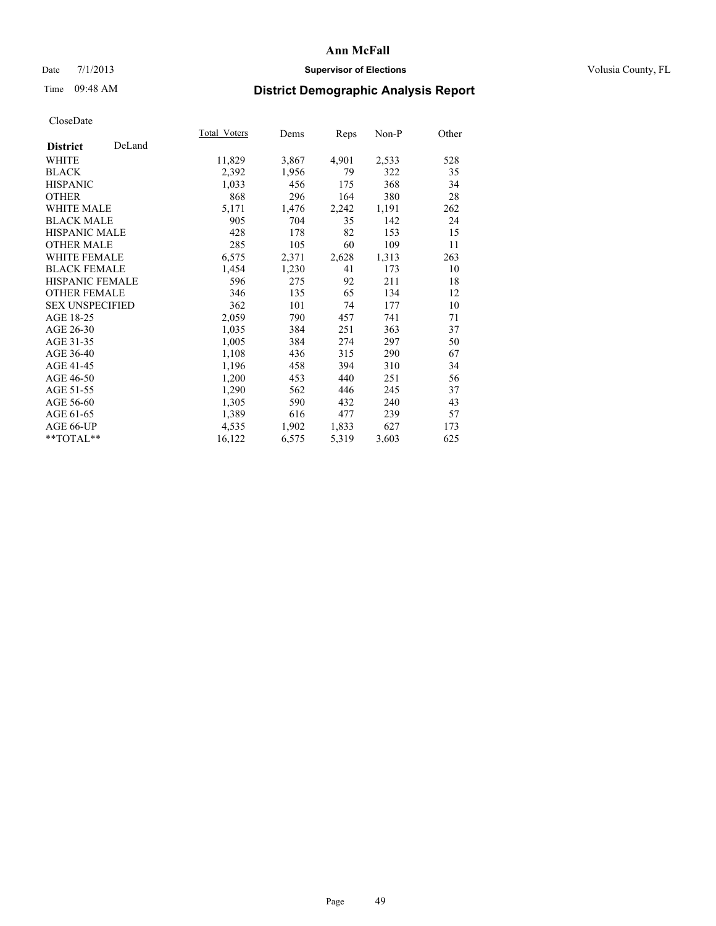## Date 7/1/2013 **Supervisor of Elections Supervisor of Elections** Volusia County, FL

# Time 09:48 AM **District Demographic Analysis Report**

|                        |        | Total Voters | Dems  | <b>Reps</b> | Non-P | Other |
|------------------------|--------|--------------|-------|-------------|-------|-------|
| <b>District</b>        | DeLand |              |       |             |       |       |
| WHITE                  |        | 11,829       | 3,867 | 4,901       | 2,533 | 528   |
| <b>BLACK</b>           |        | 2,392        | 1,956 | 79          | 322   | 35    |
| <b>HISPANIC</b>        |        | 1,033        | 456   | 175         | 368   | 34    |
| <b>OTHER</b>           |        | 868          | 296   | 164         | 380   | 28    |
| <b>WHITE MALE</b>      |        | 5,171        | 1,476 | 2,242       | 1,191 | 262   |
| <b>BLACK MALE</b>      |        | 905          | 704   | 35          | 142   | 24    |
| <b>HISPANIC MALE</b>   |        | 428          | 178   | 82          | 153   | 15    |
| <b>OTHER MALE</b>      |        | 285          | 105   | 60          | 109   | 11    |
| <b>WHITE FEMALE</b>    |        | 6,575        | 2,371 | 2,628       | 1,313 | 263   |
| <b>BLACK FEMALE</b>    |        | 1,454        | 1,230 | 41          | 173   | 10    |
| <b>HISPANIC FEMALE</b> |        | 596          | 275   | 92          | 211   | 18    |
| <b>OTHER FEMALE</b>    |        | 346          | 135   | 65          | 134   | 12    |
| <b>SEX UNSPECIFIED</b> |        | 362          | 101   | 74          | 177   | 10    |
| AGE 18-25              |        | 2,059        | 790   | 457         | 741   | 71    |
| AGE 26-30              |        | 1,035        | 384   | 251         | 363   | 37    |
| AGE 31-35              |        | 1,005        | 384   | 274         | 297   | 50    |
| AGE 36-40              |        | 1,108        | 436   | 315         | 290   | 67    |
| AGE 41-45              |        | 1,196        | 458   | 394         | 310   | 34    |
| AGE 46-50              |        | 1,200        | 453   | 440         | 251   | 56    |
| AGE 51-55              |        | 1,290        | 562   | 446         | 245   | 37    |
| AGE 56-60              |        | 1,305        | 590   | 432         | 240   | 43    |
| AGE 61-65              |        | 1,389        | 616   | 477         | 239   | 57    |
| AGE 66-UP              |        | 4,535        | 1,902 | 1,833       | 627   | 173   |
| **TOTAL**              |        | 16,122       | 6,575 | 5,319       | 3,603 | 625   |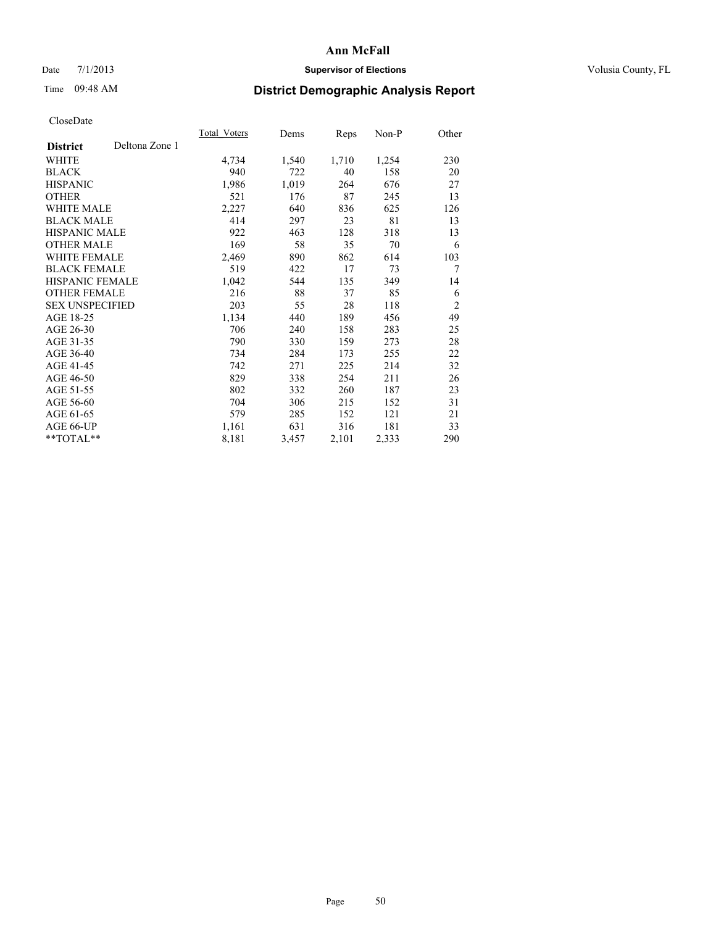## Date 7/1/2013 **Supervisor of Elections Supervisor of Elections** Volusia County, FL

# Time 09:48 AM **District Demographic Analysis Report**

|                        |                | <b>Total Voters</b> | Dems  | <b>Reps</b> | Non-P | Other          |
|------------------------|----------------|---------------------|-------|-------------|-------|----------------|
| <b>District</b>        | Deltona Zone 1 |                     |       |             |       |                |
| WHITE                  |                | 4,734               | 1,540 | 1,710       | 1,254 | 230            |
| <b>BLACK</b>           |                | 940                 | 722   | 40          | 158   | 20             |
| <b>HISPANIC</b>        |                | 1,986               | 1,019 | 264         | 676   | 27             |
| <b>OTHER</b>           |                | 521                 | 176   | 87          | 245   | 13             |
| <b>WHITE MALE</b>      |                | 2,227               | 640   | 836         | 625   | 126            |
| <b>BLACK MALE</b>      |                | 414                 | 297   | 23          | 81    | 13             |
| <b>HISPANIC MALE</b>   |                | 922                 | 463   | 128         | 318   | 13             |
| <b>OTHER MALE</b>      |                | 169                 | 58    | 35          | 70    | 6              |
| <b>WHITE FEMALE</b>    |                | 2,469               | 890   | 862         | 614   | 103            |
| <b>BLACK FEMALE</b>    |                | 519                 | 422   | 17          | 73    | 7              |
| HISPANIC FEMALE        |                | 1,042               | 544   | 135         | 349   | 14             |
| <b>OTHER FEMALE</b>    |                | 216                 | 88    | 37          | 85    | 6              |
| <b>SEX UNSPECIFIED</b> |                | 203                 | 55    | 28          | 118   | $\overline{2}$ |
| AGE 18-25              |                | 1,134               | 440   | 189         | 456   | 49             |
| AGE 26-30              |                | 706                 | 240   | 158         | 283   | 25             |
| AGE 31-35              |                | 790                 | 330   | 159         | 273   | 28             |
| AGE 36-40              |                | 734                 | 284   | 173         | 255   | 22             |
| AGE 41-45              |                | 742                 | 271   | 225         | 214   | 32             |
| AGE 46-50              |                | 829                 | 338   | 254         | 211   | 26             |
| AGE 51-55              |                | 802                 | 332   | 260         | 187   | 23             |
| AGE 56-60              |                | 704                 | 306   | 215         | 152   | 31             |
| AGE 61-65              |                | 579                 | 285   | 152         | 121   | 21             |
| AGE 66-UP              |                | 1,161               | 631   | 316         | 181   | 33             |
| **TOTAL**              |                | 8,181               | 3,457 | 2,101       | 2,333 | 290            |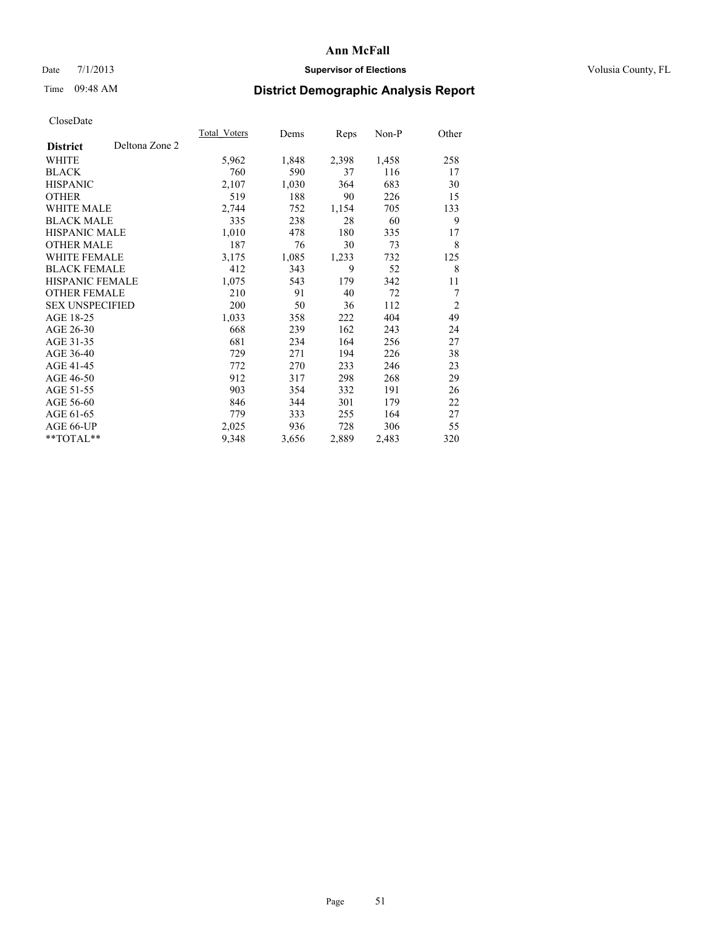### Date  $7/1/2013$  **Supervisor of Elections Supervisor of Elections** Volusia County, FL

## Time 09:48 AM **District Demographic Analysis Report**

|                                   | <b>Total Voters</b> | Dems  | Reps  | Non-P | Other          |
|-----------------------------------|---------------------|-------|-------|-------|----------------|
| Deltona Zone 2<br><b>District</b> |                     |       |       |       |                |
| WHITE                             | 5,962               | 1,848 | 2,398 | 1,458 | 258            |
| <b>BLACK</b>                      | 760                 | 590   | 37    | 116   | 17             |
| <b>HISPANIC</b>                   | 2,107               | 1,030 | 364   | 683   | 30             |
| <b>OTHER</b>                      | 519                 | 188   | 90    | 226   | 15             |
| <b>WHITE MALE</b>                 | 2,744               | 752   | 1,154 | 705   | 133            |
| <b>BLACK MALE</b>                 | 335                 | 238   | 28    | 60    | 9              |
| HISPANIC MALE                     | 1,010               | 478   | 180   | 335   | 17             |
| <b>OTHER MALE</b>                 | 187                 | 76    | 30    | 73    | 8              |
| <b>WHITE FEMALE</b>               | 3,175               | 1,085 | 1,233 | 732   | 125            |
| <b>BLACK FEMALE</b>               | 412                 | 343   | 9     | 52    | 8              |
| <b>HISPANIC FEMALE</b>            | 1,075               | 543   | 179   | 342   | 11             |
| <b>OTHER FEMALE</b>               | 210                 | 91    | 40    | 72    | 7              |
| <b>SEX UNSPECIFIED</b>            | 200                 | 50    | 36    | 112   | $\overline{c}$ |
| AGE 18-25                         | 1,033               | 358   | 222   | 404   | 49             |
| AGE 26-30                         | 668                 | 239   | 162   | 243   | 24             |
| AGE 31-35                         | 681                 | 234   | 164   | 256   | 27             |
| AGE 36-40                         | 729                 | 271   | 194   | 226   | 38             |
| AGE 41-45                         | 772                 | 270   | 233   | 246   | 23             |
| AGE 46-50                         | 912                 | 317   | 298   | 268   | 29             |
| AGE 51-55                         | 903                 | 354   | 332   | 191   | 26             |
| AGE 56-60                         | 846                 | 344   | 301   | 179   | 22             |
| AGE 61-65                         | 779                 | 333   | 255   | 164   | 27             |
| AGE 66-UP                         | 2,025               | 936   | 728   | 306   | 55             |
| $*$ $TOTAL**$                     | 9,348               | 3,656 | 2,889 | 2,483 | 320            |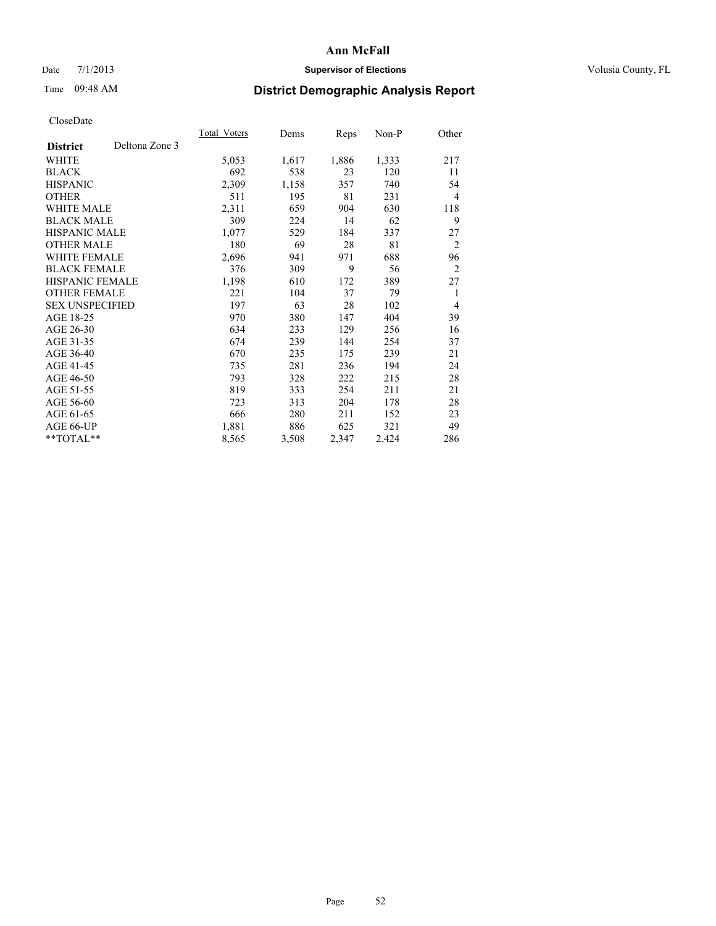## Date 7/1/2013 **Supervisor of Elections Supervisor of Elections** Volusia County, FL

# Time 09:48 AM **District Demographic Analysis Report**

|                        |                | Total Voters | Dems  | Reps  | Non-P | Other          |
|------------------------|----------------|--------------|-------|-------|-------|----------------|
| <b>District</b>        | Deltona Zone 3 |              |       |       |       |                |
| WHITE                  |                | 5,053        | 1,617 | 1,886 | 1,333 | 217            |
| <b>BLACK</b>           |                | 692          | 538   | 23    | 120   | 11             |
| <b>HISPANIC</b>        |                | 2,309        | 1,158 | 357   | 740   | 54             |
| <b>OTHER</b>           |                | 511          | 195   | 81    | 231   | 4              |
| WHITE MALE             |                | 2,311        | 659   | 904   | 630   | 118            |
| <b>BLACK MALE</b>      |                | 309          | 224   | 14    | 62    | 9              |
| <b>HISPANIC MALE</b>   |                | 1,077        | 529   | 184   | 337   | 27             |
| <b>OTHER MALE</b>      |                | 180          | 69    | 28    | 81    | 2              |
| <b>WHITE FEMALE</b>    |                | 2,696        | 941   | 971   | 688   | 96             |
| <b>BLACK FEMALE</b>    |                | 376          | 309   | 9     | 56    | $\overline{2}$ |
| <b>HISPANIC FEMALE</b> |                | 1,198        | 610   | 172   | 389   | 27             |
| <b>OTHER FEMALE</b>    |                | 221          | 104   | 37    | 79    | 1              |
| <b>SEX UNSPECIFIED</b> |                | 197          | 63    | 28    | 102   | 4              |
| AGE 18-25              |                | 970          | 380   | 147   | 404   | 39             |
| AGE 26-30              |                | 634          | 233   | 129   | 256   | 16             |
| AGE 31-35              |                | 674          | 239   | 144   | 254   | 37             |
| AGE 36-40              |                | 670          | 235   | 175   | 239   | 21             |
| AGE 41-45              |                | 735          | 281   | 236   | 194   | 24             |
| AGE 46-50              |                | 793          | 328   | 222   | 215   | 28             |
| AGE 51-55              |                | 819          | 333   | 254   | 211   | 21             |
| AGE 56-60              |                | 723          | 313   | 204   | 178   | 28             |
| AGE 61-65              |                | 666          | 280   | 211   | 152   | 23             |
| AGE 66-UP              |                | 1,881        | 886   | 625   | 321   | 49             |
| **TOTAL**              |                | 8,565        | 3,508 | 2,347 | 2,424 | 286            |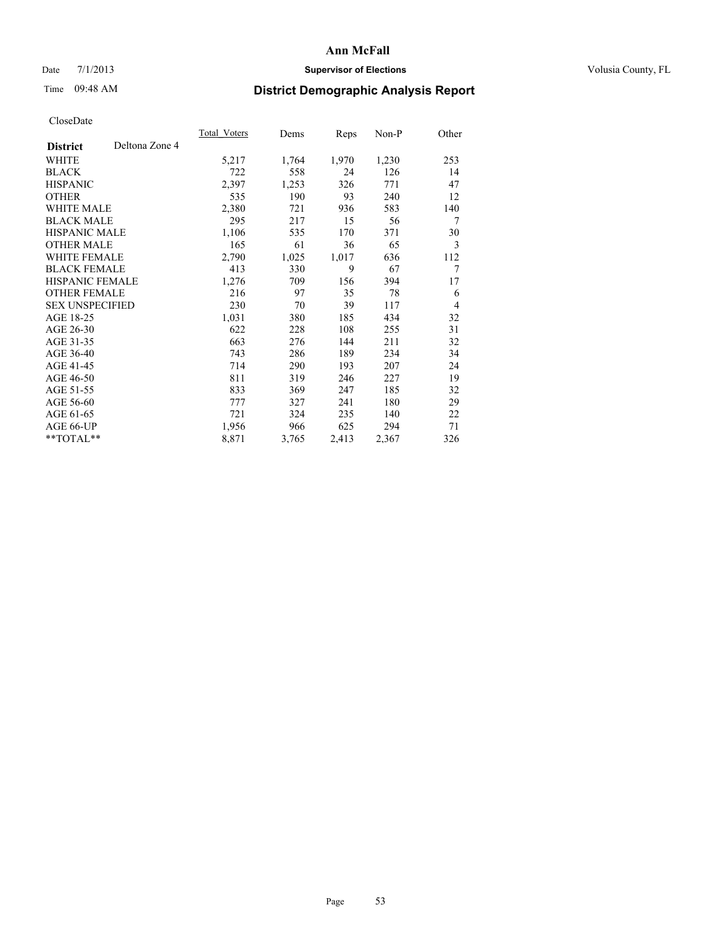## Date 7/1/2013 **Supervisor of Elections Supervisor of Elections** Volusia County, FL

# Time 09:48 AM **District Demographic Analysis Report**

|                        |                | Total Voters | Dems  | Reps  | Non-P | Other |
|------------------------|----------------|--------------|-------|-------|-------|-------|
| <b>District</b>        | Deltona Zone 4 |              |       |       |       |       |
| WHITE                  |                | 5,217        | 1,764 | 1,970 | 1,230 | 253   |
| <b>BLACK</b>           |                | 722          | 558   | 24    | 126   | 14    |
| <b>HISPANIC</b>        |                | 2,397        | 1,253 | 326   | 771   | 47    |
| <b>OTHER</b>           |                | 535          | 190   | 93    | 240   | 12    |
| WHITE MALE             |                | 2,380        | 721   | 936   | 583   | 140   |
| <b>BLACK MALE</b>      |                | 295          | 217   | 15    | 56    | 7     |
| HISPANIC MALE          |                | 1,106        | 535   | 170   | 371   | 30    |
| <b>OTHER MALE</b>      |                | 165          | 61    | 36    | 65    | 3     |
| WHITE FEMALE           |                | 2,790        | 1,025 | 1,017 | 636   | 112   |
| <b>BLACK FEMALE</b>    |                | 413          | 330   | 9     | 67    | 7     |
| HISPANIC FEMALE        |                | 1,276        | 709   | 156   | 394   | 17    |
| <b>OTHER FEMALE</b>    |                | 216          | 97    | 35    | 78    | 6     |
| <b>SEX UNSPECIFIED</b> |                | 230          | 70    | 39    | 117   | 4     |
| AGE 18-25              |                | 1,031        | 380   | 185   | 434   | 32    |
| AGE 26-30              |                | 622          | 228   | 108   | 255   | 31    |
| AGE 31-35              |                | 663          | 276   | 144   | 211   | 32    |
| AGE 36-40              |                | 743          | 286   | 189   | 234   | 34    |
| AGE 41-45              |                | 714          | 290   | 193   | 207   | 24    |
| AGE 46-50              |                | 811          | 319   | 246   | 227   | 19    |
| AGE 51-55              |                | 833          | 369   | 247   | 185   | 32    |
| AGE 56-60              |                | 777          | 327   | 241   | 180   | 29    |
| AGE 61-65              |                | 721          | 324   | 235   | 140   | 22    |
| AGE 66-UP              |                | 1,956        | 966   | 625   | 294   | 71    |
| **TOTAL**              |                | 8,871        | 3,765 | 2,413 | 2,367 | 326   |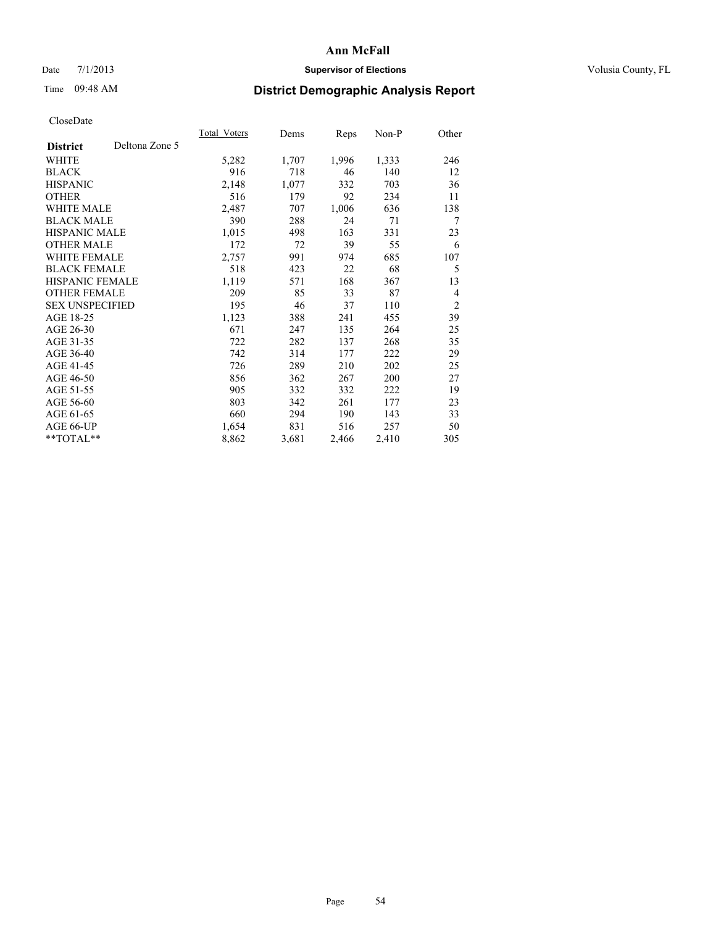## Date 7/1/2013 **Supervisor of Elections Supervisor of Elections** Volusia County, FL

# Time 09:48 AM **District Demographic Analysis Report**

|                                   | Total Voters | Dems  | <b>Reps</b> | Non-P | Other |
|-----------------------------------|--------------|-------|-------------|-------|-------|
| Deltona Zone 5<br><b>District</b> |              |       |             |       |       |
| WHITE                             | 5,282        | 1,707 | 1,996       | 1,333 | 246   |
| <b>BLACK</b>                      | 916          | 718   | 46          | 140   | 12    |
| <b>HISPANIC</b>                   | 2,148        | 1,077 | 332         | 703   | 36    |
| <b>OTHER</b>                      | 516          | 179   | 92          | 234   | 11    |
| <b>WHITE MALE</b>                 | 2,487        | 707   | 1,006       | 636   | 138   |
| <b>BLACK MALE</b>                 | 390          | 288   | 24          | 71    | 7     |
| <b>HISPANIC MALE</b>              | 1,015        | 498   | 163         | 331   | 23    |
| <b>OTHER MALE</b>                 | 172          | 72    | 39          | 55    | 6     |
| <b>WHITE FEMALE</b>               | 2,757        | 991   | 974         | 685   | 107   |
| <b>BLACK FEMALE</b>               | 518          | 423   | 22          | 68    | 5     |
| <b>HISPANIC FEMALE</b>            | 1,119        | 571   | 168         | 367   | 13    |
| <b>OTHER FEMALE</b>               | 209          | 85    | 33          | 87    | 4     |
| <b>SEX UNSPECIFIED</b>            | 195          | 46    | 37          | 110   | 2     |
| AGE 18-25                         | 1,123        | 388   | 241         | 455   | 39    |
| AGE 26-30                         | 671          | 247   | 135         | 264   | 25    |
| AGE 31-35                         | 722          | 282   | 137         | 268   | 35    |
| AGE 36-40                         | 742          | 314   | 177         | 222   | 29    |
| AGE 41-45                         | 726          | 289   | 210         | 202   | 25    |
| AGE 46-50                         | 856          | 362   | 267         | 200   | 27    |
| AGE 51-55                         | 905          | 332   | 332         | 222   | 19    |
| AGE 56-60                         | 803          | 342   | 261         | 177   | 23    |
| AGE 61-65                         | 660          | 294   | 190         | 143   | 33    |
| AGE 66-UP                         | 1,654        | 831   | 516         | 257   | 50    |
| **TOTAL**                         | 8,862        | 3,681 | 2,466       | 2,410 | 305   |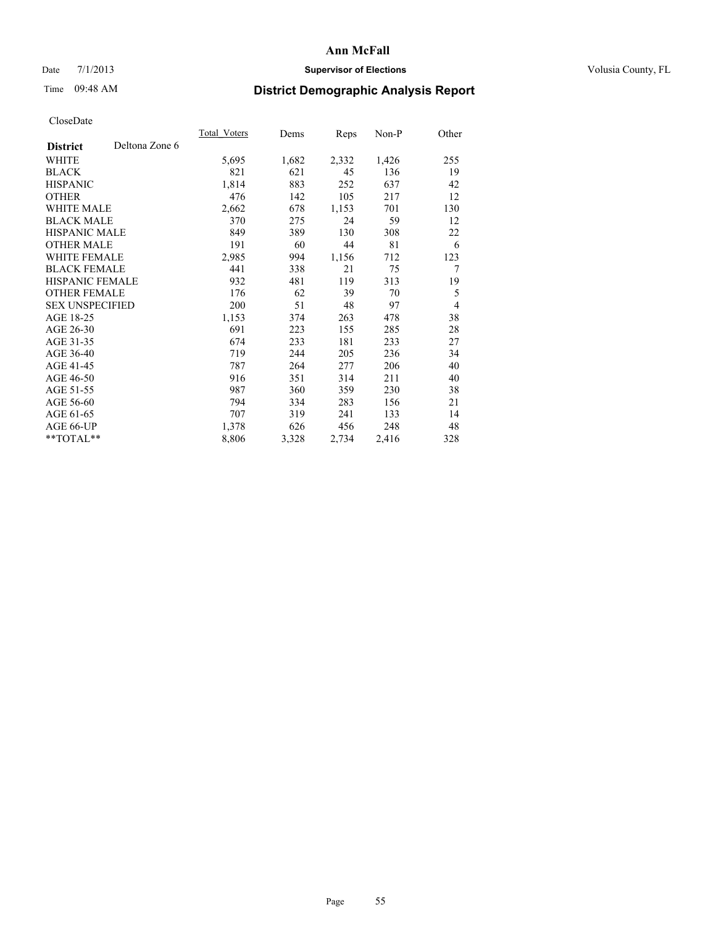## Date 7/1/2013 **Supervisor of Elections Supervisor of Elections** Volusia County, FL

# Time 09:48 AM **District Demographic Analysis Report**

|                        |                | <b>Total Voters</b> | Dems  | Reps  | $Non-P$ | Other |
|------------------------|----------------|---------------------|-------|-------|---------|-------|
| <b>District</b>        | Deltona Zone 6 |                     |       |       |         |       |
| WHITE                  |                | 5,695               | 1,682 | 2,332 | 1,426   | 255   |
| <b>BLACK</b>           |                | 821                 | 621   | 45    | 136     | 19    |
| <b>HISPANIC</b>        |                | 1,814               | 883   | 252   | 637     | 42    |
| <b>OTHER</b>           |                | 476                 | 142   | 105   | 217     | 12    |
| WHITE MALE             |                | 2,662               | 678   | 1,153 | 701     | 130   |
| <b>BLACK MALE</b>      |                | 370                 | 275   | 24    | 59      | 12    |
| <b>HISPANIC MALE</b>   |                | 849                 | 389   | 130   | 308     | 22    |
| <b>OTHER MALE</b>      |                | 191                 | 60    | 44    | 81      | 6     |
| <b>WHITE FEMALE</b>    |                | 2,985               | 994   | 1,156 | 712     | 123   |
| <b>BLACK FEMALE</b>    |                | 441                 | 338   | 21    | 75      | 7     |
| HISPANIC FEMALE        |                | 932                 | 481   | 119   | 313     | 19    |
| <b>OTHER FEMALE</b>    |                | 176                 | 62    | 39    | 70      | 5     |
| <b>SEX UNSPECIFIED</b> |                | 200                 | 51    | 48    | 97      | 4     |
| AGE 18-25              |                | 1,153               | 374   | 263   | 478     | 38    |
| AGE 26-30              |                | 691                 | 223   | 155   | 285     | 28    |
| AGE 31-35              |                | 674                 | 233   | 181   | 233     | 27    |
| AGE 36-40              |                | 719                 | 244   | 205   | 236     | 34    |
| AGE 41-45              |                | 787                 | 264   | 277   | 206     | 40    |
| AGE 46-50              |                | 916                 | 351   | 314   | 211     | 40    |
| AGE 51-55              |                | 987                 | 360   | 359   | 230     | 38    |
| AGE 56-60              |                | 794                 | 334   | 283   | 156     | 21    |
| AGE 61-65              |                | 707                 | 319   | 241   | 133     | 14    |
| AGE 66-UP              |                | 1,378               | 626   | 456   | 248     | 48    |
| **TOTAL**              |                | 8,806               | 3,328 | 2,734 | 2,416   | 328   |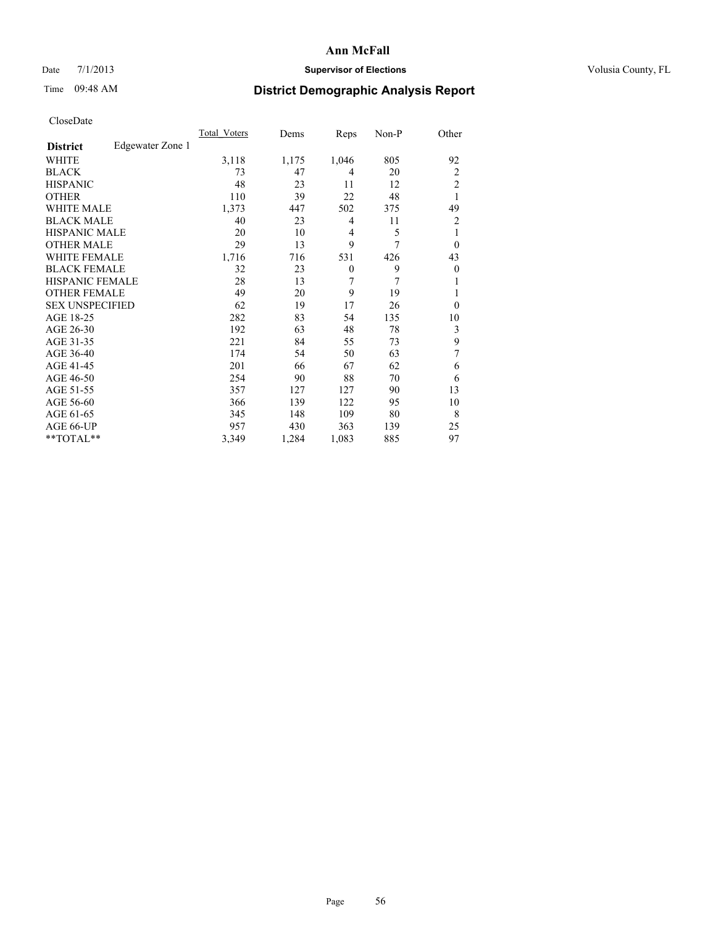## Date 7/1/2013 **Supervisor of Elections Supervisor of Elections** Volusia County, FL

# Time 09:48 AM **District Demographic Analysis Report**

|                        |                  | Total Voters | Dems  | Reps             | $Non-P$ | Other          |
|------------------------|------------------|--------------|-------|------------------|---------|----------------|
| <b>District</b>        | Edgewater Zone 1 |              |       |                  |         |                |
| WHITE                  |                  | 3,118        | 1,175 | 1,046            | 805     | 92             |
| <b>BLACK</b>           |                  | 73           | 47    | 4                | 20      | 2              |
| <b>HISPANIC</b>        |                  | 48           | 23    | 11               | 12      | $\overline{2}$ |
| <b>OTHER</b>           |                  | 110          | 39    | 22               | 48      | 1              |
| <b>WHITE MALE</b>      |                  | 1,373        | 447   | 502              | 375     | 49             |
| <b>BLACK MALE</b>      |                  | 40           | 23    | 4                | 11      | 2              |
| <b>HISPANIC MALE</b>   |                  | 20           | 10    | 4                | 5       | 1              |
| <b>OTHER MALE</b>      |                  | 29           | 13    | 9                | 7       | $\overline{0}$ |
| <b>WHITE FEMALE</b>    |                  | 1,716        | 716   | 531              | 426     | 43             |
| <b>BLACK FEMALE</b>    |                  | 32           | 23    | $\boldsymbol{0}$ | 9       | $\overline{0}$ |
| <b>HISPANIC FEMALE</b> |                  | 28           | 13    | 7                | 7       |                |
| <b>OTHER FEMALE</b>    |                  | 49           | 20    | 9                | 19      | 1              |
| <b>SEX UNSPECIFIED</b> |                  | 62           | 19    | 17               | 26      | $\Omega$       |
| AGE 18-25              |                  | 282          | 83    | 54               | 135     | 10             |
| AGE 26-30              |                  | 192          | 63    | 48               | 78      | 3              |
| AGE 31-35              |                  | 221          | 84    | 55               | 73      | 9              |
| AGE 36-40              |                  | 174          | 54    | 50               | 63      | 7              |
| AGE 41-45              |                  | 201          | 66    | 67               | 62      | 6              |
| AGE 46-50              |                  | 254          | 90    | 88               | 70      | 6              |
| AGE 51-55              |                  | 357          | 127   | 127              | 90      | 13             |
| AGE 56-60              |                  | 366          | 139   | 122              | 95      | 10             |
| AGE 61-65              |                  | 345          | 148   | 109              | 80      | 8              |
| AGE 66-UP              |                  | 957          | 430   | 363              | 139     | 25             |
| **TOTAL**              |                  | 3,349        | 1,284 | 1,083            | 885     | 97             |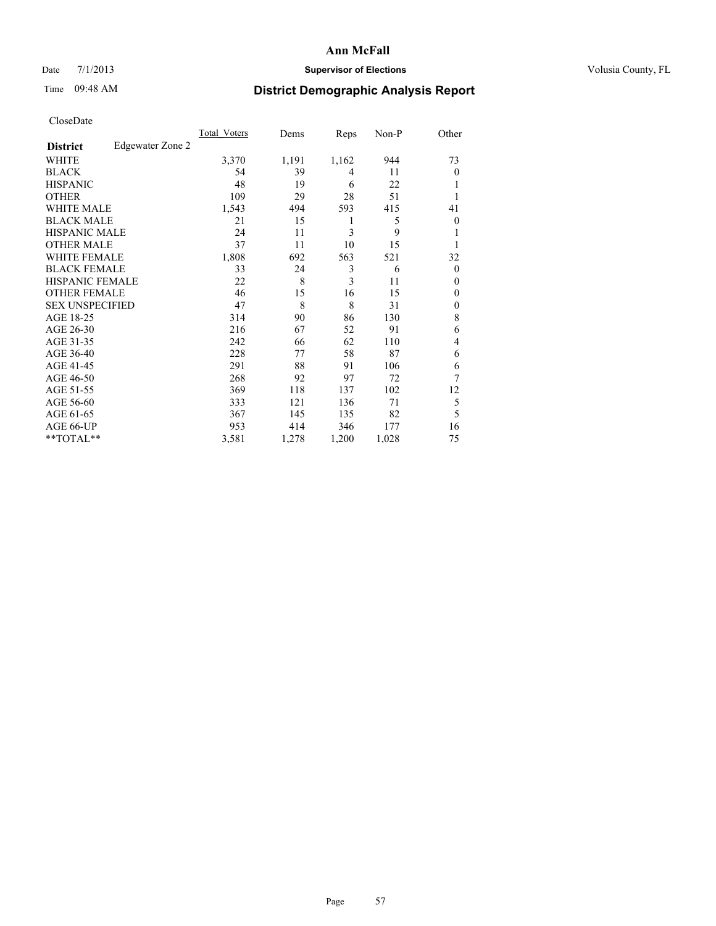### Date 7/1/2013 **Supervisor of Elections Supervisor of Elections** Volusia County, FL

## Time 09:48 AM **District Demographic Analysis Report**

| Cioscivate             |                  |              |       |                |       |                |
|------------------------|------------------|--------------|-------|----------------|-------|----------------|
|                        |                  | Total Voters | Dems  | Reps           | Non-P | Other          |
| <b>District</b>        | Edgewater Zone 2 |              |       |                |       |                |
| <b>WHITE</b>           |                  | 3,370        | 1,191 | 1,162          | 944   | 73             |
| <b>BLACK</b>           |                  | 54           | 39    | 4              | 11    | $\overline{0}$ |
| <b>HISPANIC</b>        |                  | 48           | 19    | 6              | 22    |                |
| <b>OTHER</b>           |                  | 109          | 29    | 28             | 51    |                |
| WHITE MALE             |                  | 1,543        | 494   | 593            | 415   | 41             |
| <b>BLACK MALE</b>      |                  | 21           | 15    | 1              | 5     | $\Omega$       |
| <b>HISPANIC MALE</b>   |                  | 24           | 11    | 3              | 9     |                |
| <b>OTHER MALE</b>      |                  | 37           | 11    | 10             | 15    |                |
| WHITE FEMALE           |                  | 1,808        | 692   | 563            | 521   | 32             |
| <b>BLACK FEMALE</b>    |                  | 33           | 24    | 3              | 6     | $\overline{0}$ |
| <b>HISPANIC FEMALE</b> |                  | 22           | 8     | $\overline{3}$ | 11    | $\Omega$       |
| <b>OTHER FEMALE</b>    |                  | 46           | 15    | 16             | 15    | $\overline{0}$ |
| <b>SEX UNSPECIFIED</b> |                  | 47           | 8     | 8              | 31    | $\Omega$       |
| AGE 18-25              |                  | 314          | 90    | 86             | 130   | 8              |
| AGE 26-30              |                  | 216          | 67    | 52             | 91    | 6              |
| AGE 31-35              |                  | 242          | 66    | 62             | 110   | $\overline{4}$ |
| AGE 36-40              |                  | 228          | 77    | 58             | 87    | 6              |
| AGE 41-45              |                  | 291          | 88    | 91             | 106   | 6              |
| AGE 46-50              |                  | 268          | 92    | 97             | 72    | 7              |
| AGE 51-55              |                  | 369          | 118   | 137            | 102   | 12             |
| AGE 56-60              |                  | 333          | 121   | 136            | 71    | 5              |
| AGE 61-65              |                  | 367          | 145   | 135            | 82    | 5              |
| AGE 66-UP              |                  | 953          | 414   | 346            | 177   | 16             |
| **TOTAL**              |                  | 3,581        | 1,278 | 1,200          | 1,028 | 75             |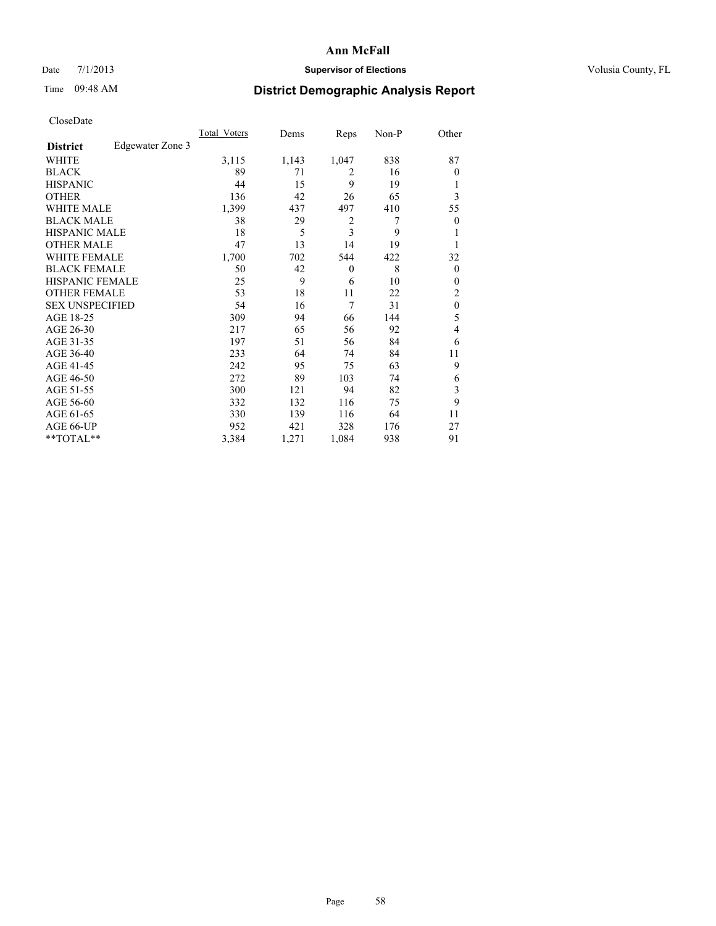## Date 7/1/2013 **Supervisor of Elections Supervisor of Elections** Volusia County, FL

## Time 09:48 AM **District Demographic Analysis Report**

|                        |                  | <b>Total Voters</b> | Dems  | Reps         | Non-P | Other            |
|------------------------|------------------|---------------------|-------|--------------|-------|------------------|
| <b>District</b>        | Edgewater Zone 3 |                     |       |              |       |                  |
| WHITE                  |                  | 3,115               | 1,143 | 1,047        | 838   | 87               |
| <b>BLACK</b>           |                  | 89                  | 71    | 2            | 16    | $\theta$         |
| <b>HISPANIC</b>        |                  | 44                  | 15    | 9            | 19    | 1                |
| <b>OTHER</b>           |                  | 136                 | 42    | 26           | 65    | 3                |
| WHITE MALE             |                  | 1,399               | 437   | 497          | 410   | 55               |
| <b>BLACK MALE</b>      |                  | 38                  | 29    | 2            | 7     | $\boldsymbol{0}$ |
| <b>HISPANIC MALE</b>   |                  | 18                  | 5     | 3            | 9     | 1                |
| <b>OTHER MALE</b>      |                  | 47                  | 13    | 14           | 19    | 1                |
| <b>WHITE FEMALE</b>    |                  | 1,700               | 702   | 544          | 422   | 32               |
| <b>BLACK FEMALE</b>    |                  | 50                  | 42    | $\mathbf{0}$ | 8     | $\overline{0}$   |
| <b>HISPANIC FEMALE</b> |                  | 25                  | 9     | 6            | 10    | $\theta$         |
| <b>OTHER FEMALE</b>    |                  | 53                  | 18    | 11           | 22    | 2                |
| <b>SEX UNSPECIFIED</b> |                  | 54                  | 16    | 7            | 31    | $\mathbf{0}$     |
| AGE 18-25              |                  | 309                 | 94    | 66           | 144   | 5                |
| AGE 26-30              |                  | 217                 | 65    | 56           | 92    | 4                |
| AGE 31-35              |                  | 197                 | 51    | 56           | 84    | 6                |
| AGE 36-40              |                  | 233                 | 64    | 74           | 84    | 11               |
| AGE 41-45              |                  | 242                 | 95    | 75           | 63    | 9                |
| AGE 46-50              |                  | 272                 | 89    | 103          | 74    | 6                |
| AGE 51-55              |                  | 300                 | 121   | 94           | 82    | 3                |
| AGE 56-60              |                  | 332                 | 132   | 116          | 75    | 9                |
| AGE 61-65              |                  | 330                 | 139   | 116          | 64    | 11               |
| AGE 66-UP              |                  | 952                 | 421   | 328          | 176   | 27               |
| **TOTAL**              |                  | 3,384               | 1,271 | 1,084        | 938   | 91               |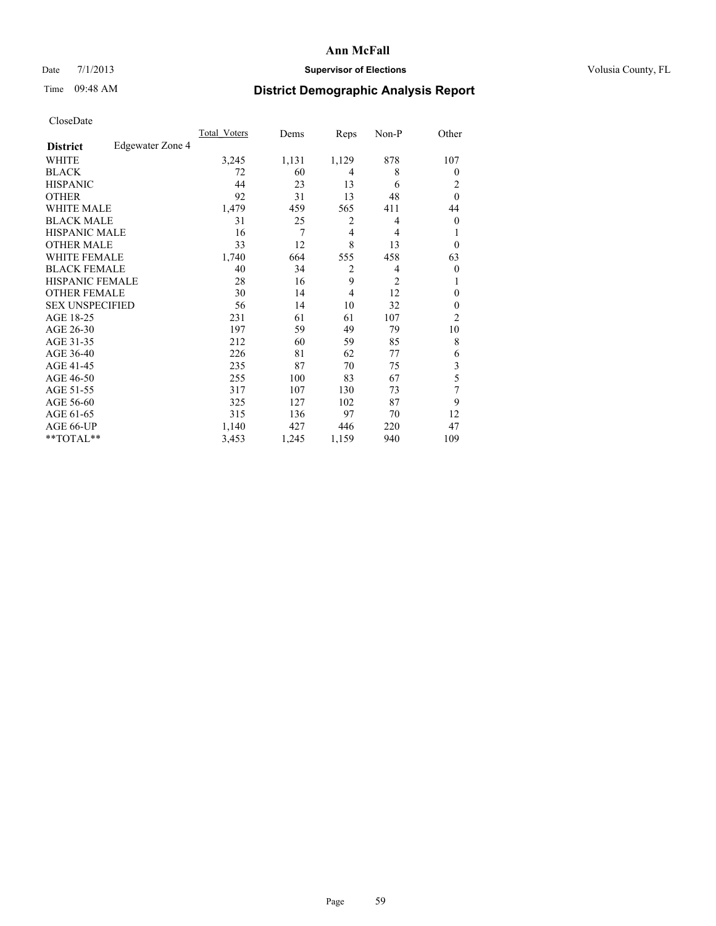## Date 7/1/2013 **Supervisor of Elections Supervisor of Elections** Volusia County, FL

## Time 09:48 AM **District Demographic Analysis Report**

|                        |                  | <b>Total Voters</b> | Dems  | Reps           | Non-P          | Other          |
|------------------------|------------------|---------------------|-------|----------------|----------------|----------------|
| <b>District</b>        | Edgewater Zone 4 |                     |       |                |                |                |
| WHITE                  |                  | 3,245               | 1,131 | 1,129          | 878            | 107            |
| <b>BLACK</b>           |                  | 72                  | 60    | 4              | 8              | $\theta$       |
| <b>HISPANIC</b>        |                  | 44                  | 23    | 13             | 6              | 2              |
| <b>OTHER</b>           |                  | 92                  | 31    | 13             | 48             | $\theta$       |
| WHITE MALE             |                  | 1,479               | 459   | 565            | 411            | 44             |
| <b>BLACK MALE</b>      |                  | 31                  | 25    | 2              | 4              | $\overline{0}$ |
| <b>HISPANIC MALE</b>   |                  | 16                  | 7     | 4              | 4              | 1              |
| <b>OTHER MALE</b>      |                  | 33                  | 12    | 8              | 13             | $\Omega$       |
| <b>WHITE FEMALE</b>    |                  | 1,740               | 664   | 555            | 458            | 63             |
| <b>BLACK FEMALE</b>    |                  | 40                  | 34    | $\overline{c}$ | 4              | $\overline{0}$ |
| <b>HISPANIC FEMALE</b> |                  | 28                  | 16    | 9              | $\overline{2}$ | 1              |
| <b>OTHER FEMALE</b>    |                  | 30                  | 14    | 4              | 12             | $\theta$       |
| <b>SEX UNSPECIFIED</b> |                  | 56                  | 14    | 10             | 32             | $\mathbf{0}$   |
| AGE 18-25              |                  | 231                 | 61    | 61             | 107            | $\overline{2}$ |
| AGE 26-30              |                  | 197                 | 59    | 49             | 79             | 10             |
| AGE 31-35              |                  | 212                 | 60    | 59             | 85             | 8              |
| AGE 36-40              |                  | 226                 | 81    | 62             | 77             | 6              |
| AGE 41-45              |                  | 235                 | 87    | 70             | 75             | 3              |
| AGE 46-50              |                  | 255                 | 100   | 83             | 67             | 5              |
| AGE 51-55              |                  | 317                 | 107   | 130            | 73             | 7              |
| AGE 56-60              |                  | 325                 | 127   | 102            | 87             | 9              |
| AGE 61-65              |                  | 315                 | 136   | 97             | 70             | 12             |
| AGE 66-UP              |                  | 1,140               | 427   | 446            | 220            | 47             |
| **TOTAL**              |                  | 3,453               | 1,245 | 1,159          | 940            | 109            |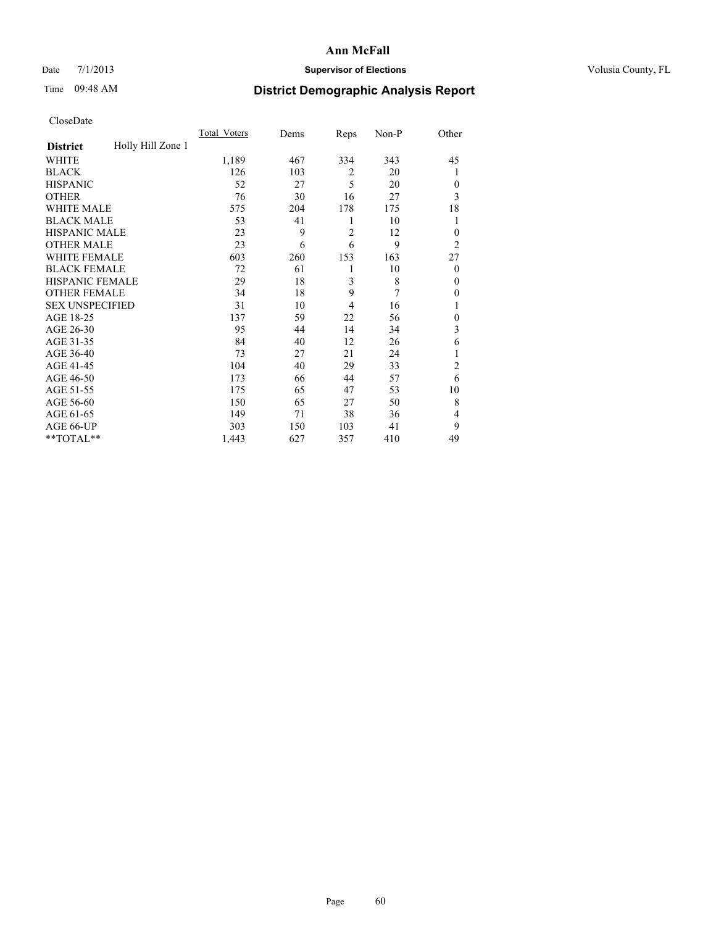## Date 7/1/2013 **Supervisor of Elections Supervisor of Elections** Volusia County, FL

## Time 09:48 AM **District Demographic Analysis Report**

|                        |                   | <b>Total Voters</b> | Dems | Reps           | Non-P | Other          |
|------------------------|-------------------|---------------------|------|----------------|-------|----------------|
| <b>District</b>        | Holly Hill Zone 1 |                     |      |                |       |                |
| WHITE                  |                   | 1,189               | 467  | 334            | 343   | 45             |
| <b>BLACK</b>           |                   | 126                 | 103  | 2              | 20    | 1              |
| <b>HISPANIC</b>        |                   | 52                  | 27   | 5              | 20    | $\Omega$       |
| <b>OTHER</b>           |                   | 76                  | 30   | 16             | 27    | 3              |
| WHITE MALE             |                   | 575                 | 204  | 178            | 175   | 18             |
| <b>BLACK MALE</b>      |                   | 53                  | 41   | 1              | 10    | 1              |
| <b>HISPANIC MALE</b>   |                   | 23                  | 9    | $\overline{2}$ | 12    | $\overline{0}$ |
| <b>OTHER MALE</b>      |                   | 23                  | 6    | 6              | 9     | $\overline{2}$ |
| WHITE FEMALE           |                   | 603                 | 260  | 153            | 163   | 27             |
| <b>BLACK FEMALE</b>    |                   | 72                  | 61   | 1              | 10    | $\overline{0}$ |
| <b>HISPANIC FEMALE</b> |                   | 29                  | 18   | 3              | 8     | $\Omega$       |
| <b>OTHER FEMALE</b>    |                   | 34                  | 18   | 9              | 7     | $\Omega$       |
| <b>SEX UNSPECIFIED</b> |                   | 31                  | 10   | 4              | 16    | 1              |
| AGE 18-25              |                   | 137                 | 59   | 22             | 56    | $\theta$       |
| AGE 26-30              |                   | 95                  | 44   | 14             | 34    | 3              |
| AGE 31-35              |                   | 84                  | 40   | 12             | 26    | 6              |
| AGE 36-40              |                   | 73                  | 27   | 21             | 24    | 1              |
| AGE 41-45              |                   | 104                 | 40   | 29             | 33    | $\overline{c}$ |
| AGE 46-50              |                   | 173                 | 66   | 44             | 57    | 6              |
| AGE 51-55              |                   | 175                 | 65   | 47             | 53    | 10             |
| AGE 56-60              |                   | 150                 | 65   | 27             | 50    | 8              |
| AGE 61-65              |                   | 149                 | 71   | 38             | 36    | 4              |
| AGE 66-UP              |                   | 303                 | 150  | 103            | 41    | 9              |
| **TOTAL**              |                   | 1,443               | 627  | 357            | 410   | 49             |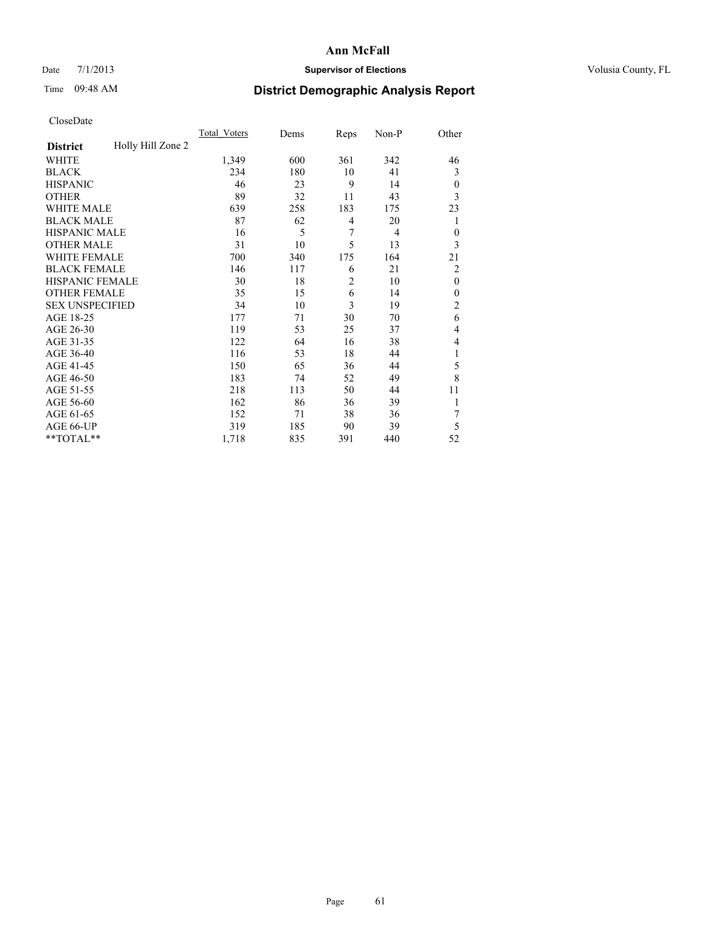## Date 7/1/2013 **Supervisor of Elections Supervisor of Elections** Volusia County, FL

## Time 09:48 AM **District Demographic Analysis Report**

|                        |                   | <b>Total Voters</b> | Dems | Reps           | Non-P          | Other          |
|------------------------|-------------------|---------------------|------|----------------|----------------|----------------|
| <b>District</b>        | Holly Hill Zone 2 |                     |      |                |                |                |
| WHITE                  |                   | 1,349               | 600  | 361            | 342            | 46             |
| <b>BLACK</b>           |                   | 234                 | 180  | 10             | 41             | 3              |
| <b>HISPANIC</b>        |                   | 46                  | 23   | 9              | 14             | $\theta$       |
| <b>OTHER</b>           |                   | 89                  | 32   | 11             | 43             | 3              |
| WHITE MALE             |                   | 639                 | 258  | 183            | 175            | 23             |
| <b>BLACK MALE</b>      |                   | 87                  | 62   | 4              | 20             | 1              |
| <b>HISPANIC MALE</b>   |                   | 16                  | 5    | 7              | $\overline{4}$ | $\theta$       |
| <b>OTHER MALE</b>      |                   | 31                  | 10   | 5              | 13             | 3              |
| WHITE FEMALE           |                   | 700                 | 340  | 175            | 164            | 21             |
| <b>BLACK FEMALE</b>    |                   | 146                 | 117  | 6              | 21             | $\overline{2}$ |
| <b>HISPANIC FEMALE</b> |                   | 30                  | 18   | $\overline{2}$ | 10             | $\mathbf{0}$   |
| <b>OTHER FEMALE</b>    |                   | 35                  | 15   | 6              | 14             | $\theta$       |
| <b>SEX UNSPECIFIED</b> |                   | 34                  | 10   | 3              | 19             | $\overline{c}$ |
| AGE 18-25              |                   | 177                 | 71   | 30             | 70             | 6              |
| AGE 26-30              |                   | 119                 | 53   | 25             | 37             | 4              |
| AGE 31-35              |                   | 122                 | 64   | 16             | 38             | 4              |
| AGE 36-40              |                   | 116                 | 53   | 18             | 44             | 1              |
| AGE 41-45              |                   | 150                 | 65   | 36             | 44             | 5              |
| AGE 46-50              |                   | 183                 | 74   | 52             | 49             | 8              |
| AGE 51-55              |                   | 218                 | 113  | 50             | 44             | 11             |
| AGE 56-60              |                   | 162                 | 86   | 36             | 39             |                |
| AGE 61-65              |                   | 152                 | 71   | 38             | 36             | 7              |
| AGE 66-UP              |                   | 319                 | 185  | 90             | 39             | 5              |
| **TOTAL**              |                   | 1,718               | 835  | 391            | 440            | 52             |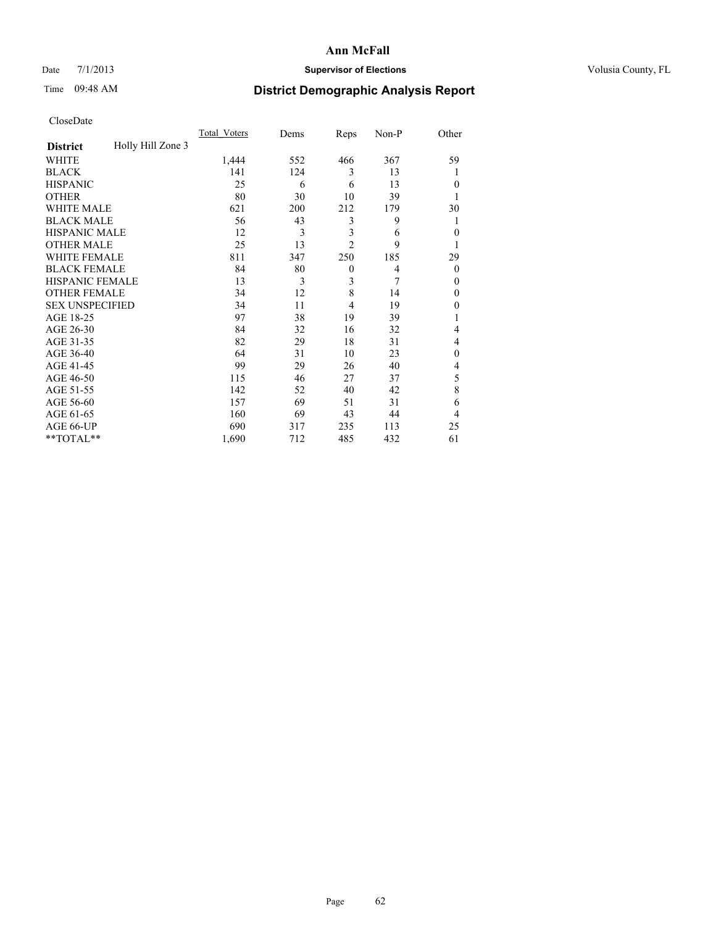## Date 7/1/2013 **Supervisor of Elections Supervisor of Elections** Volusia County, FL

## Time 09:48 AM **District Demographic Analysis Report**

|                        |                   | <b>Total Voters</b> | Dems | Reps           | Non-P | Other        |
|------------------------|-------------------|---------------------|------|----------------|-------|--------------|
| <b>District</b>        | Holly Hill Zone 3 |                     |      |                |       |              |
| <b>WHITE</b>           |                   | 1,444               | 552  | 466            | 367   | 59           |
| <b>BLACK</b>           |                   | 141                 | 124  | 3              | 13    | 1            |
| <b>HISPANIC</b>        |                   | 25                  | 6    | 6              | 13    | $\theta$     |
| <b>OTHER</b>           |                   | 80                  | 30   | 10             | 39    | 1            |
| WHITE MALE             |                   | 621                 | 200  | 212            | 179   | 30           |
| <b>BLACK MALE</b>      |                   | 56                  | 43   | 3              | 9     | 1            |
| <b>HISPANIC MALE</b>   |                   | 12                  | 3    | 3              | 6     | $\mathbf{0}$ |
| <b>OTHER MALE</b>      |                   | 25                  | 13   | $\overline{2}$ | 9     | 1            |
| WHITE FEMALE           |                   | 811                 | 347  | 250            | 185   | 29           |
| <b>BLACK FEMALE</b>    |                   | 84                  | 80   | $\mathbf{0}$   | 4     | $\theta$     |
| <b>HISPANIC FEMALE</b> |                   | 13                  | 3    | 3              | 7     | $\theta$     |
| <b>OTHER FEMALE</b>    |                   | 34                  | 12   | 8              | 14    | $\theta$     |
| <b>SEX UNSPECIFIED</b> |                   | 34                  | 11   | 4              | 19    | $\theta$     |
| AGE 18-25              |                   | 97                  | 38   | 19             | 39    | 1            |
| AGE 26-30              |                   | 84                  | 32   | 16             | 32    | 4            |
| AGE 31-35              |                   | 82                  | 29   | 18             | 31    | 4            |
| AGE 36-40              |                   | 64                  | 31   | 10             | 23    | $\theta$     |
| AGE 41-45              |                   | 99                  | 29   | 26             | 40    | 4            |
| AGE 46-50              |                   | 115                 | 46   | 27             | 37    | 5            |
| AGE 51-55              |                   | 142                 | 52   | 40             | 42    | 8            |
| AGE 56-60              |                   | 157                 | 69   | 51             | 31    | 6            |
| AGE 61-65              |                   | 160                 | 69   | 43             | 44    | 4            |
| AGE 66-UP              |                   | 690                 | 317  | 235            | 113   | 25           |
| **TOTAL**              |                   | 1,690               | 712  | 485            | 432   | 61           |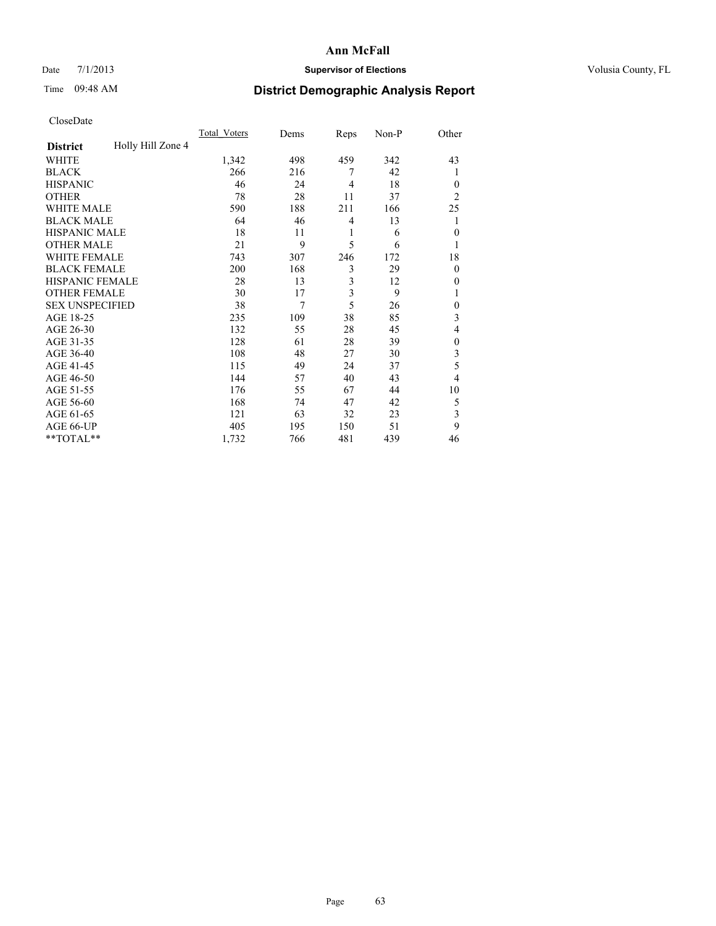## Date 7/1/2013 **Supervisor of Elections Supervisor of Elections** Volusia County, FL

## Time 09:48 AM **District Demographic Analysis Report**

|                        |                   | <b>Total Voters</b> | Dems | Reps           | Non-P | Other          |
|------------------------|-------------------|---------------------|------|----------------|-------|----------------|
| <b>District</b>        | Holly Hill Zone 4 |                     |      |                |       |                |
| WHITE                  |                   | 1,342               | 498  | 459            | 342   | 43             |
| <b>BLACK</b>           |                   | 266                 | 216  | 7              | 42    | 1              |
| <b>HISPANIC</b>        |                   | 46                  | 24   | $\overline{4}$ | 18    | $\Omega$       |
| <b>OTHER</b>           |                   | 78                  | 28   | 11             | 37    | $\overline{2}$ |
| WHITE MALE             |                   | 590                 | 188  | 211            | 166   | 25             |
| <b>BLACK MALE</b>      |                   | 64                  | 46   | 4              | 13    | 1              |
| <b>HISPANIC MALE</b>   |                   | 18                  | 11   | 1              | 6     | $\overline{0}$ |
| <b>OTHER MALE</b>      |                   | 21                  | 9    | 5              | 6     | 1              |
| WHITE FEMALE           |                   | 743                 | 307  | 246            | 172   | 18             |
| <b>BLACK FEMALE</b>    |                   | 200                 | 168  | 3              | 29    | $\overline{0}$ |
| <b>HISPANIC FEMALE</b> |                   | 28                  | 13   | 3              | 12    | $\Omega$       |
| <b>OTHER FEMALE</b>    |                   | 30                  | 17   | 3              | 9     |                |
| <b>SEX UNSPECIFIED</b> |                   | 38                  | 7    | 5              | 26    | $\theta$       |
| AGE 18-25              |                   | 235                 | 109  | 38             | 85    | 3              |
| AGE 26-30              |                   | 132                 | 55   | 28             | 45    | 4              |
| AGE 31-35              |                   | 128                 | 61   | 28             | 39    | $\theta$       |
| AGE 36-40              |                   | 108                 | 48   | 27             | 30    | 3              |
| AGE 41-45              |                   | 115                 | 49   | 24             | 37    | 5              |
| AGE 46-50              |                   | 144                 | 57   | 40             | 43    | $\overline{4}$ |
| AGE 51-55              |                   | 176                 | 55   | 67             | 44    | 10             |
| AGE 56-60              |                   | 168                 | 74   | 47             | 42    | 5              |
| AGE 61-65              |                   | 121                 | 63   | 32             | 23    | 3              |
| AGE 66-UP              |                   | 405                 | 195  | 150            | 51    | 9              |
| **TOTAL**              |                   | 1,732               | 766  | 481            | 439   | 46             |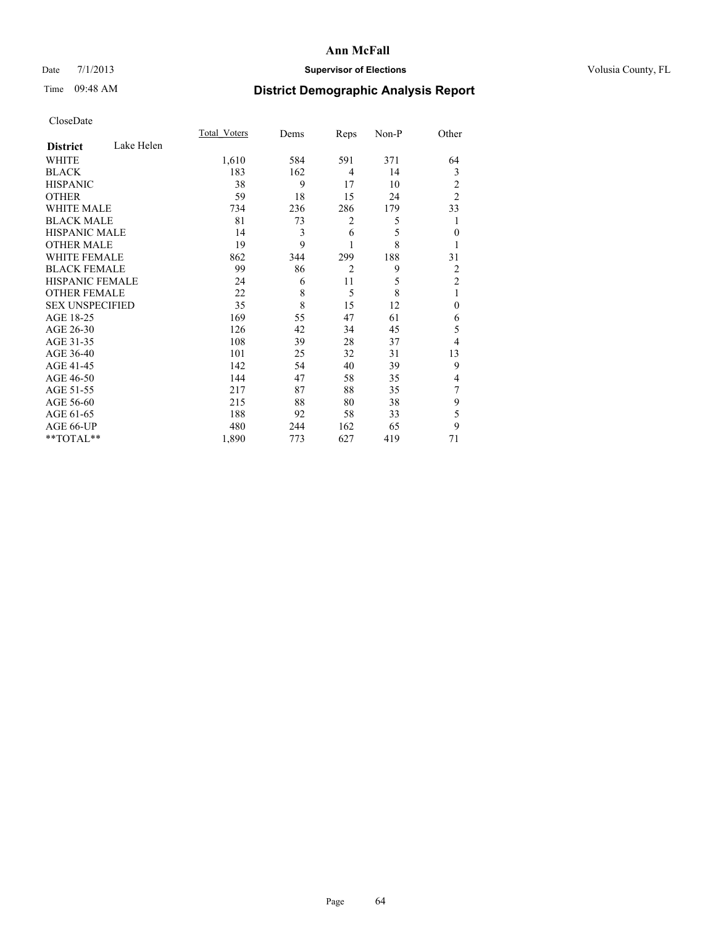## Date 7/1/2013 **Supervisor of Elections Supervisor of Elections** Volusia County, FL

# Time 09:48 AM **District Demographic Analysis Report**

|                        |            | <b>Total Voters</b> | Dems | Reps           | Non-P | Other          |
|------------------------|------------|---------------------|------|----------------|-------|----------------|
| <b>District</b>        | Lake Helen |                     |      |                |       |                |
| <b>WHITE</b>           |            | 1,610               | 584  | 591            | 371   | 64             |
| <b>BLACK</b>           |            | 183                 | 162  | 4              | 14    | 3              |
| <b>HISPANIC</b>        |            | 38                  | 9    | 17             | 10    | 2              |
| <b>OTHER</b>           |            | 59                  | 18   | 15             | 24    | $\overline{2}$ |
| WHITE MALE             |            | 734                 | 236  | 286            | 179   | 33             |
| <b>BLACK MALE</b>      |            | 81                  | 73   | 2              | 5     |                |
| <b>HISPANIC MALE</b>   |            | 14                  | 3    | 6              | 5     | $\mathbf{0}$   |
| <b>OTHER MALE</b>      |            | 19                  | 9    | 1              | 8     |                |
| <b>WHITE FEMALE</b>    |            | 862                 | 344  | 299            | 188   | 31             |
| <b>BLACK FEMALE</b>    |            | 99                  | 86   | $\overline{2}$ | 9     | 2              |
| HISPANIC FEMALE        |            | 24                  | 6    | 11             | 5     | $\overline{2}$ |
| <b>OTHER FEMALE</b>    |            | 22                  | 8    | 5              | 8     | 1              |
| <b>SEX UNSPECIFIED</b> |            | 35                  | 8    | 15             | 12    | $\mathbf{0}$   |
| AGE 18-25              |            | 169                 | 55   | 47             | 61    | 6              |
| AGE 26-30              |            | 126                 | 42   | 34             | 45    | 5              |
| AGE 31-35              |            | 108                 | 39   | 28             | 37    | 4              |
| AGE 36-40              |            | 101                 | 25   | 32             | 31    | 13             |
| AGE 41-45              |            | 142                 | 54   | 40             | 39    | 9              |
| AGE 46-50              |            | 144                 | 47   | 58             | 35    | 4              |
| AGE 51-55              |            | 217                 | 87   | 88             | 35    | 7              |
| AGE 56-60              |            | 215                 | 88   | 80             | 38    | 9              |
| AGE 61-65              |            | 188                 | 92   | 58             | 33    | 5              |
| AGE 66-UP              |            | 480                 | 244  | 162            | 65    | 9              |
| **TOTAL**              |            | 1,890               | 773  | 627            | 419   | 71             |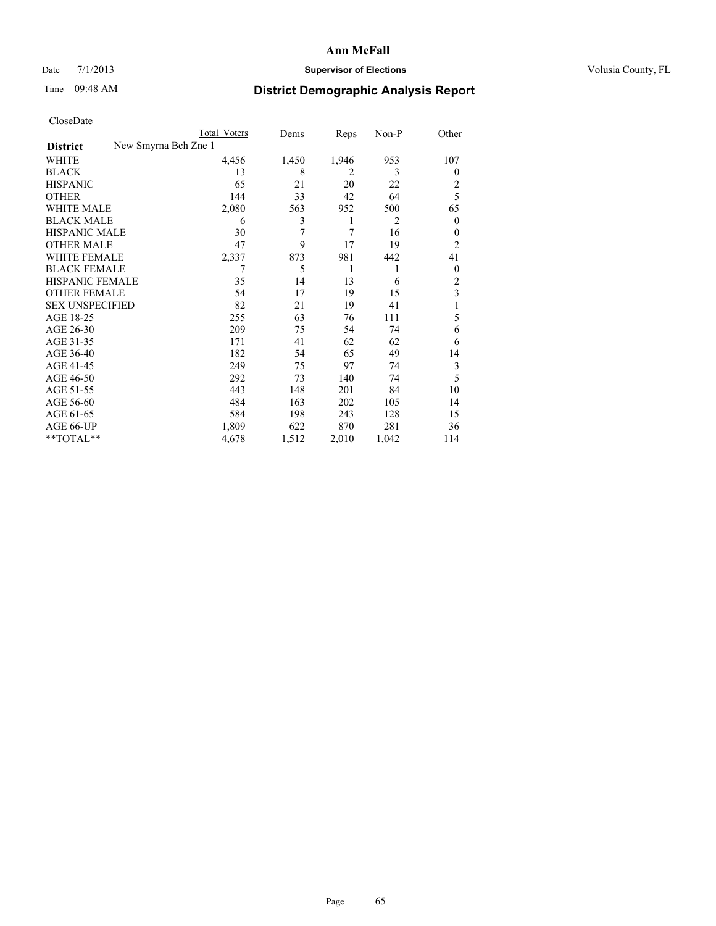## Date 7/1/2013 **Supervisor of Elections Supervisor of Elections** Volusia County, FL

# Time 09:48 AM **District Demographic Analysis Report**

|  | CloseDate |
|--|-----------|
|  |           |

|                        |                      | <b>Total Voters</b> | Dems  | Reps           | Non-P | Other          |
|------------------------|----------------------|---------------------|-------|----------------|-------|----------------|
| <b>District</b>        | New Smyrna Bch Zne 1 |                     |       |                |       |                |
| WHITE                  |                      | 4,456               | 1,450 | 1,946          | 953   | 107            |
| <b>BLACK</b>           |                      | 13                  | 8     | $\overline{2}$ | 3     | $\theta$       |
| <b>HISPANIC</b>        |                      | 65                  | 21    | 20             | 22    | 2              |
| <b>OTHER</b>           |                      | 144                 | 33    | 42             | 64    | 5              |
| WHITE MALE             |                      | 2,080               | 563   | 952            | 500   | 65             |
| <b>BLACK MALE</b>      |                      | 6                   | 3     | 1              | 2     | $\mathbf{0}$   |
| <b>HISPANIC MALE</b>   |                      | 30                  | 7     | 7              | 16    | 0              |
| <b>OTHER MALE</b>      |                      | 47                  | 9     | 17             | 19    | $\overline{2}$ |
| WHITE FEMALE           |                      | 2,337               | 873   | 981            | 442   | 41             |
| <b>BLACK FEMALE</b>    |                      | 7                   | 5     | 1              | 1     | $\overline{0}$ |
| HISPANIC FEMALE        |                      | 35                  | 14    | 13             | 6     | $\overline{2}$ |
| <b>OTHER FEMALE</b>    |                      | 54                  | 17    | 19             | 15    | 3              |
| <b>SEX UNSPECIFIED</b> |                      | 82                  | 21    | 19             | 41    |                |
| AGE 18-25              |                      | 255                 | 63    | 76             | 111   | 5              |
| AGE 26-30              |                      | 209                 | 75    | 54             | 74    | 6              |
| AGE 31-35              |                      | 171                 | 41    | 62             | 62    | 6              |
| AGE 36-40              |                      | 182                 | 54    | 65             | 49    | 14             |
| AGE 41-45              |                      | 249                 | 75    | 97             | 74    | 3              |
| AGE 46-50              |                      | 292                 | 73    | 140            | 74    | 5              |
| AGE 51-55              |                      | 443                 | 148   | 201            | 84    | 10             |
| AGE 56-60              |                      | 484                 | 163   | 202            | 105   | 14             |
| AGE 61-65              |                      | 584                 | 198   | 243            | 128   | 15             |
| AGE 66-UP              |                      | 1,809               | 622   | 870            | 281   | 36             |
| **TOTAL**              |                      | 4,678               | 1,512 | 2,010          | 1,042 | 114            |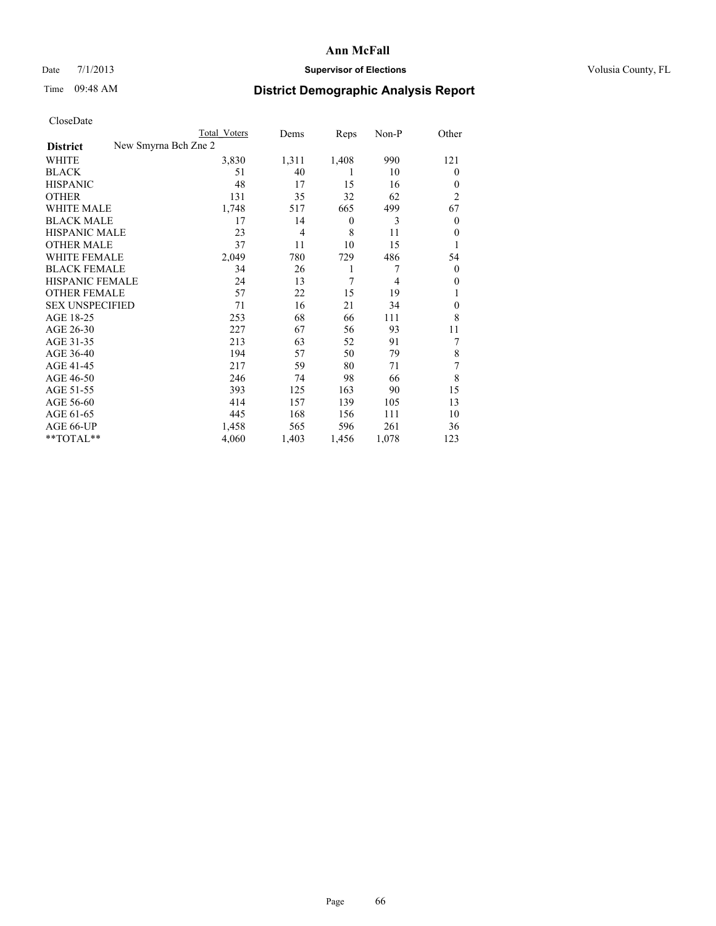## Date 7/1/2013 **Supervisor of Elections Supervisor of Elections** Volusia County, FL

## Time 09:48 AM **District Demographic Analysis Report**

|                                         | <b>Total Voters</b> | Dems           | Reps             | Non-P          | Other          |
|-----------------------------------------|---------------------|----------------|------------------|----------------|----------------|
| New Smyrna Bch Zne 2<br><b>District</b> |                     |                |                  |                |                |
| WHITE                                   | 3,830               | 1,311          | 1,408            | 990            | 121            |
| <b>BLACK</b>                            | 51                  | 40             | 1                | 10             | $\Omega$       |
| <b>HISPANIC</b>                         | 48                  | 17             | 15               | 16             | $\Omega$       |
| <b>OTHER</b>                            | 131                 | 35             | 32               | 62             | $\overline{2}$ |
| WHITE MALE                              | 1,748               | 517            | 665              | 499            | 67             |
| <b>BLACK MALE</b>                       | 17                  | 14             | $\boldsymbol{0}$ | 3              | $\overline{0}$ |
| <b>HISPANIC MALE</b>                    | 23                  | $\overline{4}$ | 8                | 11             | $\overline{0}$ |
| <b>OTHER MALE</b>                       | 37                  | 11             | 10               | 15             | 1              |
| <b>WHITE FEMALE</b>                     | 2,049               | 780            | 729              | 486            | 54             |
| <b>BLACK FEMALE</b>                     | 34                  | 26             | 1                | 7              | $\overline{0}$ |
| <b>HISPANIC FEMALE</b>                  | 24                  | 13             | 7                | $\overline{4}$ | $\Omega$       |
| <b>OTHER FEMALE</b>                     | 57                  | 22             | 15               | 19             |                |
| <b>SEX UNSPECIFIED</b>                  | 71                  | 16             | 21               | 34             | $\theta$       |
| AGE 18-25                               | 253                 | 68             | 66               | 111            | 8              |
| AGE 26-30                               | 227                 | 67             | 56               | 93             | 11             |
| AGE 31-35                               | 213                 | 63             | 52               | 91             | 7              |
| AGE 36-40                               | 194                 | 57             | 50               | 79             | 8              |
| AGE 41-45                               | 217                 | 59             | 80               | 71             | 7              |
| AGE 46-50                               | 246                 | 74             | 98               | 66             | 8              |
| AGE 51-55                               | 393                 | 125            | 163              | 90             | 15             |
| AGE 56-60                               | 414                 | 157            | 139              | 105            | 13             |
| AGE 61-65                               | 445                 | 168            | 156              | 111            | 10             |
| AGE 66-UP                               | 1,458               | 565            | 596              | 261            | 36             |
| **TOTAL**                               | 4,060               | 1,403          | 1,456            | 1,078          | 123            |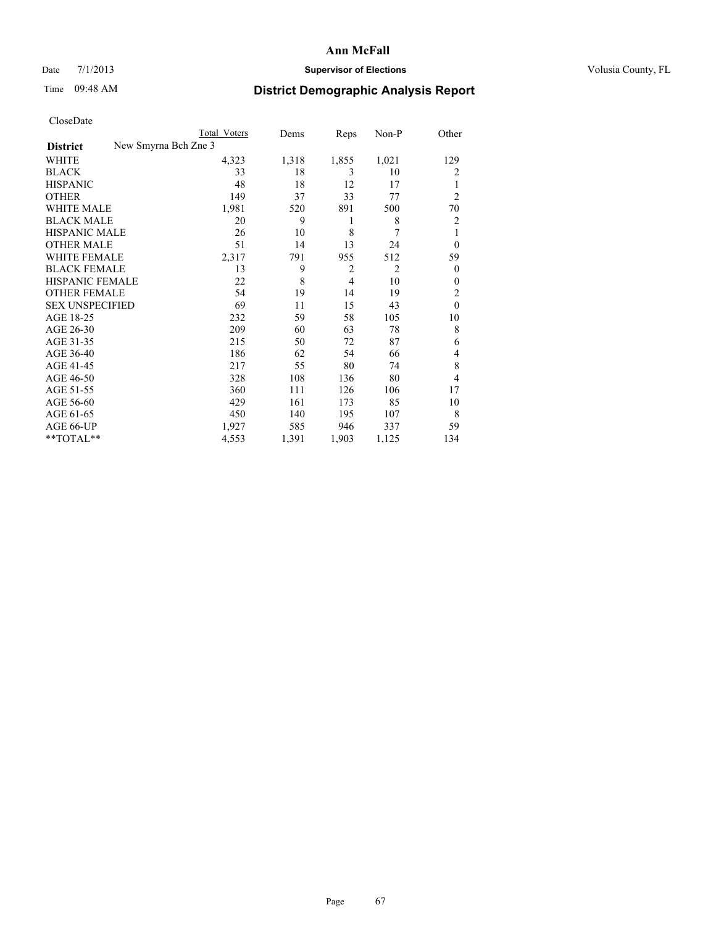## Date 7/1/2013 **Supervisor of Elections Supervisor of Elections** Volusia County, FL

# Time 09:48 AM **District Demographic Analysis Report**

|                        |                      | <b>Total Voters</b> | Dems  | Reps           | Non-P          | Other          |
|------------------------|----------------------|---------------------|-------|----------------|----------------|----------------|
| <b>District</b>        | New Smyrna Bch Zne 3 |                     |       |                |                |                |
| WHITE                  |                      | 4,323               | 1,318 | 1,855          | 1,021          | 129            |
| <b>BLACK</b>           |                      | 33                  | 18    | 3              | 10             | 2              |
| <b>HISPANIC</b>        |                      | 48                  | 18    | 12             | 17             | 1              |
| <b>OTHER</b>           |                      | 149                 | 37    | 33             | 77             | $\overline{2}$ |
| WHITE MALE             |                      | 1,981               | 520   | 891            | 500            | 70             |
| <b>BLACK MALE</b>      |                      | 20                  | 9     | 1              | 8              | 2              |
| <b>HISPANIC MALE</b>   |                      | 26                  | 10    | 8              | 7              | 1              |
| <b>OTHER MALE</b>      |                      | 51                  | 14    | 13             | 24             | $\overline{0}$ |
| WHITE FEMALE           |                      | 2,317               | 791   | 955            | 512            | 59             |
| <b>BLACK FEMALE</b>    |                      | 13                  | 9     | $\overline{2}$ | $\overline{2}$ | $\overline{0}$ |
| HISPANIC FEMALE        |                      | 22                  | 8     | $\overline{4}$ | 10             | $\theta$       |
| <b>OTHER FEMALE</b>    |                      | 54                  | 19    | 14             | 19             | 2              |
| <b>SEX UNSPECIFIED</b> |                      | 69                  | 11    | 15             | 43             | $\theta$       |
| AGE 18-25              |                      | 232                 | 59    | 58             | 105            | 10             |
| AGE 26-30              |                      | 209                 | 60    | 63             | 78             | 8              |
| AGE 31-35              |                      | 215                 | 50    | 72             | 87             | 6              |
| AGE 36-40              |                      | 186                 | 62    | 54             | 66             | 4              |
| AGE 41-45              |                      | 217                 | 55    | 80             | 74             | 8              |
| AGE 46-50              |                      | 328                 | 108   | 136            | 80             | 4              |
| AGE 51-55              |                      | 360                 | 111   | 126            | 106            | 17             |
| AGE 56-60              |                      | 429                 | 161   | 173            | 85             | 10             |
| AGE 61-65              |                      | 450                 | 140   | 195            | 107            | 8              |
| AGE 66-UP              |                      | 1,927               | 585   | 946            | 337            | 59             |
| **TOTAL**              |                      | 4,553               | 1,391 | 1,903          | 1,125          | 134            |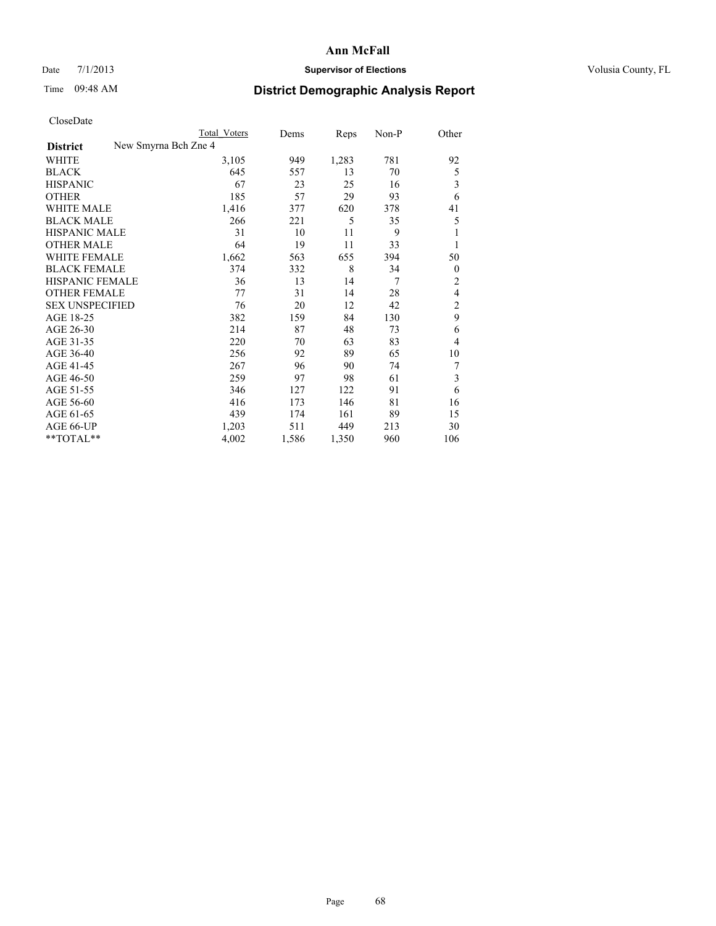## Date 7/1/2013 **Supervisor of Elections Supervisor of Elections** Volusia County, FL

## Time 09:48 AM **District Demographic Analysis Report**

|                                         | <b>Total Voters</b> | Dems  | Reps  | Non-P | Other          |
|-----------------------------------------|---------------------|-------|-------|-------|----------------|
| New Smyrna Bch Zne 4<br><b>District</b> |                     |       |       |       |                |
| WHITE                                   | 3,105               | 949   | 1,283 | 781   | 92             |
| <b>BLACK</b>                            | 645                 | 557   | 13    | 70    | 5              |
| <b>HISPANIC</b>                         | 67                  | 23    | 25    | 16    | 3              |
| <b>OTHER</b>                            | 185                 | 57    | 29    | 93    | 6              |
| WHITE MALE                              | 1,416               | 377   | 620   | 378   | 41             |
| <b>BLACK MALE</b>                       | 266                 | 221   | 5     | 35    | 5              |
| <b>HISPANIC MALE</b>                    | 31                  | 10    | 11    | 9     | 1              |
| <b>OTHER MALE</b>                       | 64                  | 19    | 11    | 33    | 1              |
| <b>WHITE FEMALE</b>                     | 1,662               | 563   | 655   | 394   | 50             |
| <b>BLACK FEMALE</b>                     | 374                 | 332   | 8     | 34    | $\overline{0}$ |
| <b>HISPANIC FEMALE</b>                  | 36                  | 13    | 14    | 7     | $\overline{2}$ |
| <b>OTHER FEMALE</b>                     | 77                  | 31    | 14    | 28    | 4              |
| <b>SEX UNSPECIFIED</b>                  | 76                  | 20    | 12    | 42    | $\overline{c}$ |
| AGE 18-25                               | 382                 | 159   | 84    | 130   | 9              |
| AGE 26-30                               | 214                 | 87    | 48    | 73    | 6              |
| AGE 31-35                               | 220                 | 70    | 63    | 83    | 4              |
| AGE 36-40                               | 256                 | 92    | 89    | 65    | 10             |
| AGE 41-45                               | 267                 | 96    | 90    | 74    | 7              |
| AGE 46-50                               | 259                 | 97    | 98    | 61    | 3              |
| AGE 51-55                               | 346                 | 127   | 122   | 91    | 6              |
| AGE 56-60                               | 416                 | 173   | 146   | 81    | 16             |
| AGE 61-65                               | 439                 | 174   | 161   | 89    | 15             |
| AGE 66-UP                               | 1,203               | 511   | 449   | 213   | 30             |
| **TOTAL**                               | 4,002               | 1,586 | 1,350 | 960   | 106            |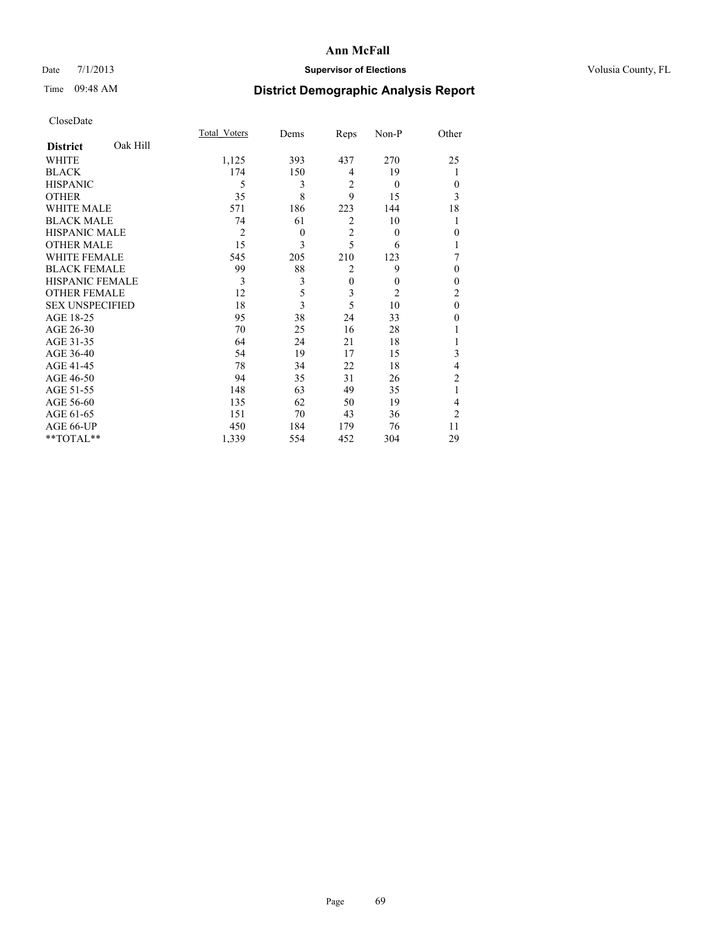### Date  $7/1/2013$  **Supervisor of Elections Supervisor of Elections** Volusia County, FL

## Time 09:48 AM **District Demographic Analysis Report**

|                        |          | <b>Total Voters</b> | Dems     | Reps           | Non-P          | Other          |
|------------------------|----------|---------------------|----------|----------------|----------------|----------------|
| <b>District</b>        | Oak Hill |                     |          |                |                |                |
| WHITE                  |          | 1,125               | 393      | 437            | 270            | 25             |
| <b>BLACK</b>           |          | 174                 | 150      | 4              | 19             | 1              |
| <b>HISPANIC</b>        |          | 5                   | 3        | $\overline{2}$ | $\theta$       | $\Omega$       |
| <b>OTHER</b>           |          | 35                  | 8        | 9              | 15             | 3              |
| WHITE MALE             |          | 571                 | 186      | 223            | 144            | 18             |
| <b>BLACK MALE</b>      |          | 74                  | 61       | $\overline{2}$ | 10             | 1              |
| <b>HISPANIC MALE</b>   |          | $\overline{2}$      | $\theta$ | $\overline{2}$ | $\theta$       | $\theta$       |
| <b>OTHER MALE</b>      |          | 15                  | 3        | 5              | 6              | 1              |
| WHITE FEMALE           |          | 545                 | 205      | 210            | 123            | 7              |
| <b>BLACK FEMALE</b>    |          | 99                  | 88       | $\overline{2}$ | 9              | $\theta$       |
| HISPANIC FEMALE        |          | 3                   | 3        | $\overline{0}$ | $\theta$       | $\theta$       |
| <b>OTHER FEMALE</b>    |          | 12                  | 5        | 3              | $\overline{2}$ | $\overline{c}$ |
| <b>SEX UNSPECIFIED</b> |          | 18                  | 3        | 5              | 10             | $\mathbf{0}$   |
| AGE 18-25              |          | 95                  | 38       | 24             | 33             | $\theta$       |
| AGE 26-30              |          | 70                  | 25       | 16             | 28             |                |
| AGE 31-35              |          | 64                  | 24       | 21             | 18             |                |
| AGE 36-40              |          | 54                  | 19       | 17             | 15             | 3              |
| AGE 41-45              |          | 78                  | 34       | 22             | 18             | 4              |
| AGE 46-50              |          | 94                  | 35       | 31             | 26             | 2              |
| AGE 51-55              |          | 148                 | 63       | 49             | 35             | 1              |
| AGE 56-60              |          | 135                 | 62       | 50             | 19             | 4              |
| AGE 61-65              |          | 151                 | 70       | 43             | 36             | $\overline{2}$ |
| AGE 66-UP              |          | 450                 | 184      | 179            | 76             | 11             |
| **TOTAL**              |          | 1,339               | 554      | 452            | 304            | 29             |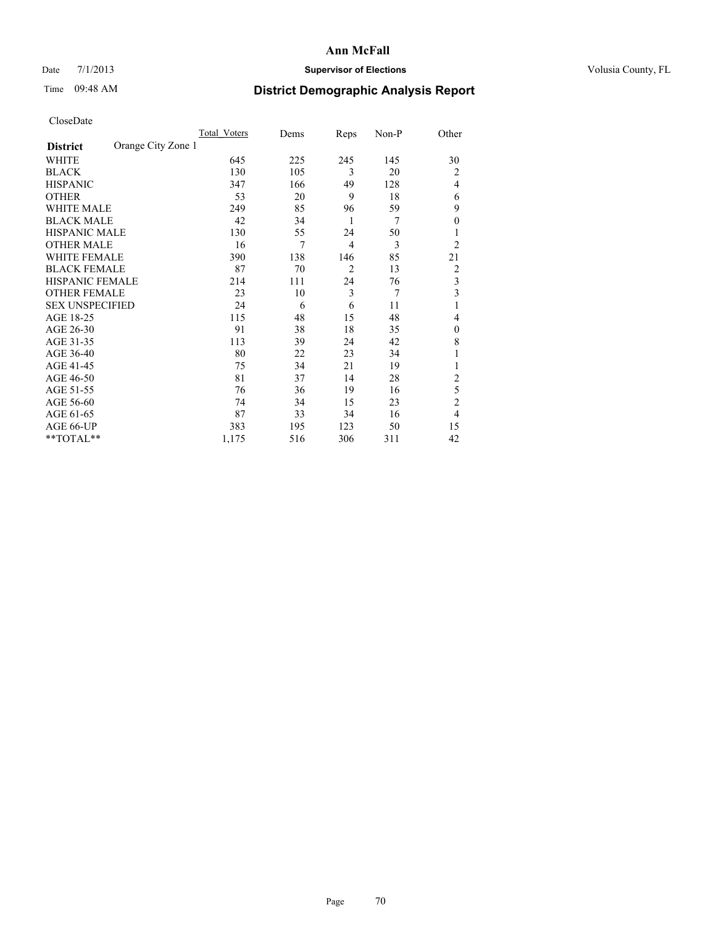## Date 7/1/2013 **Supervisor of Elections Supervisor of Elections** Volusia County, FL

## Time 09:48 AM **District Demographic Analysis Report**

|                        |                    | <b>Total Voters</b> | Dems | Reps           | Non-P | Other          |
|------------------------|--------------------|---------------------|------|----------------|-------|----------------|
| <b>District</b>        | Orange City Zone 1 |                     |      |                |       |                |
| WHITE                  |                    | 645                 | 225  | 245            | 145   | 30             |
| <b>BLACK</b>           |                    | 130                 | 105  | 3              | 20    | $\overline{2}$ |
| <b>HISPANIC</b>        |                    | 347                 | 166  | 49             | 128   | $\overline{4}$ |
| <b>OTHER</b>           |                    | 53                  | 20   | 9              | 18    | 6              |
| WHITE MALE             |                    | 249                 | 85   | 96             | 59    | 9              |
| <b>BLACK MALE</b>      |                    | 42                  | 34   | 1              | 7     | $\overline{0}$ |
| <b>HISPANIC MALE</b>   |                    | 130                 | 55   | 24             | 50    |                |
| <b>OTHER MALE</b>      |                    | 16                  | 7    | $\overline{4}$ | 3     | $\overline{2}$ |
| <b>WHITE FEMALE</b>    |                    | 390                 | 138  | 146            | 85    | 21             |
| <b>BLACK FEMALE</b>    |                    | 87                  | 70   | $\overline{2}$ | 13    | $\overline{2}$ |
| <b>HISPANIC FEMALE</b> |                    | 214                 | 111  | 24             | 76    | 3              |
| <b>OTHER FEMALE</b>    |                    | 23                  | 10   | 3              | 7     | 3              |
| <b>SEX UNSPECIFIED</b> |                    | 24                  | 6    | 6              | 11    | 1              |
| AGE 18-25              |                    | 115                 | 48   | 15             | 48    | 4              |
| AGE 26-30              |                    | 91                  | 38   | 18             | 35    | $\mathbf{0}$   |
| AGE 31-35              |                    | 113                 | 39   | 24             | 42    | 8              |
| AGE 36-40              |                    | 80                  | 22   | 23             | 34    |                |
| AGE 41-45              |                    | 75                  | 34   | 21             | 19    |                |
| AGE 46-50              |                    | 81                  | 37   | 14             | 28    | 2              |
| AGE 51-55              |                    | 76                  | 36   | 19             | 16    | 5              |
| AGE 56-60              |                    | 74                  | 34   | 15             | 23    | $\overline{c}$ |
| AGE 61-65              |                    | 87                  | 33   | 34             | 16    | $\overline{4}$ |
| AGE 66-UP              |                    | 383                 | 195  | 123            | 50    | 15             |
| **TOTAL**              |                    | 1,175               | 516  | 306            | 311   | 42             |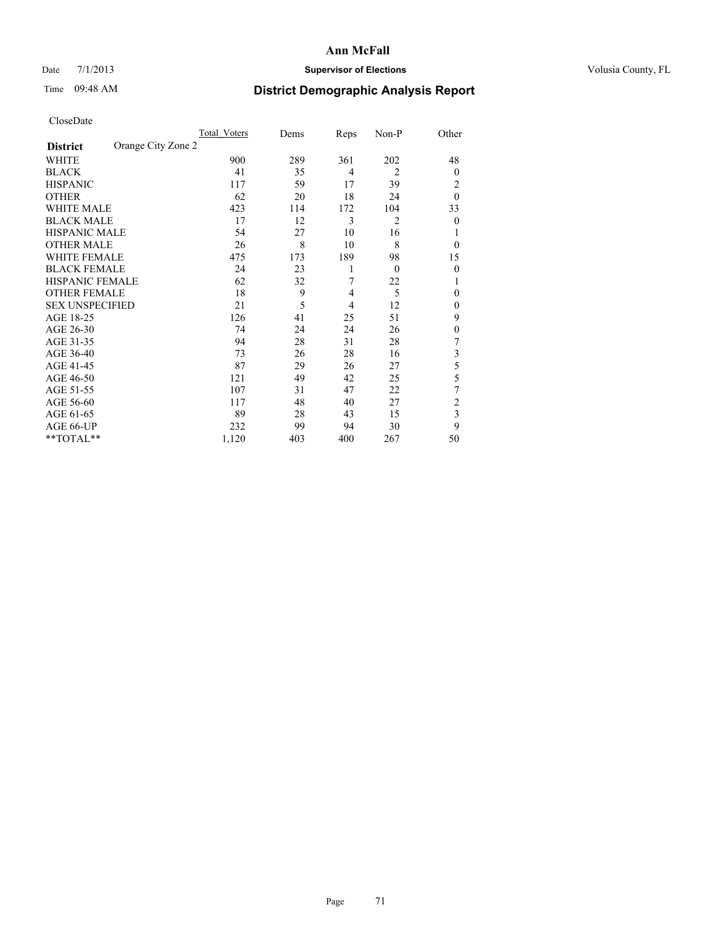## Date 7/1/2013 **Supervisor of Elections Supervisor of Elections** Volusia County, FL

## Time 09:48 AM **District Demographic Analysis Report**

|                        |                    | Total Voters | Dems | Reps           | Non-P          | Other          |
|------------------------|--------------------|--------------|------|----------------|----------------|----------------|
| <b>District</b>        | Orange City Zone 2 |              |      |                |                |                |
| WHITE                  |                    | 900          | 289  | 361            | 202            | 48             |
| <b>BLACK</b>           |                    | 41           | 35   | $\overline{4}$ | $\overline{2}$ | $\overline{0}$ |
| <b>HISPANIC</b>        |                    | 117          | 59   | 17             | 39             | 2              |
| <b>OTHER</b>           |                    | 62           | 20   | 18             | 24             | $\theta$       |
| WHITE MALE             |                    | 423          | 114  | 172            | 104            | 33             |
| <b>BLACK MALE</b>      |                    | 17           | 12   | 3              | $\overline{2}$ | $\overline{0}$ |
| <b>HISPANIC MALE</b>   |                    | 54           | 27   | 10             | 16             |                |
| <b>OTHER MALE</b>      |                    | 26           | 8    | 10             | 8              | $\overline{0}$ |
| WHITE FEMALE           |                    | 475          | 173  | 189            | 98             | 15             |
| <b>BLACK FEMALE</b>    |                    | 24           | 23   | 1              | $\theta$       | $\overline{0}$ |
| <b>HISPANIC FEMALE</b> |                    | 62           | 32   | 7              | 22             |                |
| <b>OTHER FEMALE</b>    |                    | 18           | 9    | $\overline{4}$ | 5              | $\Omega$       |
| <b>SEX UNSPECIFIED</b> |                    | 21           | 5    | $\overline{4}$ | 12             | $\theta$       |
| AGE 18-25              |                    | 126          | 41   | 25             | 51             | 9              |
| AGE 26-30              |                    | 74           | 24   | 24             | 26             | $\theta$       |
| AGE 31-35              |                    | 94           | 28   | 31             | 28             | 7              |
| AGE 36-40              |                    | 73           | 26   | 28             | 16             | 3              |
| AGE 41-45              |                    | 87           | 29   | 26             | 27             | 5              |
| AGE 46-50              |                    | 121          | 49   | 42             | 25             | 5              |
| AGE 51-55              |                    | 107          | 31   | 47             | 22             | 7              |
| AGE 56-60              |                    | 117          | 48   | 40             | 27             | $\overline{c}$ |
| AGE 61-65              |                    | 89           | 28   | 43             | 15             | 3              |
| AGE 66-UP              |                    | 232          | 99   | 94             | 30             | 9              |
| **TOTAL**              |                    | 1,120        | 403  | 400            | 267            | 50             |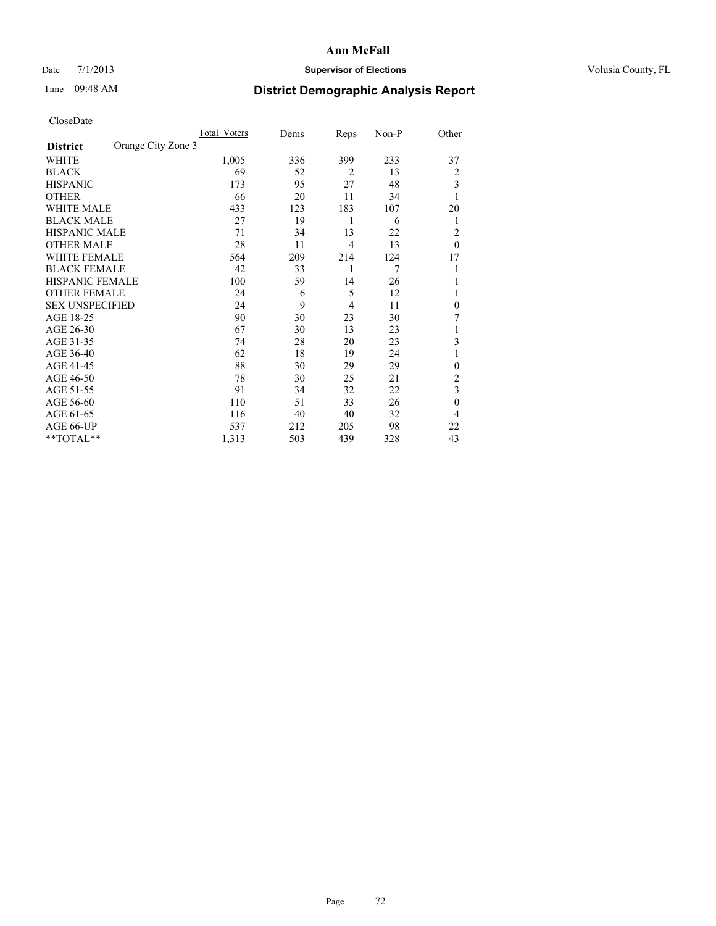## Date 7/1/2013 **Supervisor of Elections Supervisor of Elections** Volusia County, FL

## Time 09:48 AM **District Demographic Analysis Report**

|                        |                    | <b>Total Voters</b> | Dems | Reps           | Non-P          | Other        |
|------------------------|--------------------|---------------------|------|----------------|----------------|--------------|
| <b>District</b>        | Orange City Zone 3 |                     |      |                |                |              |
| WHITE                  |                    | 1,005               | 336  | 399            | 233            | 37           |
| <b>BLACK</b>           |                    | 69                  | 52   | $\overline{2}$ | 13             | 2            |
| <b>HISPANIC</b>        |                    | 173                 | 95   | 27             | 48             | 3            |
| <b>OTHER</b>           |                    | 66                  | 20   | 11             | 34             | 1            |
| WHITE MALE             |                    | 433                 | 123  | 183            | 107            | 20           |
| <b>BLACK MALE</b>      |                    | 27                  | 19   | 1              | 6              | 1            |
| <b>HISPANIC MALE</b>   |                    | 71                  | 34   | 13             | 22             | 2            |
| <b>OTHER MALE</b>      |                    | 28                  | 11   | $\overline{4}$ | 13             | $\theta$     |
| <b>WHITE FEMALE</b>    |                    | 564                 | 209  | 214            | 124            | 17           |
| <b>BLACK FEMALE</b>    |                    | 42                  | 33   | 1              | $\overline{7}$ |              |
| <b>HISPANIC FEMALE</b> |                    | 100                 | 59   | 14             | 26             |              |
| <b>OTHER FEMALE</b>    |                    | 24                  | 6    | 5              | 12             |              |
| <b>SEX UNSPECIFIED</b> |                    | 24                  | 9    | $\overline{4}$ | 11             | $\mathbf{0}$ |
| AGE 18-25              |                    | 90                  | 30   | 23             | 30             | 7            |
| AGE 26-30              |                    | 67                  | 30   | 13             | 23             | 1            |
| AGE 31-35              |                    | 74                  | 28   | 20             | 23             | 3            |
| AGE 36-40              |                    | 62                  | 18   | 19             | 24             |              |
| AGE 41-45              |                    | 88                  | 30   | 29             | 29             | $\theta$     |
| AGE 46-50              |                    | 78                  | 30   | 25             | 21             | 2            |
| AGE 51-55              |                    | 91                  | 34   | 32             | 22             | 3            |
| AGE 56-60              |                    | 110                 | 51   | 33             | 26             | $\mathbf{0}$ |
| AGE 61-65              |                    | 116                 | 40   | 40             | 32             | 4            |
| AGE 66-UP              |                    | 537                 | 212  | 205            | 98             | 22           |
| **TOTAL**              |                    | 1,313               | 503  | 439            | 328            | 43           |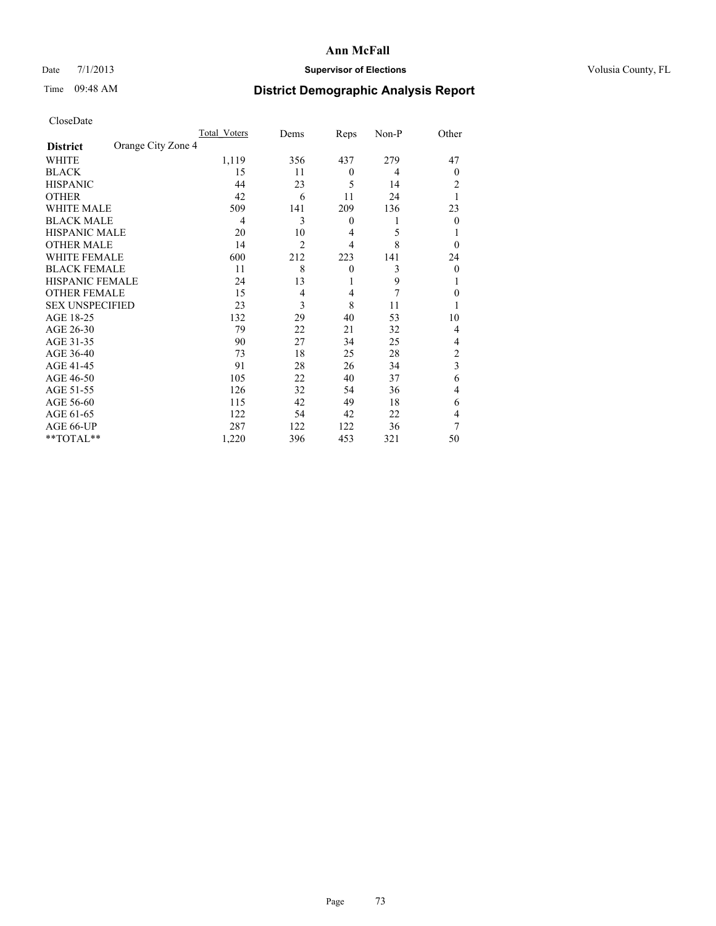# Date 7/1/2013 **Supervisor of Elections Supervisor of Elections** Volusia County, FL

# Time 09:48 AM **District Demographic Analysis Report**

|                        |                    | <b>Total Voters</b> | Dems           | Reps           | Non-P | Other          |
|------------------------|--------------------|---------------------|----------------|----------------|-------|----------------|
| <b>District</b>        | Orange City Zone 4 |                     |                |                |       |                |
| <b>WHITE</b>           |                    | 1,119               | 356            | 437            | 279   | 47             |
| <b>BLACK</b>           |                    | 15                  | 11             | $\mathbf{0}$   | 4     | $\Omega$       |
| <b>HISPANIC</b>        |                    | 44                  | 23             | 5              | 14    | 2              |
| <b>OTHER</b>           |                    | 42                  | 6              | 11             | 24    |                |
| WHITE MALE             |                    | 509                 | 141            | 209            | 136   | 23             |
| <b>BLACK MALE</b>      |                    | 4                   | 3              | $\mathbf{0}$   | 1     | $\Omega$       |
| <b>HISPANIC MALE</b>   |                    | 20                  | 10             | 4              | 5     |                |
| <b>OTHER MALE</b>      |                    | 14                  | $\overline{2}$ | $\overline{4}$ | 8     | $\Omega$       |
| <b>WHITE FEMALE</b>    |                    | 600                 | 212            | 223            | 141   | 24             |
| <b>BLACK FEMALE</b>    |                    | 11                  | 8              | $\mathbf{0}$   | 3     | $\overline{0}$ |
| <b>HISPANIC FEMALE</b> |                    | 24                  | 13             | 1              | 9     |                |
| <b>OTHER FEMALE</b>    |                    | 15                  | $\overline{4}$ | 4              | 7     | $\Omega$       |
| <b>SEX UNSPECIFIED</b> |                    | 23                  | 3              | 8              | 11    |                |
| AGE 18-25              |                    | 132                 | 29             | 40             | 53    | 10             |
| AGE 26-30              |                    | 79                  | 22             | 21             | 32    | 4              |
| AGE 31-35              |                    | 90                  | 27             | 34             | 25    | 4              |
| AGE 36-40              |                    | 73                  | 18             | 25             | 28    | $\overline{c}$ |
| AGE 41-45              |                    | 91                  | 28             | 26             | 34    | 3              |
| AGE 46-50              |                    | 105                 | 22             | 40             | 37    | 6              |
| AGE 51-55              |                    | 126                 | 32             | 54             | 36    | $\overline{4}$ |
| AGE 56-60              |                    | 115                 | 42             | 49             | 18    | 6              |
| AGE 61-65              |                    | 122                 | 54             | 42             | 22    | 4              |
| AGE 66-UP              |                    | 287                 | 122            | 122            | 36    | 7              |
| **TOTAL**              |                    | 1,220               | 396            | 453            | 321   | 50             |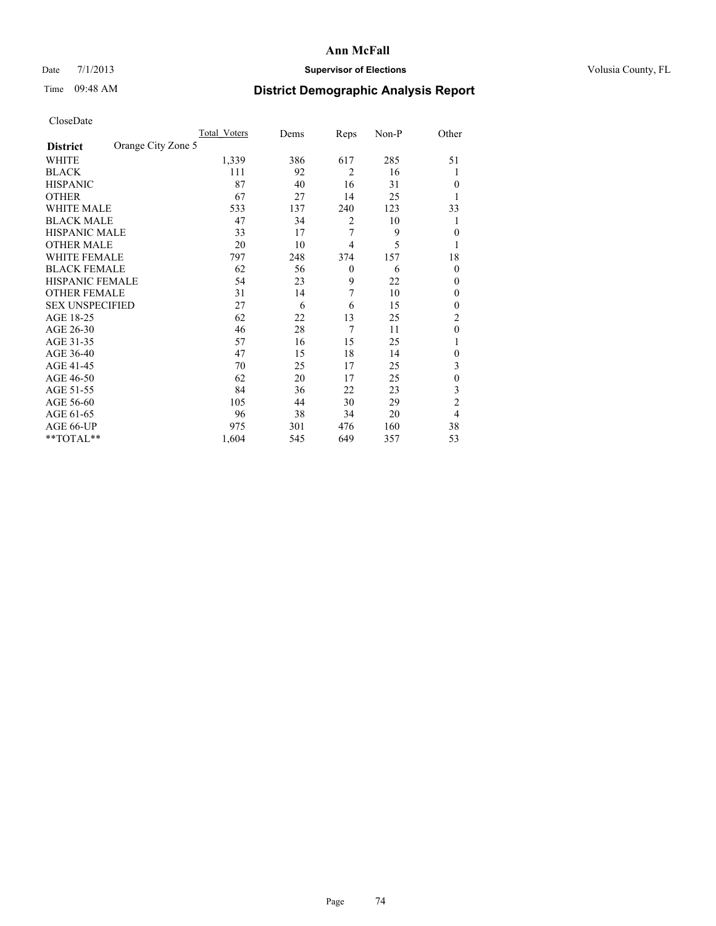# Date 7/1/2013 **Supervisor of Elections Supervisor of Elections** Volusia County, FL

# Time 09:48 AM **District Demographic Analysis Report**

|                        |                    | <b>Total Voters</b> | Dems | Reps           | Non-P | Other          |
|------------------------|--------------------|---------------------|------|----------------|-------|----------------|
| <b>District</b>        | Orange City Zone 5 |                     |      |                |       |                |
| WHITE                  |                    | 1,339               | 386  | 617            | 285   | 51             |
| <b>BLACK</b>           |                    | 111                 | 92   | $\overline{2}$ | 16    | 1              |
| <b>HISPANIC</b>        |                    | 87                  | 40   | 16             | 31    | $\theta$       |
| <b>OTHER</b>           |                    | 67                  | 27   | 14             | 25    | 1              |
| WHITE MALE             |                    | 533                 | 137  | 240            | 123   | 33             |
| <b>BLACK MALE</b>      |                    | 47                  | 34   | 2              | 10    | 1              |
| <b>HISPANIC MALE</b>   |                    | 33                  | 17   | 7              | 9     | $\mathbf{0}$   |
| <b>OTHER MALE</b>      |                    | 20                  | 10   | 4              | 5     | 1              |
| WHITE FEMALE           |                    | 797                 | 248  | 374            | 157   | 18             |
| <b>BLACK FEMALE</b>    |                    | 62                  | 56   | $\mathbf{0}$   | 6     | $\theta$       |
| <b>HISPANIC FEMALE</b> |                    | 54                  | 23   | 9              | 22    | $\theta$       |
| <b>OTHER FEMALE</b>    |                    | 31                  | 14   | 7              | 10    | $\theta$       |
| <b>SEX UNSPECIFIED</b> |                    | 27                  | 6    | 6              | 15    | $\mathbf{0}$   |
| AGE 18-25              |                    | 62                  | 22   | 13             | 25    | $\overline{c}$ |
| AGE 26-30              |                    | 46                  | 28   | 7              | 11    | $\theta$       |
| AGE 31-35              |                    | 57                  | 16   | 15             | 25    | 1              |
| AGE 36-40              |                    | 47                  | 15   | 18             | 14    | $\theta$       |
| AGE 41-45              |                    | 70                  | 25   | 17             | 25    | 3              |
| AGE 46-50              |                    | 62                  | 20   | 17             | 25    | $\theta$       |
| AGE 51-55              |                    | 84                  | 36   | 22             | 23    | 3              |
| AGE 56-60              |                    | 105                 | 44   | 30             | 29    | $\overline{c}$ |
| AGE 61-65              |                    | 96                  | 38   | 34             | 20    | 4              |
| AGE 66-UP              |                    | 975                 | 301  | 476            | 160   | 38             |
| **TOTAL**              |                    | 1,604               | 545  | 649            | 357   | 53             |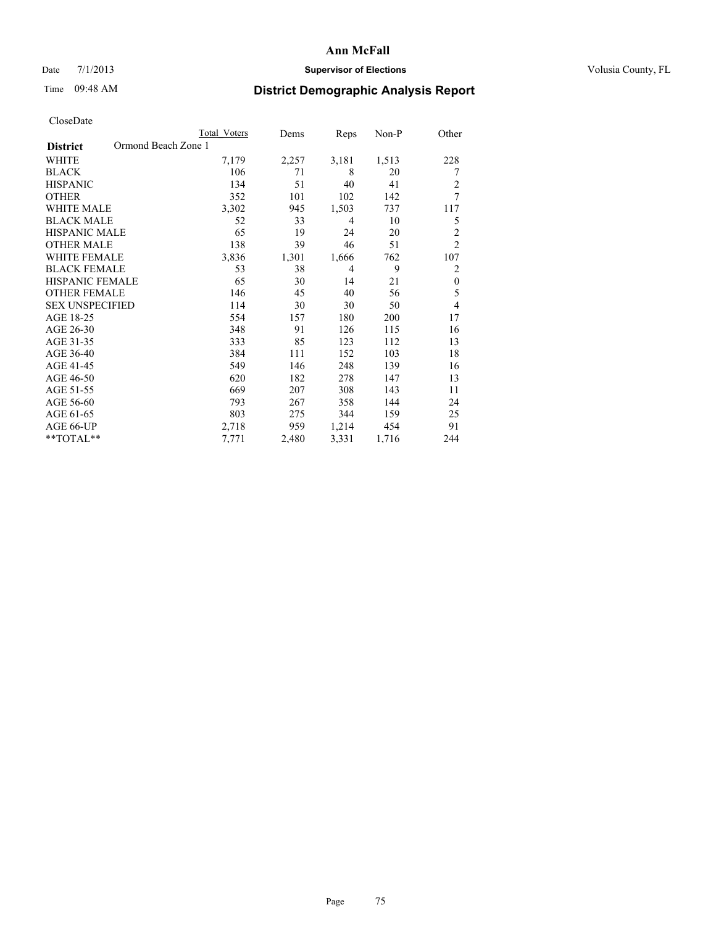## Date  $7/1/2013$  **Supervisor of Elections Supervisor of Elections** Volusia County, FL

# Time 09:48 AM **District Demographic Analysis Report**

|                                        | Total Voters | Dems  | Reps  | Non-P | Other            |
|----------------------------------------|--------------|-------|-------|-------|------------------|
| Ormond Beach Zone 1<br><b>District</b> |              |       |       |       |                  |
| WHITE                                  | 7,179        | 2,257 | 3,181 | 1,513 | 228              |
| <b>BLACK</b>                           | 106          | 71    | 8     | 20    | 7                |
| <b>HISPANIC</b>                        | 134          | 51    | 40    | 41    | $\overline{c}$   |
| <b>OTHER</b>                           | 352          | 101   | 102   | 142   | 7                |
| <b>WHITE MALE</b>                      | 3,302        | 945   | 1,503 | 737   | 117              |
| <b>BLACK MALE</b>                      | 52           | 33    | 4     | 10    | 5                |
| <b>HISPANIC MALE</b>                   | 65           | 19    | 24    | 20    | $\overline{c}$   |
| <b>OTHER MALE</b>                      | 138          | 39    | 46    | 51    | $\overline{2}$   |
| <b>WHITE FEMALE</b>                    | 3,836        | 1,301 | 1,666 | 762   | 107              |
| <b>BLACK FEMALE</b>                    | 53           | 38    | 4     | 9     | 2                |
| HISPANIC FEMALE                        | 65           | 30    | 14    | 21    | $\boldsymbol{0}$ |
| <b>OTHER FEMALE</b>                    | 146          | 45    | 40    | 56    | 5                |
| <b>SEX UNSPECIFIED</b>                 | 114          | 30    | 30    | 50    | 4                |
| AGE 18-25                              | 554          | 157   | 180   | 200   | 17               |
| AGE 26-30                              | 348          | 91    | 126   | 115   | 16               |
| AGE 31-35                              | 333          | 85    | 123   | 112   | 13               |
| AGE 36-40                              | 384          | 111   | 152   | 103   | 18               |
| AGE 41-45                              | 549          | 146   | 248   | 139   | 16               |
| AGE 46-50                              | 620          | 182   | 278   | 147   | 13               |
| AGE 51-55                              | 669          | 207   | 308   | 143   | 11               |
| AGE 56-60                              | 793          | 267   | 358   | 144   | 24               |
| AGE 61-65                              | 803          | 275   | 344   | 159   | 25               |
| AGE 66-UP                              | 2,718        | 959   | 1,214 | 454   | 91               |
| **TOTAL**                              | 7,771        | 2,480 | 3,331 | 1,716 | 244              |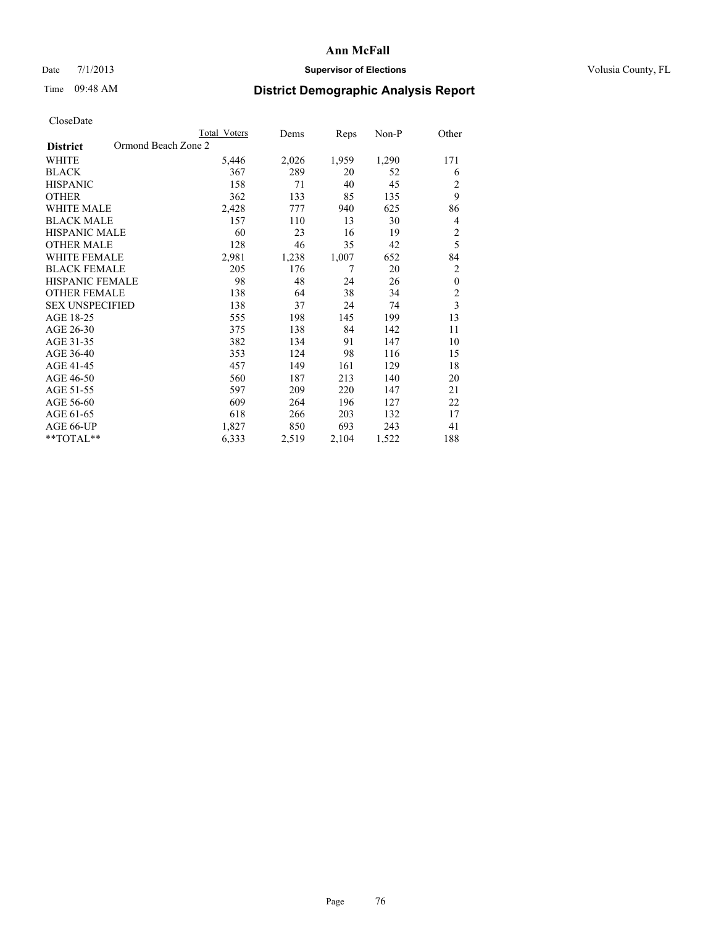# Date 7/1/2013 **Supervisor of Elections Supervisor of Elections** Volusia County, FL

# Time 09:48 AM **District Demographic Analysis Report**

|                        | <b>Total Voters</b> | Dems  | Reps  | Non-P | Other          |
|------------------------|---------------------|-------|-------|-------|----------------|
| <b>District</b>        | Ormond Beach Zone 2 |       |       |       |                |
| WHITE                  | 5,446               | 2,026 | 1,959 | 1,290 | 171            |
| <b>BLACK</b>           | 367                 | 289   | 20    | 52    | 6              |
| <b>HISPANIC</b>        | 158                 | 71    | 40    | 45    | 2              |
| <b>OTHER</b>           | 362                 | 133   | 85    | 135   | 9              |
| WHITE MALE             | 2,428               | 777   | 940   | 625   | 86             |
| <b>BLACK MALE</b>      | 157                 | 110   | 13    | 30    | 4              |
| <b>HISPANIC MALE</b>   | 60                  | 23    | 16    | 19    | $\overline{2}$ |
| <b>OTHER MALE</b>      | 128                 | 46    | 35    | 42    | 5              |
| WHITE FEMALE           | 2,981               | 1,238 | 1,007 | 652   | 84             |
| <b>BLACK FEMALE</b>    | 205                 | 176   | 7     | 20    | $\overline{2}$ |
| <b>HISPANIC FEMALE</b> | 98                  | 48    | 24    | 26    | $\mathbf{0}$   |
| <b>OTHER FEMALE</b>    | 138                 | 64    | 38    | 34    | $\overline{c}$ |
| <b>SEX UNSPECIFIED</b> | 138                 | 37    | 24    | 74    | $\overline{3}$ |
| AGE 18-25              | 555                 | 198   | 145   | 199   | 13             |
| AGE 26-30              | 375                 | 138   | 84    | 142   | 11             |
| AGE 31-35              | 382                 | 134   | 91    | 147   | 10             |
| AGE 36-40              | 353                 | 124   | 98    | 116   | 15             |
| AGE 41-45              | 457                 | 149   | 161   | 129   | 18             |
| AGE 46-50              | 560                 | 187   | 213   | 140   | 20             |
| AGE 51-55              | 597                 | 209   | 220   | 147   | 21             |
| AGE 56-60              | 609                 | 264   | 196   | 127   | 22             |
| AGE 61-65              | 618                 | 266   | 203   | 132   | 17             |
| AGE 66-UP              | 1,827               | 850   | 693   | 243   | 41             |
| **TOTAL**              | 6,333               | 2,519 | 2,104 | 1,522 | 188            |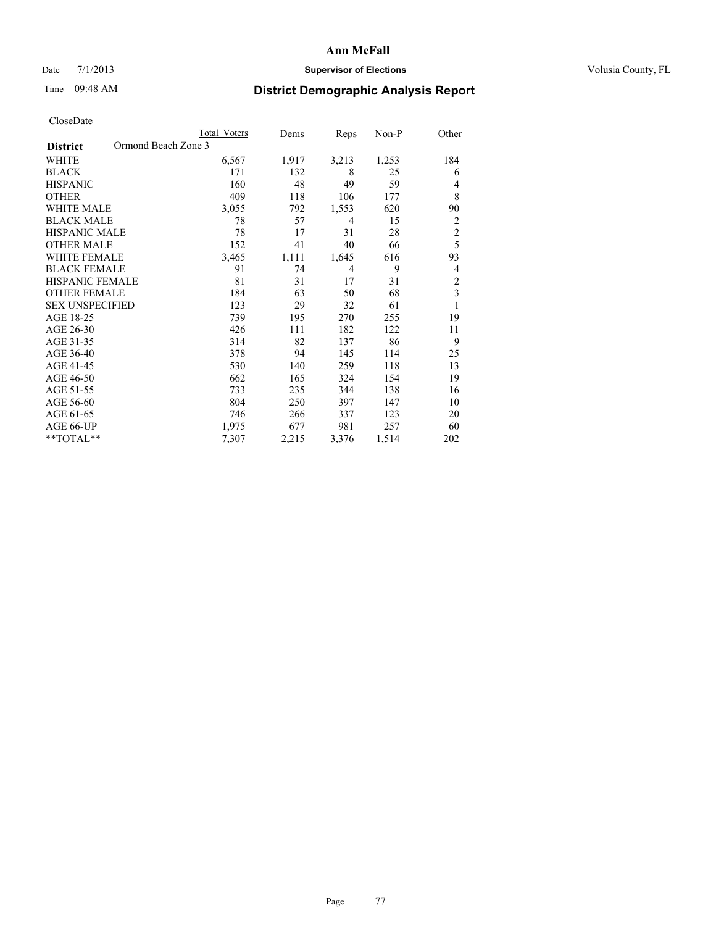## Date  $7/1/2013$  **Supervisor of Elections Supervisor of Elections** Volusia County, FL

# Time 09:48 AM **District Demographic Analysis Report**

|                        | <b>Total Voters</b> | Dems  | Reps  | Non-P | Other          |
|------------------------|---------------------|-------|-------|-------|----------------|
| <b>District</b>        | Ormond Beach Zone 3 |       |       |       |                |
| WHITE                  | 6,567               | 1,917 | 3,213 | 1,253 | 184            |
| <b>BLACK</b>           | 171                 | 132   | 8     | 25    | 6              |
| <b>HISPANIC</b>        | 160                 | 48    | 49    | 59    | 4              |
| <b>OTHER</b>           | 409                 | 118   | 106   | 177   | 8              |
| WHITE MALE             | 3,055               | 792   | 1,553 | 620   | 90             |
| <b>BLACK MALE</b>      | 78                  | 57    | 4     | 15    | $\overline{2}$ |
| <b>HISPANIC MALE</b>   | 78                  | 17    | 31    | 28    | $\overline{c}$ |
| <b>OTHER MALE</b>      | 152                 | 41    | 40    | 66    | 5              |
| <b>WHITE FEMALE</b>    | 3,465               | 1,111 | 1,645 | 616   | 93             |
| <b>BLACK FEMALE</b>    | 91                  | 74    | 4     | 9     | 4              |
| <b>HISPANIC FEMALE</b> | 81                  | 31    | 17    | 31    | $\overline{c}$ |
| <b>OTHER FEMALE</b>    | 184                 | 63    | 50    | 68    | 3              |
| <b>SEX UNSPECIFIED</b> | 123                 | 29    | 32    | 61    | 1              |
| AGE 18-25              | 739                 | 195   | 270   | 255   | 19             |
| AGE 26-30              | 426                 | 111   | 182   | 122   | 11             |
| AGE 31-35              | 314                 | 82    | 137   | 86    | 9              |
| AGE 36-40              | 378                 | 94    | 145   | 114   | 25             |
| AGE 41-45              | 530                 | 140   | 259   | 118   | 13             |
| AGE 46-50              | 662                 | 165   | 324   | 154   | 19             |
| AGE 51-55              | 733                 | 235   | 344   | 138   | 16             |
| AGE 56-60              | 804                 | 250   | 397   | 147   | 10             |
| AGE 61-65              | 746                 | 266   | 337   | 123   | 20             |
| AGE 66-UP              | 1,975               | 677   | 981   | 257   | 60             |
| **TOTAL**              | 7,307               | 2,215 | 3,376 | 1,514 | 202            |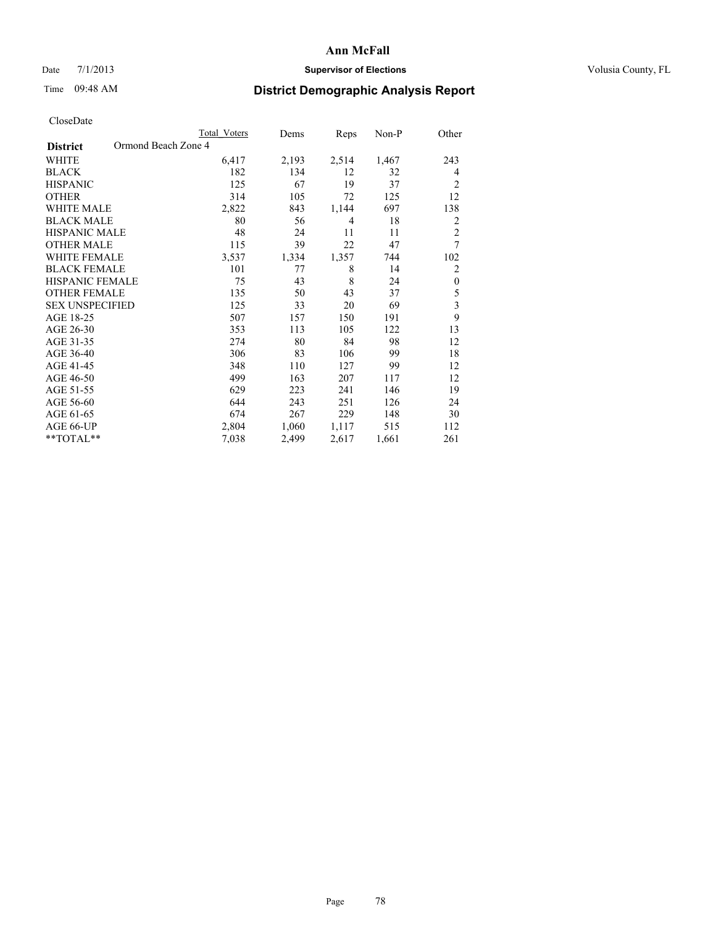## Date  $7/1/2013$  **Supervisor of Elections Supervisor of Elections** Volusia County, FL

# Time 09:48 AM **District Demographic Analysis Report**

|                                        | Total Voters | Dems  | Reps  | Non-P | Other                   |
|----------------------------------------|--------------|-------|-------|-------|-------------------------|
| Ormond Beach Zone 4<br><b>District</b> |              |       |       |       |                         |
| WHITE                                  | 6,417        | 2,193 | 2,514 | 1,467 | 243                     |
| <b>BLACK</b>                           | 182          | 134   | 12    | 32    | 4                       |
| <b>HISPANIC</b>                        | 125          | 67    | 19    | 37    | $\overline{c}$          |
| <b>OTHER</b>                           | 314          | 105   | 72    | 125   | 12                      |
| <b>WHITE MALE</b>                      | 2,822        | 843   | 1,144 | 697   | 138                     |
| <b>BLACK MALE</b>                      | 80           | 56    | 4     | 18    | 2                       |
| <b>HISPANIC MALE</b>                   | 48           | 24    | 11    | 11    | $\overline{2}$          |
| <b>OTHER MALE</b>                      | 115          | 39    | 22    | 47    | 7                       |
| <b>WHITE FEMALE</b>                    | 3,537        | 1,334 | 1,357 | 744   | 102                     |
| <b>BLACK FEMALE</b>                    | 101          | 77    | 8     | 14    | $\overline{2}$          |
| <b>HISPANIC FEMALE</b>                 | 75           | 43    | 8     | 24    | $\boldsymbol{0}$        |
| <b>OTHER FEMALE</b>                    | 135          | 50    | 43    | 37    | 5                       |
| <b>SEX UNSPECIFIED</b>                 | 125          | 33    | 20    | 69    | $\overline{\mathbf{3}}$ |
| AGE 18-25                              | 507          | 157   | 150   | 191   | 9                       |
| AGE 26-30                              | 353          | 113   | 105   | 122   | 13                      |
| AGE 31-35                              | 274          | 80    | 84    | 98    | 12                      |
| AGE 36-40                              | 306          | 83    | 106   | 99    | 18                      |
| AGE 41-45                              | 348          | 110   | 127   | 99    | 12                      |
| AGE 46-50                              | 499          | 163   | 207   | 117   | 12                      |
| AGE 51-55                              | 629          | 223   | 241   | 146   | 19                      |
| AGE 56-60                              | 644          | 243   | 251   | 126   | 24                      |
| AGE 61-65                              | 674          | 267   | 229   | 148   | 30                      |
| AGE 66-UP                              | 2,804        | 1,060 | 1,117 | 515   | 112                     |
| **TOTAL**                              | 7,038        | 2,499 | 2,617 | 1,661 | 261                     |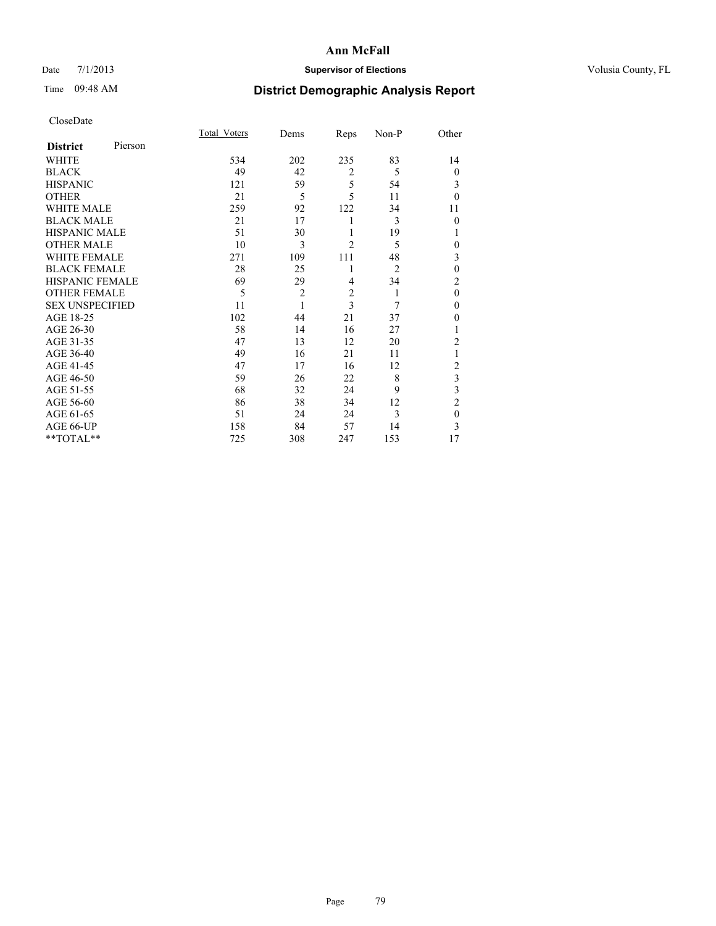# Date 7/1/2013 **Supervisor of Elections Supervisor of Elections** Volusia County, FL

# Time 09:48 AM **District Demographic Analysis Report**

|                        |         | <b>Total Voters</b> | Dems           | Reps           | Non-P          | Other          |
|------------------------|---------|---------------------|----------------|----------------|----------------|----------------|
| <b>District</b>        | Pierson |                     |                |                |                |                |
| WHITE                  |         | 534                 | 202            | 235            | 83             | 14             |
| <b>BLACK</b>           |         | 49                  | 42             | $\overline{2}$ | 5              | $\theta$       |
| <b>HISPANIC</b>        |         | 121                 | 59             | 5              | 54             | 3              |
| <b>OTHER</b>           |         | 21                  | 5              | 5              | 11             | $\theta$       |
| WHITE MALE             |         | 259                 | 92             | 122            | 34             | 11             |
| <b>BLACK MALE</b>      |         | 21                  | 17             | 1              | 3              | $\theta$       |
| <b>HISPANIC MALE</b>   |         | 51                  | 30             | 1              | 19             | 1              |
| <b>OTHER MALE</b>      |         | 10                  | 3              | $\overline{c}$ | 5              | 0              |
| <b>WHITE FEMALE</b>    |         | 271                 | 109            | 111            | 48             | 3              |
| <b>BLACK FEMALE</b>    |         | 28                  | 25             | 1              | $\overline{2}$ | $\mathbf{0}$   |
| <b>HISPANIC FEMALE</b> |         | 69                  | 29             | 4              | 34             | $\overline{c}$ |
| <b>OTHER FEMALE</b>    |         | 5                   | $\overline{c}$ | $\overline{c}$ | 1              | $\theta$       |
| <b>SEX UNSPECIFIED</b> |         | 11                  | 1              | 3              | 7              | $\mathbf{0}$   |
| AGE 18-25              |         | 102                 | 44             | 21             | 37             | $\theta$       |
| AGE 26-30              |         | 58                  | 14             | 16             | 27             | 1              |
| AGE 31-35              |         | 47                  | 13             | 12             | 20             | $\overline{c}$ |
| AGE 36-40              |         | 49                  | 16             | 21             | 11             | 1              |
| AGE 41-45              |         | 47                  | 17             | 16             | 12             | $\overline{c}$ |
| AGE 46-50              |         | 59                  | 26             | 22             | 8              | 3              |
| AGE 51-55              |         | 68                  | 32             | 24             | 9              | 3              |
| AGE 56-60              |         | 86                  | 38             | 34             | 12             | $\overline{c}$ |
| AGE 61-65              |         | 51                  | 24             | 24             | 3              | $\mathbf{0}$   |
| AGE 66-UP              |         | 158                 | 84             | 57             | 14             | 3              |
| **TOTAL**              |         | 725                 | 308            | 247            | 153            | 17             |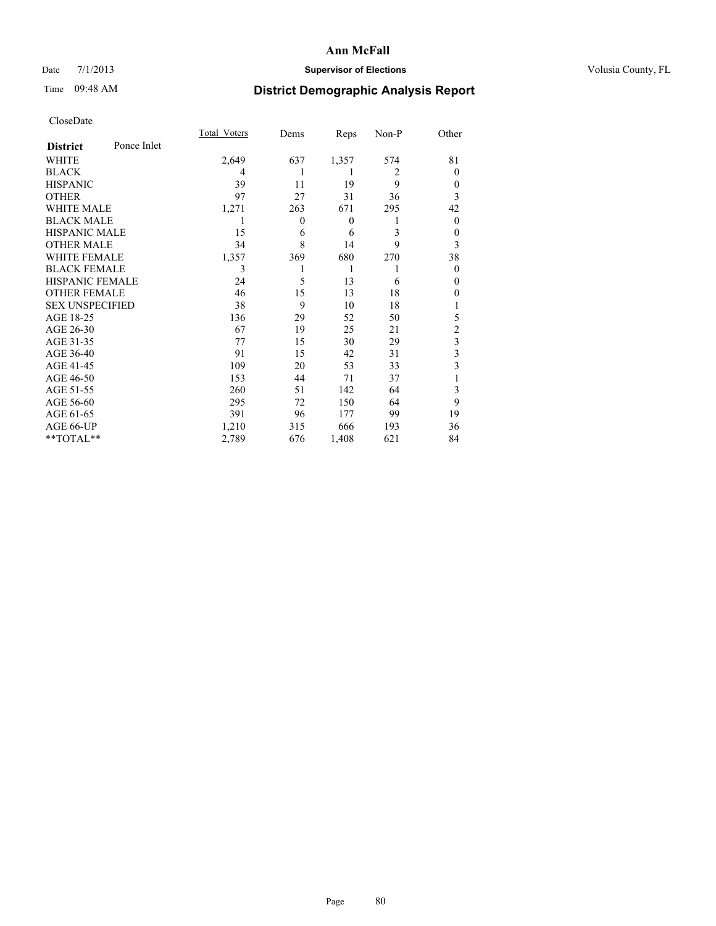## Date  $7/1/2013$  **Supervisor of Elections Supervisor of Elections** Volusia County, FL

# Time 09:48 AM **District Demographic Analysis Report**

|                        |             | <b>Total Voters</b> | Dems           | Reps         | Non-P          | Other                   |
|------------------------|-------------|---------------------|----------------|--------------|----------------|-------------------------|
| <b>District</b>        | Ponce Inlet |                     |                |              |                |                         |
| WHITE                  |             | 2,649               | 637            | 1,357        | 574            | 81                      |
| <b>BLACK</b>           |             | 4                   |                | 1            | $\overline{2}$ | $\Omega$                |
| <b>HISPANIC</b>        |             | 39                  | 11             | 19           | 9              | $\Omega$                |
| <b>OTHER</b>           |             | 97                  | 27             | 31           | 36             | 3                       |
| WHITE MALE             |             | 1,271               | 263            | 671          | 295            | 42                      |
| <b>BLACK MALE</b>      |             | 1                   | $\overline{0}$ | $\mathbf{0}$ | 1              | $\overline{0}$          |
| <b>HISPANIC MALE</b>   |             | 15                  | 6              | 6            | 3              | 0                       |
| <b>OTHER MALE</b>      |             | 34                  | 8              | 14           | 9              | 3                       |
| <b>WHITE FEMALE</b>    |             | 1,357               | 369            | 680          | 270            | 38                      |
| <b>BLACK FEMALE</b>    |             | 3                   |                | 1            | 1              | $\Omega$                |
| <b>HISPANIC FEMALE</b> |             | 24                  | 5              | 13           | 6              | $\Omega$                |
| <b>OTHER FEMALE</b>    |             | 46                  | 15             | 13           | 18             | $\theta$                |
| <b>SEX UNSPECIFIED</b> |             | 38                  | 9              | 10           | 18             |                         |
| AGE 18-25              |             | 136                 | 29             | 52           | 50             | 5                       |
| AGE 26-30              |             | 67                  | 19             | 25           | 21             | $\overline{c}$          |
| AGE 31-35              |             | 77                  | 15             | 30           | 29             | $\overline{\mathbf{3}}$ |
| AGE 36-40              |             | 91                  | 15             | 42           | 31             | 3                       |
| AGE 41-45              |             | 109                 | 20             | 53           | 33             | 3                       |
| AGE 46-50              |             | 153                 | 44             | 71           | 37             | 1                       |
| AGE 51-55              |             | 260                 | 51             | 142          | 64             | 3                       |
| AGE 56-60              |             | 295                 | 72             | 150          | 64             | 9                       |
| AGE 61-65              |             | 391                 | 96             | 177          | 99             | 19                      |
| AGE 66-UP              |             | 1,210               | 315            | 666          | 193            | 36                      |
| **TOTAL**              |             | 2,789               | 676            | 1,408        | 621            | 84                      |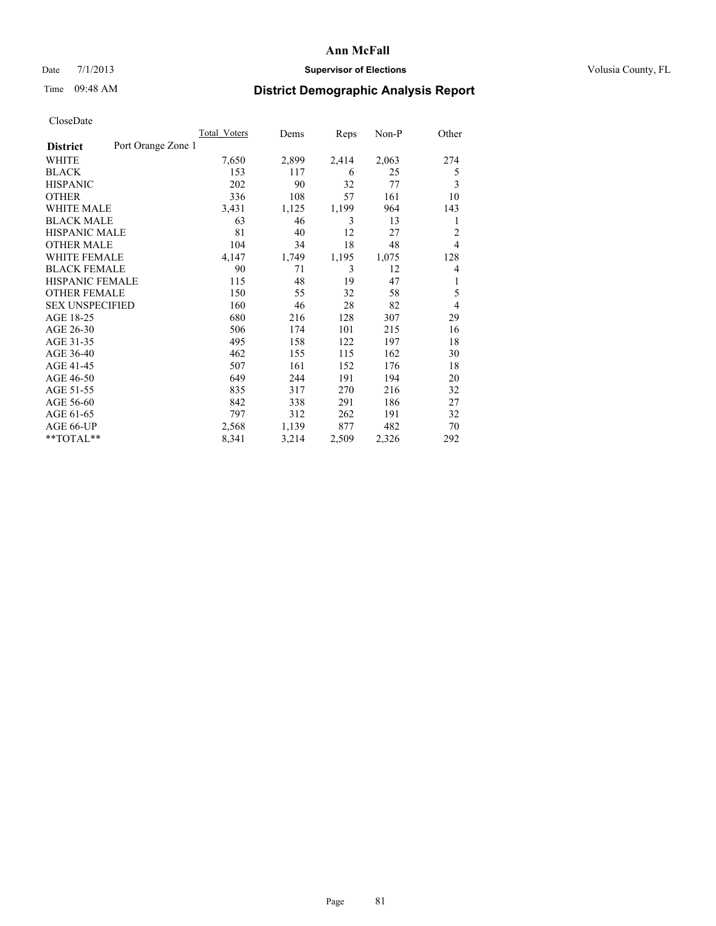## Date  $7/1/2013$  **Supervisor of Elections Supervisor of Elections** Volusia County, FL

# Time 09:48 AM **District Demographic Analysis Report**

|                                       | Total Voters | Dems  | Reps  | Non-P | Other          |
|---------------------------------------|--------------|-------|-------|-------|----------------|
| Port Orange Zone 1<br><b>District</b> |              |       |       |       |                |
| WHITE                                 | 7,650        | 2,899 | 2,414 | 2,063 | 274            |
| <b>BLACK</b>                          | 153          | 117   | 6     | 25    | 5              |
| <b>HISPANIC</b>                       | 202          | 90    | 32    | 77    | 3              |
| <b>OTHER</b>                          | 336          | 108   | 57    | 161   | 10             |
| <b>WHITE MALE</b>                     | 3,431        | 1,125 | 1,199 | 964   | 143            |
| <b>BLACK MALE</b>                     | 63           | 46    | 3     | 13    | 1              |
| <b>HISPANIC MALE</b>                  | 81           | 40    | 12    | 27    | $\overline{c}$ |
| <b>OTHER MALE</b>                     | 104          | 34    | 18    | 48    | $\overline{4}$ |
| <b>WHITE FEMALE</b>                   | 4,147        | 1,749 | 1,195 | 1,075 | 128            |
| <b>BLACK FEMALE</b>                   | 90           | 71    | 3     | 12    | 4              |
| HISPANIC FEMALE                       | 115          | 48    | 19    | 47    | 1              |
| <b>OTHER FEMALE</b>                   | 150          | 55    | 32    | 58    | 5              |
| <b>SEX UNSPECIFIED</b>                | 160          | 46    | 28    | 82    | $\overline{4}$ |
| AGE 18-25                             | 680          | 216   | 128   | 307   | 29             |
| AGE 26-30                             | 506          | 174   | 101   | 215   | 16             |
| AGE 31-35                             | 495          | 158   | 122   | 197   | 18             |
| AGE 36-40                             | 462          | 155   | 115   | 162   | 30             |
| AGE 41-45                             | 507          | 161   | 152   | 176   | 18             |
| AGE 46-50                             | 649          | 244   | 191   | 194   | 20             |
| AGE 51-55                             | 835          | 317   | 270   | 216   | 32             |
| AGE 56-60                             | 842          | 338   | 291   | 186   | 27             |
| AGE 61-65                             | 797          | 312   | 262   | 191   | 32             |
| AGE 66-UP                             | 2,568        | 1,139 | 877   | 482   | 70             |
| **TOTAL**                             | 8,341        | 3,214 | 2,509 | 2,326 | 292            |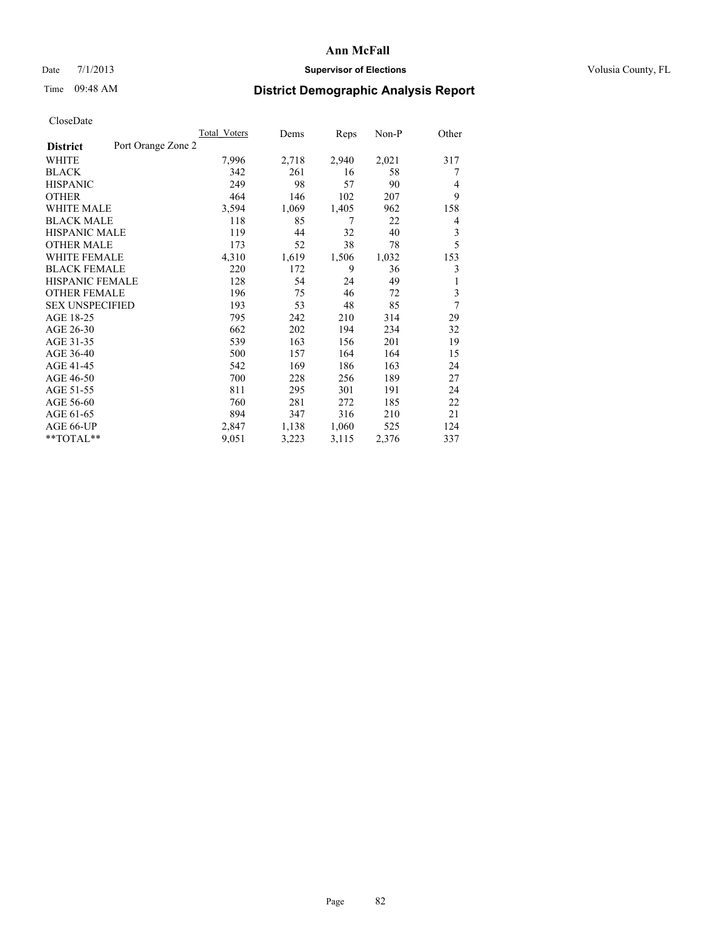## Date  $7/1/2013$  **Supervisor of Elections Supervisor of Elections** Volusia County, FL

# Time 09:48 AM **District Demographic Analysis Report**

|                                       | Total Voters | Dems  | Reps  | $Non-P$ | Other          |
|---------------------------------------|--------------|-------|-------|---------|----------------|
| Port Orange Zone 2<br><b>District</b> |              |       |       |         |                |
| WHITE                                 | 7,996        | 2,718 | 2,940 | 2,021   | 317            |
| <b>BLACK</b>                          | 342          | 261   | 16    | 58      | 7              |
| <b>HISPANIC</b>                       | 249          | 98    | 57    | 90      | $\overline{4}$ |
| <b>OTHER</b>                          | 464          | 146   | 102   | 207     | 9              |
| <b>WHITE MALE</b>                     | 3,594        | 1,069 | 1,405 | 962     | 158            |
| <b>BLACK MALE</b>                     | 118          | 85    | 7     | 22      | 4              |
| <b>HISPANIC MALE</b>                  | 119          | 44    | 32    | 40      | 3              |
| <b>OTHER MALE</b>                     | 173          | 52    | 38    | 78      | 5              |
| <b>WHITE FEMALE</b>                   | 4,310        | 1,619 | 1,506 | 1,032   | 153            |
| <b>BLACK FEMALE</b>                   | 220          | 172   | 9     | 36      | 3              |
| <b>HISPANIC FEMALE</b>                | 128          | 54    | 24    | 49      | 1              |
| <b>OTHER FEMALE</b>                   | 196          | 75    | 46    | 72      | 3              |
| <b>SEX UNSPECIFIED</b>                | 193          | 53    | 48    | 85      | 7              |
| AGE 18-25                             | 795          | 242   | 210   | 314     | 29             |
| AGE 26-30                             | 662          | 202   | 194   | 234     | 32             |
| AGE 31-35                             | 539          | 163   | 156   | 201     | 19             |
| AGE 36-40                             | 500          | 157   | 164   | 164     | 15             |
| AGE 41-45                             | 542          | 169   | 186   | 163     | 24             |
| AGE 46-50                             | 700          | 228   | 256   | 189     | 27             |
| AGE 51-55                             | 811          | 295   | 301   | 191     | 24             |
| AGE 56-60                             | 760          | 281   | 272   | 185     | 22             |
| AGE 61-65                             | 894          | 347   | 316   | 210     | 21             |
| AGE 66-UP                             | 2,847        | 1,138 | 1,060 | 525     | 124            |
| **TOTAL**                             | 9,051        | 3,223 | 3,115 | 2,376   | 337            |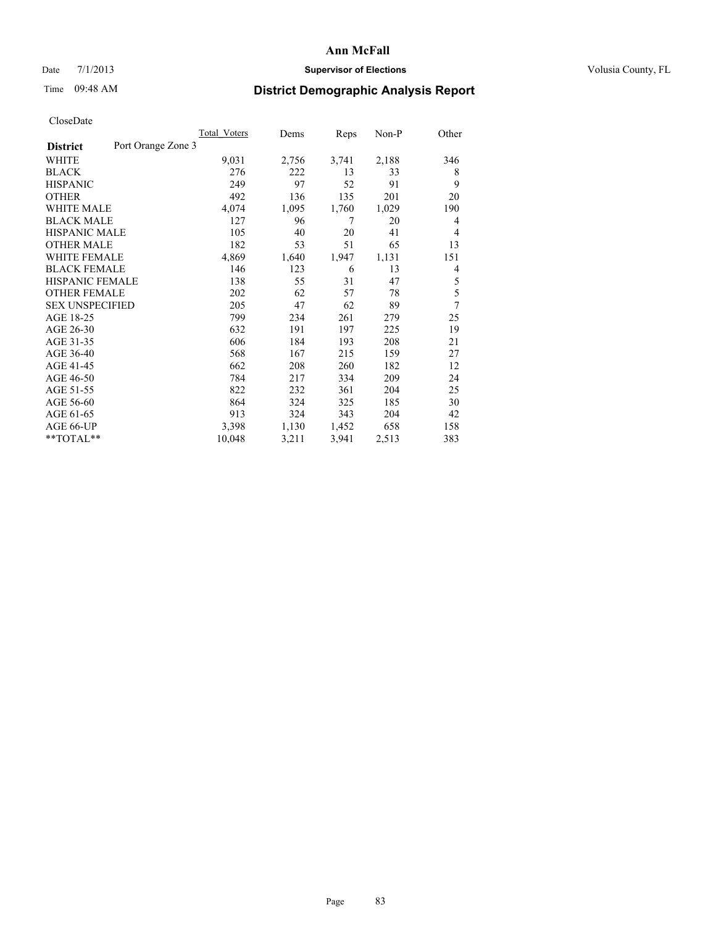## Date  $7/1/2013$  **Supervisor of Elections Supervisor of Elections** Volusia County, FL

# Time 09:48 AM **District Demographic Analysis Report**

|                                       | <b>Total Voters</b> | Dems  | Reps  | Non-P | Other |
|---------------------------------------|---------------------|-------|-------|-------|-------|
| Port Orange Zone 3<br><b>District</b> |                     |       |       |       |       |
| WHITE                                 | 9,031               | 2,756 | 3,741 | 2,188 | 346   |
| <b>BLACK</b>                          | 276                 | 222   | 13    | 33    | 8     |
| <b>HISPANIC</b>                       | 249                 | 97    | 52    | 91    | 9     |
| <b>OTHER</b>                          | 492                 | 136   | 135   | 201   | 20    |
| <b>WHITE MALE</b>                     | 4,074               | 1,095 | 1,760 | 1,029 | 190   |
| <b>BLACK MALE</b>                     | 127                 | 96    | 7     | 20    | 4     |
| <b>HISPANIC MALE</b>                  | 105                 | 40    | 20    | 41    | 4     |
| <b>OTHER MALE</b>                     | 182                 | 53    | 51    | 65    | 13    |
| <b>WHITE FEMALE</b>                   | 4,869               | 1,640 | 1,947 | 1,131 | 151   |
| <b>BLACK FEMALE</b>                   | 146                 | 123   | 6     | 13    | 4     |
| <b>HISPANIC FEMALE</b>                | 138                 | 55    | 31    | 47    | 5     |
| <b>OTHER FEMALE</b>                   | 202                 | 62    | 57    | 78    | 5     |
| <b>SEX UNSPECIFIED</b>                | 205                 | 47    | 62    | 89    | 7     |
| AGE 18-25                             | 799                 | 234   | 261   | 279   | 25    |
| AGE 26-30                             | 632                 | 191   | 197   | 225   | 19    |
| AGE 31-35                             | 606                 | 184   | 193   | 208   | 21    |
| AGE 36-40                             | 568                 | 167   | 215   | 159   | 27    |
| AGE 41-45                             | 662                 | 208   | 260   | 182   | 12    |
| AGE 46-50                             | 784                 | 217   | 334   | 209   | 24    |
| AGE 51-55                             | 822                 | 232   | 361   | 204   | 25    |
| AGE 56-60                             | 864                 | 324   | 325   | 185   | 30    |
| AGE 61-65                             | 913                 | 324   | 343   | 204   | 42    |
| AGE 66-UP                             | 3,398               | 1,130 | 1,452 | 658   | 158   |
| **TOTAL**                             | 10,048              | 3,211 | 3,941 | 2,513 | 383   |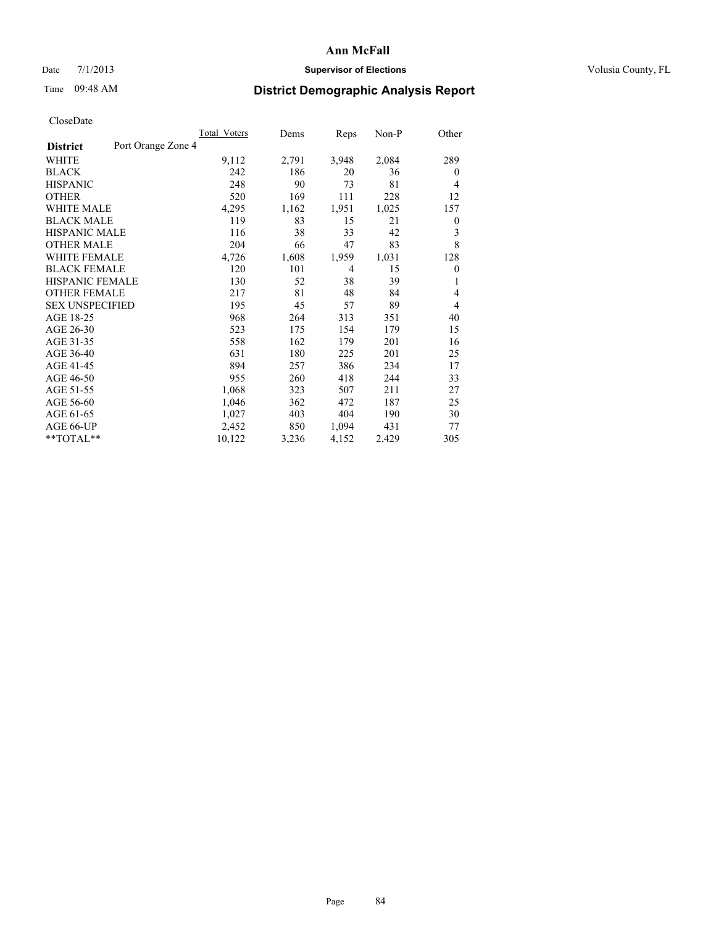## Date  $7/1/2013$  **Supervisor of Elections Supervisor of Elections** Volusia County, FL

# Time 09:48 AM **District Demographic Analysis Report**

|                                       | <b>Total Voters</b> | Dems  | Reps  | Non-P | Other          |
|---------------------------------------|---------------------|-------|-------|-------|----------------|
| Port Orange Zone 4<br><b>District</b> |                     |       |       |       |                |
| WHITE                                 | 9,112               | 2,791 | 3,948 | 2,084 | 289            |
| <b>BLACK</b>                          | 242                 | 186   | 20    | 36    | $\overline{0}$ |
| <b>HISPANIC</b>                       | 248                 | 90    | 73    | 81    | $\overline{4}$ |
| <b>OTHER</b>                          | 520                 | 169   | 111   | 228   | 12             |
| <b>WHITE MALE</b>                     | 4,295               | 1,162 | 1,951 | 1,025 | 157            |
| <b>BLACK MALE</b>                     | 119                 | 83    | 15    | 21    | 0              |
| <b>HISPANIC MALE</b>                  | 116                 | 38    | 33    | 42    | 3              |
| <b>OTHER MALE</b>                     | 204                 | 66    | 47    | 83    | 8              |
| <b>WHITE FEMALE</b>                   | 4,726               | 1,608 | 1,959 | 1,031 | 128            |
| <b>BLACK FEMALE</b>                   | 120                 | 101   | 4     | 15    | $\mathbf{0}$   |
| HISPANIC FEMALE                       | 130                 | 52    | 38    | 39    | 1              |
| <b>OTHER FEMALE</b>                   | 217                 | 81    | 48    | 84    | 4              |
| <b>SEX UNSPECIFIED</b>                | 195                 | 45    | 57    | 89    | 4              |
| AGE 18-25                             | 968                 | 264   | 313   | 351   | 40             |
| AGE 26-30                             | 523                 | 175   | 154   | 179   | 15             |
| AGE 31-35                             | 558                 | 162   | 179   | 201   | 16             |
| AGE 36-40                             | 631                 | 180   | 225   | 201   | 25             |
| AGE 41-45                             | 894                 | 257   | 386   | 234   | 17             |
| AGE 46-50                             | 955                 | 260   | 418   | 244   | 33             |
| AGE 51-55                             | 1,068               | 323   | 507   | 211   | 27             |
| AGE 56-60                             | 1,046               | 362   | 472   | 187   | 25             |
| AGE 61-65                             | 1,027               | 403   | 404   | 190   | 30             |
| AGE 66-UP                             | 2,452               | 850   | 1,094 | 431   | 77             |
| **TOTAL**                             | 10,122              | 3,236 | 4,152 | 2,429 | 305            |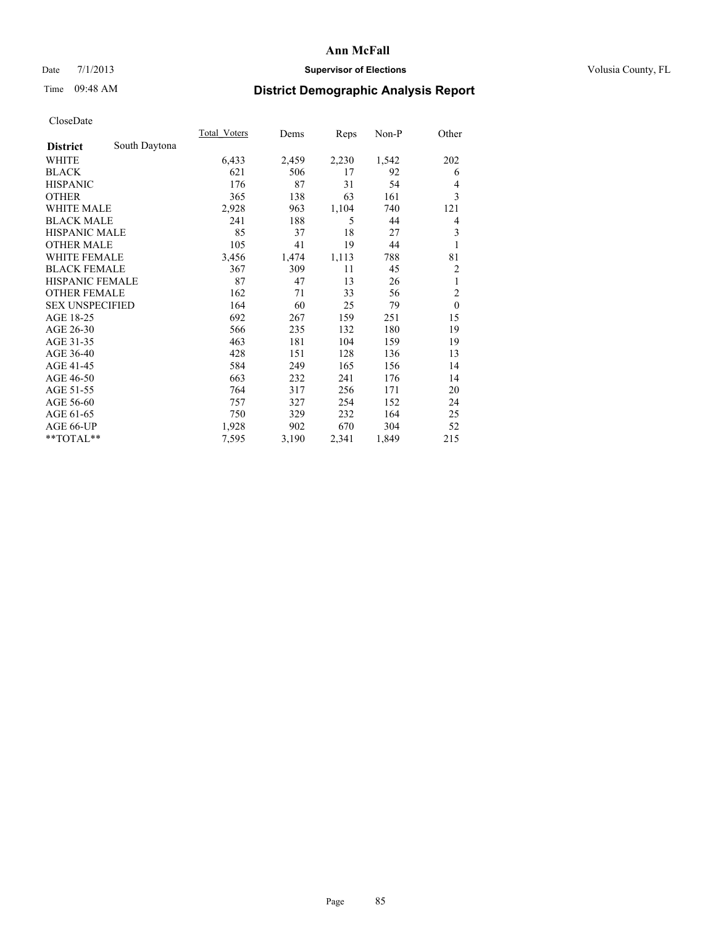# Date 7/1/2013 **Supervisor of Elections Supervisor of Elections** Volusia County, FL

# Time 09:48 AM **District Demographic Analysis Report**

|                        |               | Total Voters | Dems  | Reps  | $Non-P$ | Other          |
|------------------------|---------------|--------------|-------|-------|---------|----------------|
| <b>District</b>        | South Daytona |              |       |       |         |                |
| WHITE                  |               | 6,433        | 2,459 | 2,230 | 1,542   | 202            |
| <b>BLACK</b>           |               | 621          | 506   | 17    | 92      | 6              |
| <b>HISPANIC</b>        |               | 176          | 87    | 31    | 54      | 4              |
| <b>OTHER</b>           |               | 365          | 138   | 63    | 161     | 3              |
| <b>WHITE MALE</b>      |               | 2,928        | 963   | 1,104 | 740     | 121            |
| <b>BLACK MALE</b>      |               | 241          | 188   | 5     | 44      | 4              |
| <b>HISPANIC MALE</b>   |               | 85           | 37    | 18    | 27      | 3              |
| <b>OTHER MALE</b>      |               | 105          | 41    | 19    | 44      | 1              |
| <b>WHITE FEMALE</b>    |               | 3,456        | 1,474 | 1,113 | 788     | 81             |
| <b>BLACK FEMALE</b>    |               | 367          | 309   | 11    | 45      | 2              |
| HISPANIC FEMALE        |               | 87           | 47    | 13    | 26      | 1              |
| <b>OTHER FEMALE</b>    |               | 162          | 71    | 33    | 56      | $\overline{c}$ |
| <b>SEX UNSPECIFIED</b> |               | 164          | 60    | 25    | 79      | $\mathbf{0}$   |
| AGE 18-25              |               | 692          | 267   | 159   | 251     | 15             |
| AGE 26-30              |               | 566          | 235   | 132   | 180     | 19             |
| AGE 31-35              |               | 463          | 181   | 104   | 159     | 19             |
| AGE 36-40              |               | 428          | 151   | 128   | 136     | 13             |
| AGE 41-45              |               | 584          | 249   | 165   | 156     | 14             |
| AGE 46-50              |               | 663          | 232   | 241   | 176     | 14             |
| AGE 51-55              |               | 764          | 317   | 256   | 171     | 20             |
| AGE 56-60              |               | 757          | 327   | 254   | 152     | 24             |
| AGE 61-65              |               | 750          | 329   | 232   | 164     | 25             |
| AGE 66-UP              |               | 1,928        | 902   | 670   | 304     | 52             |
| **TOTAL**              |               | 7,595        | 3,190 | 2,341 | 1,849   | 215            |